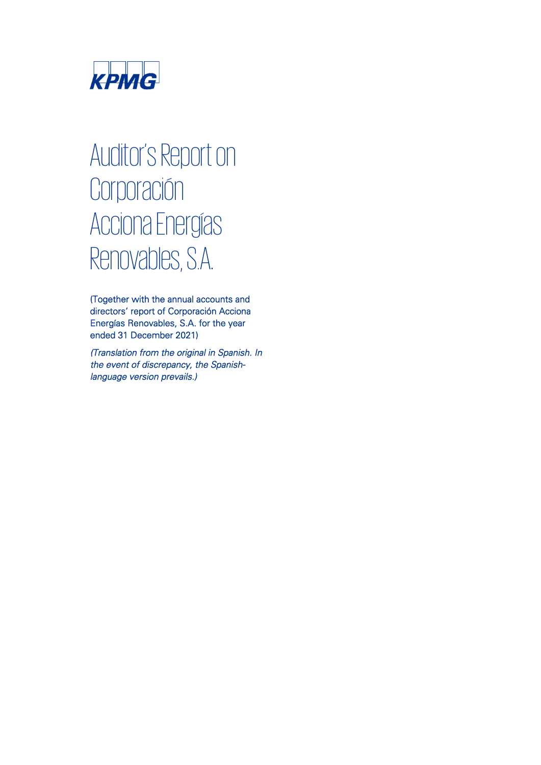

# Auditor's Report on Corporación Acciona Energías Renovables, S.A.

(Together with the annual accounts and directors' report of Corporación Acciona Energías Renovables, S.A. for the year ended 31 December 2021)

*(Translation from the original in Spanish. In the event of discrepancy, the Spanishlanguage version prevails.)*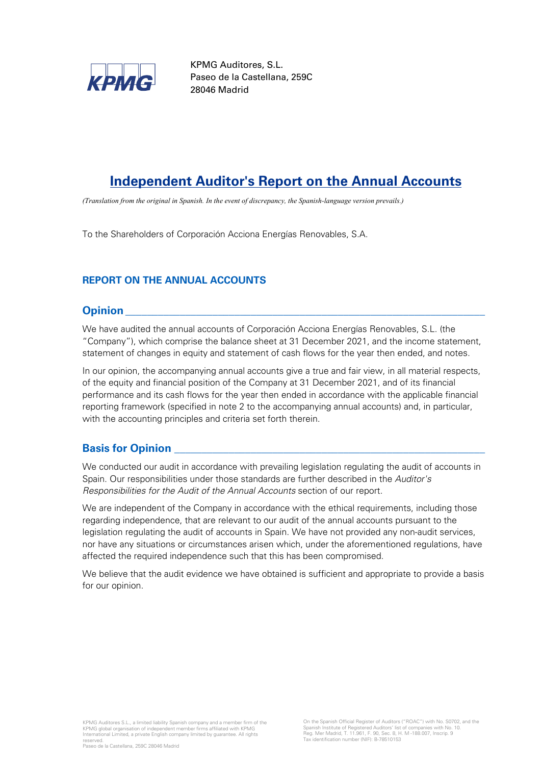

KPMG Auditores, S.L. Paseo de la Castellana, 259C 28046 Madrid

# **Independent Auditor's Report on the Annual Accounts**

*(Translation from the original in Spanish. In the event of discrepancy, the Spanish-language version prevails.)*

To the Shareholders of Corporación Acciona Energías Renovables, S.A.

#### **REPORT ON THE ANNUAL ACCOUNTS**

#### **Opinion**

We have audited the annual accounts of Corporación Acciona Energías Renovables, S.L. (the "Company"), which comprise the balance sheet at 31 December 2021, and the income statement, statement of changes in equity and statement of cash flows for the year then ended, and notes.

In our opinion, the accompanying annual accounts give a true and fair view, in all material respects, of the equity and financial position of the Company at 31 December 2021, and of its financial performance and its cash flows for the year then ended in accordance with the applicable financial reporting framework (specified in note 2 to the accompanying annual accounts) and, in particular, with the accounting principles and criteria set forth therein.

# **Basis for Opinion**

We conducted our audit in accordance with prevailing legislation regulating the audit of accounts in Spain. Our responsibilities under those standards are further described in the *Auditor's Responsibilities for the Audit of the Annual Accounts* section of our report.

We are independent of the Company in accordance with the ethical requirements, including those regarding independence, that are relevant to our audit of the annual accounts pursuant to the legislation regulating the audit of accounts in Spain. We have not provided any non-audit services, nor have any situations or circumstances arisen which, under the aforementioned regulations, have affected the required independence such that this has been compromised.

We believe that the audit evidence we have obtained is sufficient and appropriate to provide a basis for our opinion.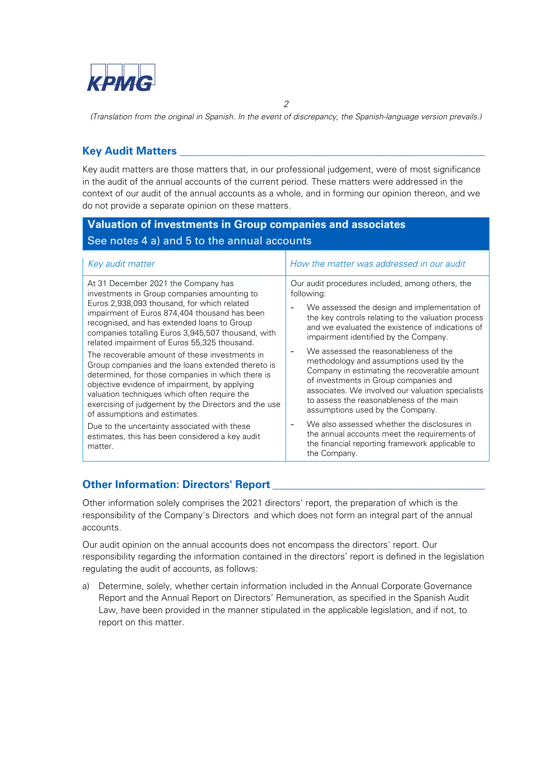

*(Translation from the original in Spanish. In the event of discrepancy, the Spanish-language version prevails.)* 

# **Key Audit Matters**

Key audit matters are those matters that, in our professional judgement, were of most significance in the audit of the annual accounts of the current period. These matters were addressed in the context of our audit of the annual accounts as a whole, and in forming our opinion thereon, and we do not provide a separate opinion on these matters.

# **Valuation of investments in Group companies and associates**

# See notes 4 a) and 5 to the annual accounts

| Key audit matter                                                                                                                                                                                                                                                                                                                                                                                                                                                                                                                                                                                                                                                                                                                                                                                            | How the matter was addressed in our audit                                                                                                                                                                                                                                                                                                                                                                                                                                                                                                                                                                                                                                                                                                                                                           |
|-------------------------------------------------------------------------------------------------------------------------------------------------------------------------------------------------------------------------------------------------------------------------------------------------------------------------------------------------------------------------------------------------------------------------------------------------------------------------------------------------------------------------------------------------------------------------------------------------------------------------------------------------------------------------------------------------------------------------------------------------------------------------------------------------------------|-----------------------------------------------------------------------------------------------------------------------------------------------------------------------------------------------------------------------------------------------------------------------------------------------------------------------------------------------------------------------------------------------------------------------------------------------------------------------------------------------------------------------------------------------------------------------------------------------------------------------------------------------------------------------------------------------------------------------------------------------------------------------------------------------------|
| At 31 December 2021 the Company has<br>investments in Group companies amounting to<br>Euros 2,938,093 thousand, for which related<br>impairment of Euros 874,404 thousand has been<br>recognised, and has extended loans to Group<br>companies totalling Euros 3,945,507 thousand, with<br>related impairment of Euros 55,325 thousand.<br>The recoverable amount of these investments in<br>Group companies and the loans extended thereto is<br>determined, for those companies in which there is<br>objective evidence of impairment, by applying<br>valuation techniques which often require the<br>exercising of judgement by the Directors and the use<br>of assumptions and estimates.<br>Due to the uncertainty associated with these<br>estimates, this has been considered a key audit<br>matter. | Our audit procedures included, among others, the<br>following:<br>We assessed the design and implementation of<br>$\blacksquare$<br>the key controls relating to the valuation process<br>and we evaluated the existence of indications of<br>impairment identified by the Company.<br>We assessed the reasonableness of the<br>methodology and assumptions used by the<br>Company in estimating the recoverable amount<br>of investments in Group companies and<br>associates. We involved our valuation specialists<br>to assess the reasonableness of the main<br>assumptions used by the Company.<br>We also assessed whether the disclosures in<br>$\overline{\phantom{a}}$<br>the annual accounts meet the requirements of<br>the financial reporting framework applicable to<br>the Company. |

# **Other Information: Directors' Report\_**

Other information solely comprises the 2021 directors' report, the preparation of which is the responsibility of the Company's Directors and which does not form an integral part of the annual accounts.

Our audit opinion on the annual accounts does not encompass the directors' report. Our responsibility regarding the information contained in the directors' report is defined in the legislation regulating the audit of accounts, as follows:

a) Determine, solely, whether certain information included in the Annual Corporate Governance Report and the Annual Report on Directors' Remuneration, as specified in the Spanish Audit Law, have been provided in the manner stipulated in the applicable legislation, and if not, to report on this matter.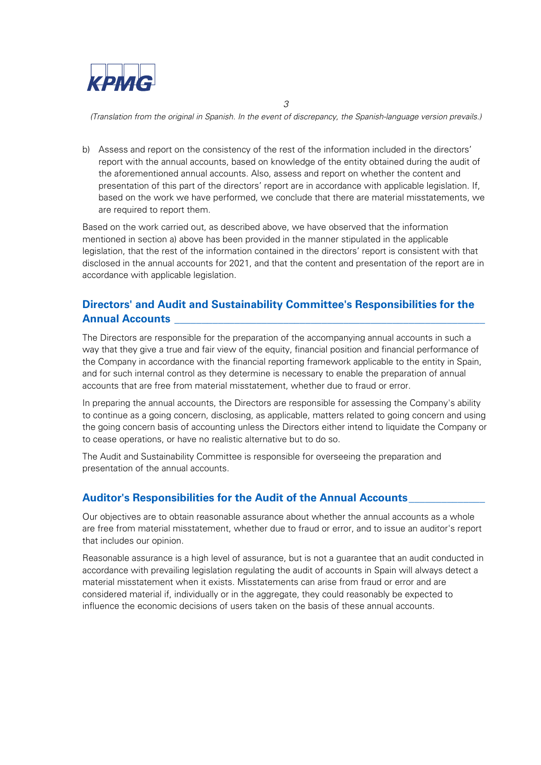

*(Translation from the original in Spanish. In the event of discrepancy, the Spanish-language version prevails.)* 

b) Assess and report on the consistency of the rest of the information included in the directors' report with the annual accounts, based on knowledge of the entity obtained during the audit of the aforementioned annual accounts. Also, assess and report on whether the content and presentation of this part of the directors' report are in accordance with applicable legislation. If, based on the work we have performed, we conclude that there are material misstatements, we are required to report them.

Based on the work carried out, as described above, we have observed that the information mentioned in section a) above has been provided in the manner stipulated in the applicable legislation, that the rest of the information contained in the directors' report is consistent with that disclosed in the annual accounts for 2021, and that the content and presentation of the report are in accordance with applicable legislation.

# **Directors' and Audit and Sustainability Committee's Responsibilities for the Annual Accounts \_\_\_\_\_\_\_\_\_\_\_\_\_\_\_\_\_\_\_\_\_\_\_\_\_\_\_\_\_\_\_\_\_\_\_\_\_\_\_\_\_\_\_\_\_\_\_\_\_\_\_\_\_\_\_\_\_**

The Directors are responsible for the preparation of the accompanying annual accounts in such a way that they give a true and fair view of the equity, financial position and financial performance of the Company in accordance with the financial reporting framework applicable to the entity in Spain, and for such internal control as they determine is necessary to enable the preparation of annual accounts that are free from material misstatement, whether due to fraud or error.

In preparing the annual accounts, the Directors are responsible for assessing the Company's ability to continue as a going concern, disclosing, as applicable, matters related to going concern and using the going concern basis of accounting unless the Directors either intend to liquidate the Company or to cease operations, or have no realistic alternative but to do so.

The Audit and Sustainability Committee is responsible for overseeing the preparation and presentation of the annual accounts.

#### **Auditor's Responsibilities for the Audit of the Annual Accounts \_\_\_\_\_\_\_\_\_\_\_\_\_\_**

Our objectives are to obtain reasonable assurance about whether the annual accounts as a whole are free from material misstatement, whether due to fraud or error, and to issue an auditor's report that includes our opinion.

Reasonable assurance is a high level of assurance, but is not a guarantee that an audit conducted in accordance with prevailing legislation regulating the audit of accounts in Spain will always detect a material misstatement when it exists. Misstatements can arise from fraud or error and are considered material if, individually or in the aggregate, they could reasonably be expected to influence the economic decisions of users taken on the basis of these annual accounts.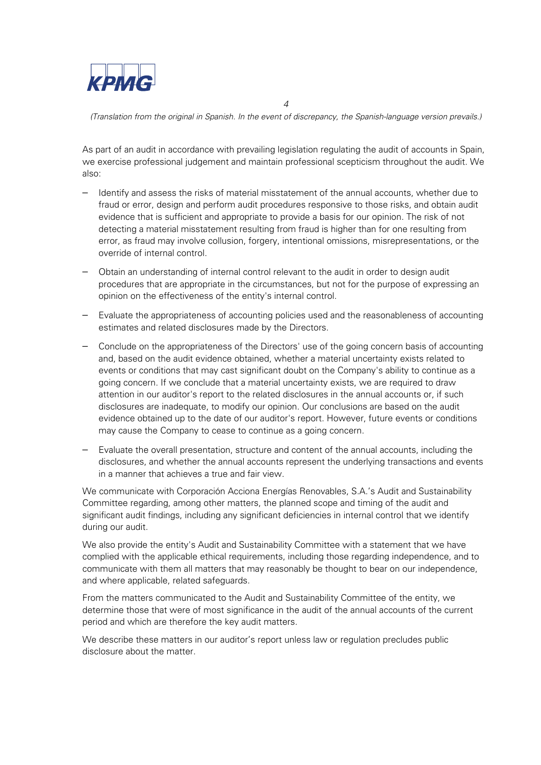

*(Translation from the original in Spanish. In the event of discrepancy, the Spanish-language version prevails.)* 

As part of an audit in accordance with prevailing legislation regulating the audit of accounts in Spain, we exercise professional judgement and maintain professional scepticism throughout the audit. We also:

- Identify and assess the risks of material misstatement of the annual accounts, whether due to fraud or error, design and perform audit procedures responsive to those risks, and obtain audit evidence that is sufficient and appropriate to provide a basis for our opinion. The risk of not detecting a material misstatement resulting from fraud is higher than for one resulting from error, as fraud may involve collusion, forgery, intentional omissions, misrepresentations, or the override of internal control.
- Obtain an understanding of internal control relevant to the audit in order to design audit procedures that are appropriate in the circumstances, but not for the purpose of expressing an opinion on the effectiveness of the entity's internal control.
- Evaluate the appropriateness of accounting policies used and the reasonableness of accounting estimates and related disclosures made by the Directors.
- Conclude on the appropriateness of the Directors' use of the going concern basis of accounting and, based on the audit evidence obtained, whether a material uncertainty exists related to events or conditions that may cast significant doubt on the Company's ability to continue as a going concern. If we conclude that a material uncertainty exists, we are required to draw attention in our auditor's report to the related disclosures in the annual accounts or, if such disclosures are inadequate, to modify our opinion. Our conclusions are based on the audit evidence obtained up to the date of our auditor's report. However, future events or conditions may cause the Company to cease to continue as a going concern.
- Evaluate the overall presentation, structure and content of the annual accounts, including the disclosures, and whether the annual accounts represent the underlying transactions and events in a manner that achieves a true and fair view.

We communicate with Corporación Acciona Energías Renovables, S.A.'s Audit and Sustainability Committee regarding, among other matters, the planned scope and timing of the audit and significant audit findings, including any significant deficiencies in internal control that we identify during our audit.

We also provide the entity's Audit and Sustainability Committee with a statement that we have complied with the applicable ethical requirements, including those regarding independence, and to communicate with them all matters that may reasonably be thought to bear on our independence, and where applicable, related safeguards.

From the matters communicated to the Audit and Sustainability Committee of the entity, we determine those that were of most significance in the audit of the annual accounts of the current period and which are therefore the key audit matters.

We describe these matters in our auditor's report unless law or regulation precludes public disclosure about the matter.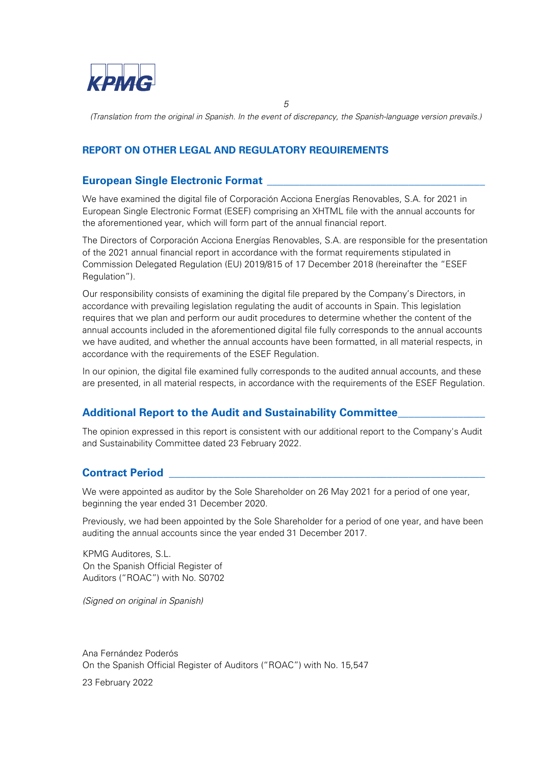

*(Translation from the original in Spanish. In the event of discrepancy, the Spanish-language version prevails.)* 

# **REPORT ON OTHER LEGAL AND REGULATORY REQUIREMENTS**

#### **European Single Electronic Format \_\_\_\_\_\_\_\_\_\_\_\_\_\_\_\_\_\_\_\_\_\_\_\_\_\_\_\_\_\_\_\_\_\_\_\_\_\_\_\_**

We have examined the digital file of Corporación Acciona Energías Renovables, S.A. for 2021 in European Single Electronic Format (ESEF) comprising an XHTML file with the annual accounts for the aforementioned year, which will form part of the annual financial report.

The Directors of Corporación Acciona Energías Renovables, S.A. are responsible for the presentation of the 2021 annual financial report in accordance with the format requirements stipulated in Commission Delegated Regulation (EU) 2019/815 of 17 December 2018 (hereinafter the "ESEF Regulation").

Our responsibility consists of examining the digital file prepared by the Company's Directors, in accordance with prevailing legislation regulating the audit of accounts in Spain. This legislation requires that we plan and perform our audit procedures to determine whether the content of the annual accounts included in the aforementioned digital file fully corresponds to the annual accounts we have audited, and whether the annual accounts have been formatted, in all material respects, in accordance with the requirements of the ESEF Regulation.

In our opinion, the digital file examined fully corresponds to the audited annual accounts, and these are presented, in all material respects, in accordance with the requirements of the ESEF Regulation.

#### **Additional Report to the Audit and Sustainability Committee \_\_\_\_\_\_\_\_\_\_\_\_\_\_\_\_**

The opinion expressed in this report is consistent with our additional report to the Company's Audit and Sustainability Committee dated 23 February 2022.

# **Contract Period \_\_\_\_\_\_\_\_\_\_\_\_\_\_\_\_\_\_\_\_\_\_\_\_\_\_\_\_\_\_\_\_\_\_\_\_\_\_\_\_\_\_\_\_\_\_\_\_\_\_\_\_\_\_\_\_\_\_**

We were appointed as auditor by the Sole Shareholder on 26 May 2021 for a period of one year, beginning the year ended 31 December 2020.

Previously, we had been appointed by the Sole Shareholder for a period of one year, and have been auditing the annual accounts since the year ended 31 December 2017.

KPMG Auditores, S.L. On the Spanish Official Register of Auditors ("ROAC") with No. S0702

*(Signed on original in Spanish)* 

Ana Fernández Poderós On the Spanish Official Register of Auditors ("ROAC") with No. 15,547

23 February 2022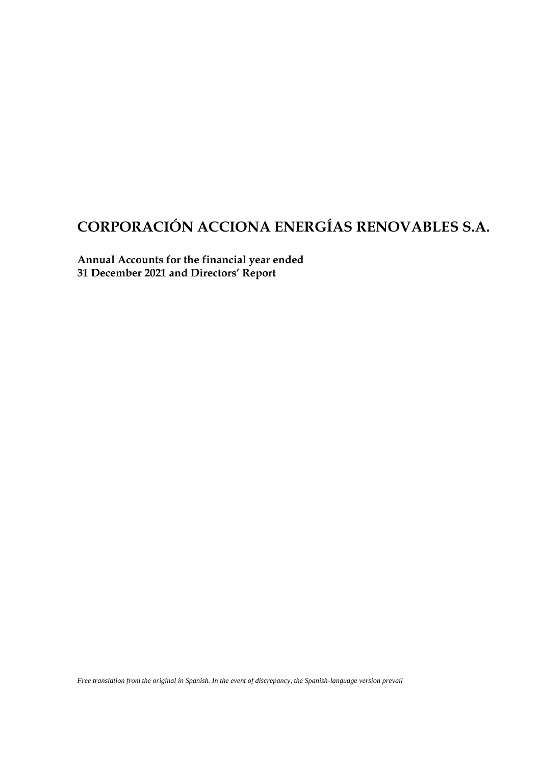**Annual Accounts for the financial year ended 31 December 2021 and Directors' Report** 

*Free translation from the original in Spanish. In the event of discrepancy, the Spanish-language version prevail*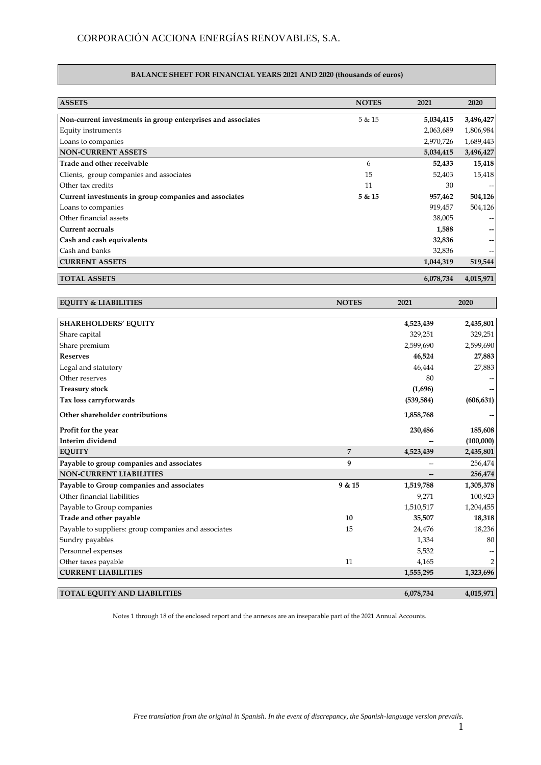#### **BALANCE SHEET FOR FINANCIAL YEARS 2021 AND 2020 (thousands of euros)**

| <b>ASSETS</b>                                               | <b>NOTES</b> | 2021      | 2020      |
|-------------------------------------------------------------|--------------|-----------|-----------|
| Non-current investments in group enterprises and associates | 5 & 15       | 5,034,415 | 3,496,427 |
| Equity instruments                                          |              | 2,063,689 | 1,806,984 |
| Loans to companies                                          |              | 2,970,726 | 1,689,443 |
| <b>NON-CURRENT ASSETS</b>                                   |              | 5,034,415 | 3,496,427 |
| Trade and other receivable                                  | 6            | 52,433    | 15,418    |
| Clients, group companies and associates                     | 15           | 52,403    | 15,418    |
| Other tax credits                                           | 11           | 30        |           |
| Current investments in group companies and associates       | 5 & 15       | 957,462   | 504,126   |
| Loans to companies                                          |              | 919,457   | 504,126   |
| Other financial assets                                      |              | 38,005    |           |
| <b>Current accruals</b>                                     |              | 1,588     |           |
| Cash and cash equivalents                                   |              | 32,836    |           |
| Cash and banks                                              |              | 32,836    |           |
| <b>CURRENT ASSETS</b>                                       |              | 1,044,319 | 519,544   |
| <b>TOTAL ASSETS</b>                                         |              | 6,078,734 | 4,015,971 |

| <b>EOUITY &amp; LIABILITIES</b>                      | <b>NOTES</b> | 2021       | 2020       |
|------------------------------------------------------|--------------|------------|------------|
|                                                      |              |            |            |
| <b>SHAREHOLDERS' EQUITY</b>                          |              | 4,523,439  | 2,435,801  |
| Share capital                                        |              | 329,251    | 329,251    |
| Share premium                                        |              | 2,599,690  | 2,599,690  |
| <b>Reserves</b>                                      |              | 46,524     | 27,883     |
| Legal and statutory                                  |              | 46,444     | 27,883     |
| Other reserves                                       |              | 80         |            |
| <b>Treasury stock</b>                                |              | (1,696)    |            |
| Tax loss carryforwards                               |              | (539, 584) | (606, 631) |
| Other shareholder contributions                      |              | 1,858,768  |            |
| Profit for the year                                  |              | 230,486    | 185,608    |
| Interim dividend                                     |              |            | (100,000)  |
| <b>EQUITY</b>                                        | 7            | 4,523,439  | 2,435,801  |
| Payable to group companies and associates            | 9            |            | 256,474    |
| <b>NON-CURRENT LIABILITIES</b>                       |              |            | 256,474    |
| Payable to Group companies and associates            | 9 & 15       | 1,519,788  | 1,305,378  |
| Other financial liabilities                          |              | 9,271      | 100,923    |
| Payable to Group companies                           |              | 1,510,517  | 1,204,455  |
| Trade and other payable                              | 10           | 35,507     | 18,318     |
| Payable to suppliers: group companies and associates | 15           | 24,476     | 18,236     |
| Sundry payables                                      |              | 1,334      | 80         |
| Personnel expenses                                   |              | 5,532      |            |
| Other taxes payable                                  | 11           | 4,165      | 2          |
| <b>CURRENT LIABILITIES</b>                           |              | 1,555,295  | 1,323,696  |
| <b>TOTAL EQUITY AND LIABILITIES</b>                  |              | 6,078,734  | 4,015,971  |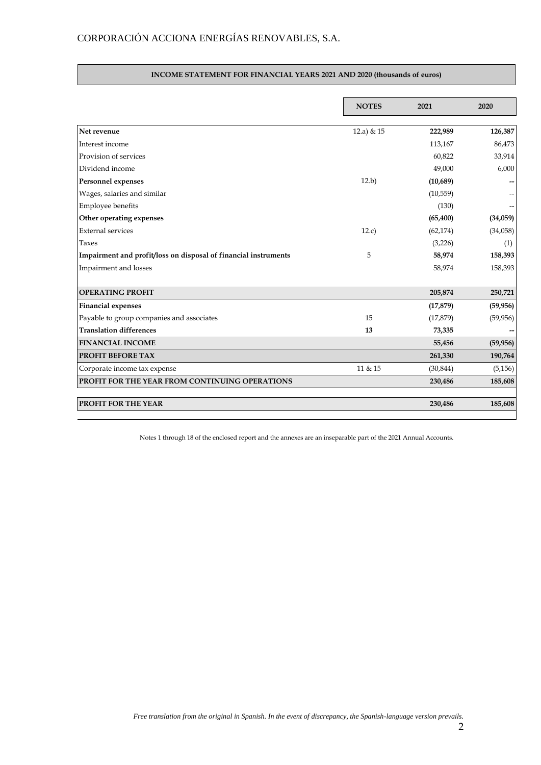#### **INCOME STATEMENT FOR FINANCIAL YEARS 2021 AND 2020 (thousands of euros)**

|                                                                 | <b>NOTES</b> | 2021      | 2020      |
|-----------------------------------------------------------------|--------------|-----------|-----------|
| Net revenue                                                     | 12.a) & 15   | 222,989   | 126,387   |
| Interest income                                                 |              | 113,167   | 86,473    |
| Provision of services                                           |              | 60,822    | 33,914    |
| Dividend income                                                 |              | 49,000    | 6,000     |
| Personnel expenses                                              | 12.b)        | (10,689)  |           |
| Wages, salaries and similar                                     |              | (10, 559) |           |
| Employee benefits                                               |              | (130)     |           |
| Other operating expenses                                        |              | (65, 400) | (34,059)  |
| <b>External services</b>                                        | 12.c)        | (62, 174) | (34,058)  |
| Taxes                                                           |              | (3,226)   | (1)       |
| Impairment and profit/loss on disposal of financial instruments | 5            | 58,974    | 158,393   |
| Impairment and losses                                           |              | 58,974    | 158,393   |
| <b>OPERATING PROFIT</b>                                         |              | 205,874   | 250,721   |
| <b>Financial expenses</b>                                       |              | (17, 879) | (59, 956) |
| Payable to group companies and associates                       | 15           | (17, 879) | (59, 956) |
| <b>Translation differences</b>                                  | 13           | 73,335    |           |
| <b>FINANCIAL INCOME</b>                                         |              | 55,456    | (59, 956) |
| PROFIT BEFORE TAX                                               |              | 261,330   | 190,764   |
| Corporate income tax expense                                    | 11 & 15      | (30, 844) | (5, 156)  |
| PROFIT FOR THE YEAR FROM CONTINUING OPERATIONS                  |              | 230,486   | 185,608   |
| <b>PROFIT FOR THE YEAR</b>                                      |              | 230,486   | 185,608   |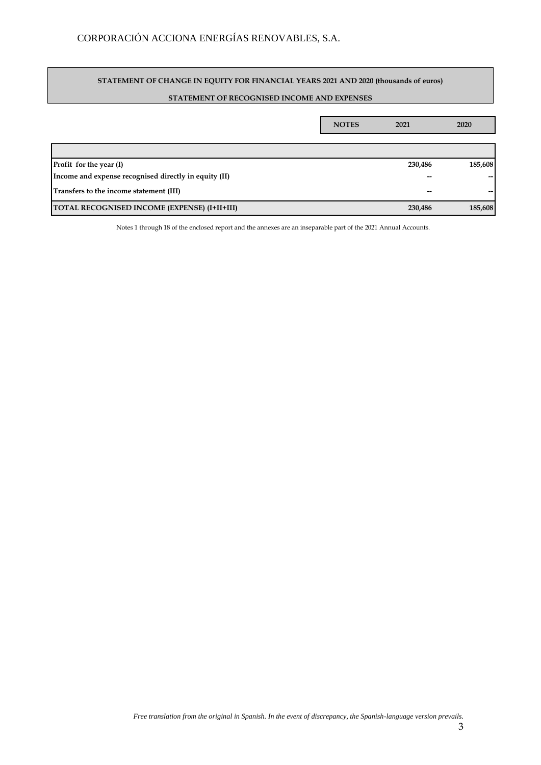#### **STATEMENT OF CHANGE IN EQUITY FOR FINANCIAL YEARS 2021 AND 2020 (thousands of euros)**

#### **STATEMENT OF RECOGNISED INCOME AND EXPENSES**

|                                                       | <b>NOTES</b> | 2021    | 2020    |
|-------------------------------------------------------|--------------|---------|---------|
|                                                       |              |         |         |
| Profit for the year (I)                               |              | 230,486 | 185,608 |
| Income and expense recognised directly in equity (II) |              | --      |         |
| Transfers to the income statement (III)               |              | --      |         |
| TOTAL RECOGNISED INCOME (EXPENSE) (I+II+III)          |              | 230,486 | 185,608 |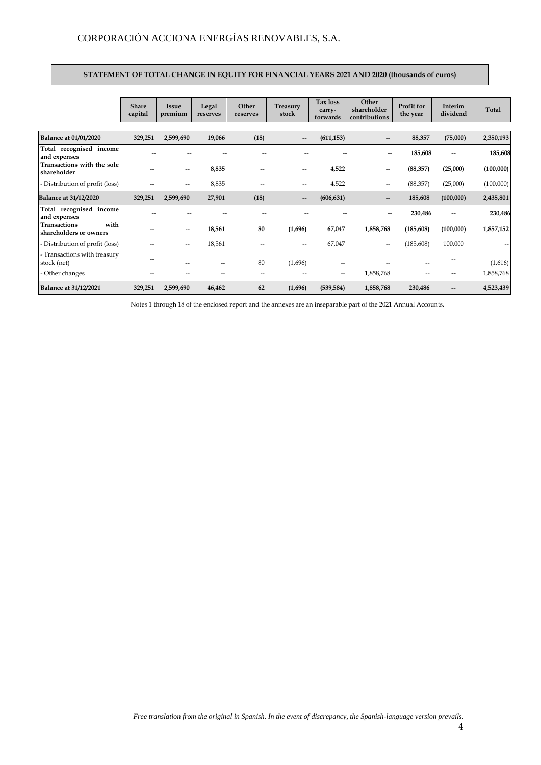#### **STATEMENT OF TOTAL CHANGE IN EQUITY FOR FINANCIAL YEARS 2021 AND 2020 (thousands of euros)**

|                                                | <b>Share</b><br>capital | <b>Issue</b><br>premium | Legal<br>reserves | Other<br>reserves        | <b>Treasury</b><br>stock | Tax loss<br>carry-<br>forwards | Other<br>shareholder<br>contributions | Profit for<br>the year | Interim<br>dividend | Total     |
|------------------------------------------------|-------------------------|-------------------------|-------------------|--------------------------|--------------------------|--------------------------------|---------------------------------------|------------------------|---------------------|-----------|
|                                                |                         |                         |                   |                          |                          |                                |                                       |                        |                     |           |
| <b>Balance at 01/01/2020</b>                   | 329,251                 | 2,599,690               | 19,066            | (18)                     | --                       | (611, 153)                     | $\overline{\phantom{m}}$              | 88,357                 | (75,000)            | 2,350,193 |
| Total recognised income<br>and expenses        |                         |                         |                   |                          |                          |                                | --                                    | 185,608                |                     | 185,608   |
| Transactions with the sole<br>shareholder      |                         | --                      | 8,835             |                          | --                       | 4,522                          | --                                    | (88, 357)              | (25,000)            | (100,000) |
| - Distribution of profit (loss)                |                         | --                      | 8,835             |                          | --                       | 4,522                          | $\overline{\phantom{m}}$              | (88, 357)              | (25,000)            | (100,000) |
| Balance at 31/12/2020                          | 329,251                 | 2,599,690               | 27,901            | (18)                     | --                       | (606, 631)                     | --                                    | 185,608                | (100,000)           | 2,435,801 |
| Total recognised income<br>and expenses        |                         |                         |                   |                          |                          |                                | --                                    | 230,486                |                     | 230,486   |
| with<br>Transactions<br>shareholders or owners | --                      | --                      | 18,561            | 80                       | (1,696)                  | 67,047                         | 1,858,768                             | (185, 608)             | (100,000)           | 1,857,152 |
| - Distribution of profit (loss)                |                         | --                      | 18,561            |                          | --                       | 67,047                         | $\overline{\phantom{a}}$              | (185, 608)             | 100,000             |           |
| - Transactions with treasury<br>stock (net)    |                         |                         | --                | 80                       | (1,696)                  | --                             |                                       |                        |                     | (1,616)   |
| - Other changes                                |                         |                         |                   | $\overline{\phantom{m}}$ | --                       | --                             | 1,858,768                             | $-$                    |                     | 1,858,768 |
| <b>Balance at 31/12/2021</b>                   | 329,251                 | 2,599,690               | 46,462            | 62                       | (1,696)                  | (539, 584)                     | 1,858,768                             | 230,486                |                     | 4,523,439 |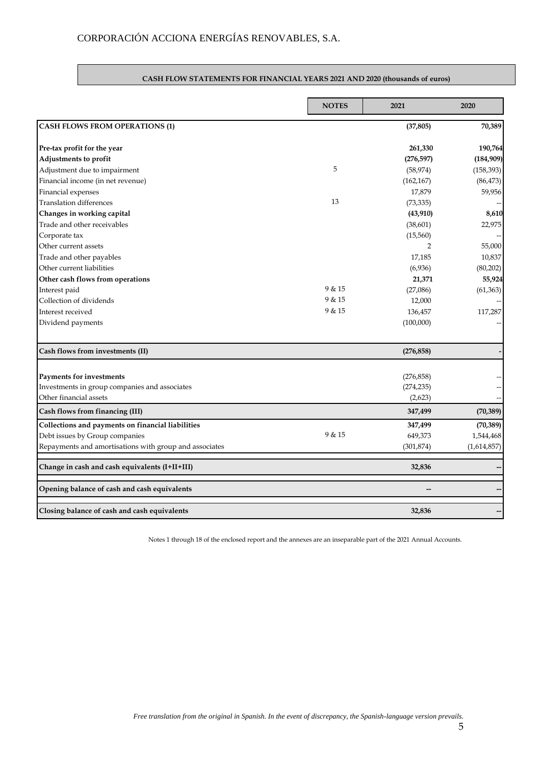|                                                        | <b>NOTES</b> | 2021           | 2020        |
|--------------------------------------------------------|--------------|----------------|-------------|
| <b>CASH FLOWS FROM OPERATIONS (1)</b>                  |              | (37, 805)      | 70,389      |
| Pre-tax profit for the year                            |              | 261,330        | 190,764     |
| Adjustments to profit                                  |              | (276, 597)     | (184,909)   |
| Adjustment due to impairment                           | 5            | (58, 974)      | (158, 393)  |
| Financial income (in net revenue)                      |              | (162, 167)     | (86, 473)   |
| Financial expenses                                     |              | 17,879         | 59,956      |
| <b>Translation differences</b>                         | 13           | (73, 335)      |             |
| Changes in working capital                             |              | (43, 910)      | 8,610       |
| Trade and other receivables                            |              | (38,601)       | 22,975      |
| Corporate tax                                          |              | (15,560)       |             |
| Other current assets                                   |              | $\overline{2}$ | 55,000      |
| Trade and other payables                               |              | 17,185         | 10,837      |
| Other current liabilities                              |              | (6,936)        | (80, 202)   |
| Other cash flows from operations                       |              | 21,371         | 55,924      |
| Interest paid                                          | 9 & 15       | (27,086)       | (61, 363)   |
| Collection of dividends                                | 9 & 15       | 12,000         |             |
| Interest received                                      | 9 & 15       | 136,457        | 117,287     |
| Dividend payments                                      |              | (100,000)      |             |
| Cash flows from investments (II)                       |              | (276, 858)     |             |
| <b>Payments for investments</b>                        |              | (276, 858)     |             |
| Investments in group companies and associates          |              | (274, 235)     |             |
| Other financial assets                                 |              | (2,623)        |             |
| Cash flows from financing (III)                        |              | 347,499        | (70, 389)   |
| Collections and payments on financial liabilities      |              | 347,499        | (70, 389)   |
| Debt issues by Group companies                         | 9 & 15       | 649,373        | 1,544,468   |
| Repayments and amortisations with group and associates |              | (301, 874)     | (1,614,857) |
| Change in cash and cash equivalents (I+II+III)         |              | 32,836         |             |
| Opening balance of cash and cash equivalents           |              |                |             |
| Closing balance of cash and cash equivalents           |              | 32.836         |             |

#### **CASH FLOW STATEMENTS FOR FINANCIAL YEARS 2021 AND 2020 (thousands of euros)**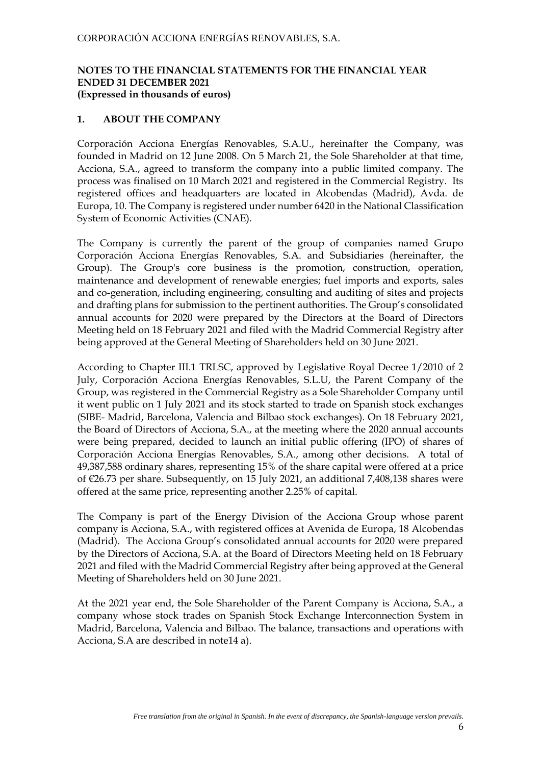# **NOTES TO THE FINANCIAL STATEMENTS FOR THE FINANCIAL YEAR ENDED 31 DECEMBER 2021 (Expressed in thousands of euros)**

# **1. ABOUT THE COMPANY**

Corporación Acciona Energías Renovables, S.A.U., hereinafter the Company, was founded in Madrid on 12 June 2008. On 5 March 21, the Sole Shareholder at that time, Acciona, S.A., agreed to transform the company into a public limited company. The process was finalised on 10 March 2021 and registered in the Commercial Registry. Its registered offices and headquarters are located in Alcobendas (Madrid), Avda. de Europa, 10. The Company is registered under number 6420 in the National Classification System of Economic Activities (CNAE).

The Company is currently the parent of the group of companies named Grupo Corporación Acciona Energías Renovables, S.A. and Subsidiaries (hereinafter, the Group). The Group's core business is the promotion, construction, operation, maintenance and development of renewable energies; fuel imports and exports, sales and co-generation, including engineering, consulting and auditing of sites and projects and drafting plans for submission to the pertinent authorities. The Group's consolidated annual accounts for 2020 were prepared by the Directors at the Board of Directors Meeting held on 18 February 2021 and filed with the Madrid Commercial Registry after being approved at the General Meeting of Shareholders held on 30 June 2021.

According to Chapter III.1 TRLSC, approved by Legislative Royal Decree 1/2010 of 2 July, Corporación Acciona Energías Renovables, S.L.U, the Parent Company of the Group, was registered in the Commercial Registry as a Sole Shareholder Company until it went public on 1 July 2021 and its stock started to trade on Spanish stock exchanges (SIBE- Madrid, Barcelona, Valencia and Bilbao stock exchanges). On 18 February 2021, the Board of Directors of Acciona, S.A., at the meeting where the 2020 annual accounts were being prepared, decided to launch an initial public offering (IPO) of shares of Corporación Acciona Energías Renovables, S.A., among other decisions. A total of 49,387,588 ordinary shares, representing 15% of the share capital were offered at a price of €26.73 per share. Subsequently, on 15 July 2021, an additional 7,408,138 shares were offered at the same price, representing another 2.25% of capital.

The Company is part of the Energy Division of the Acciona Group whose parent company is Acciona, S.A., with registered offices at Avenida de Europa, 18 Alcobendas (Madrid). The Acciona Group's consolidated annual accounts for 2020 were prepared by the Directors of Acciona, S.A. at the Board of Directors Meeting held on 18 February 2021 and filed with the Madrid Commercial Registry after being approved at the General Meeting of Shareholders held on 30 June 2021.

At the 2021 year end, the Sole Shareholder of the Parent Company is Acciona, S.A., a company whose stock trades on Spanish Stock Exchange Interconnection System in Madrid, Barcelona, Valencia and Bilbao. The balance, transactions and operations with Acciona, S.A are described in note14 a).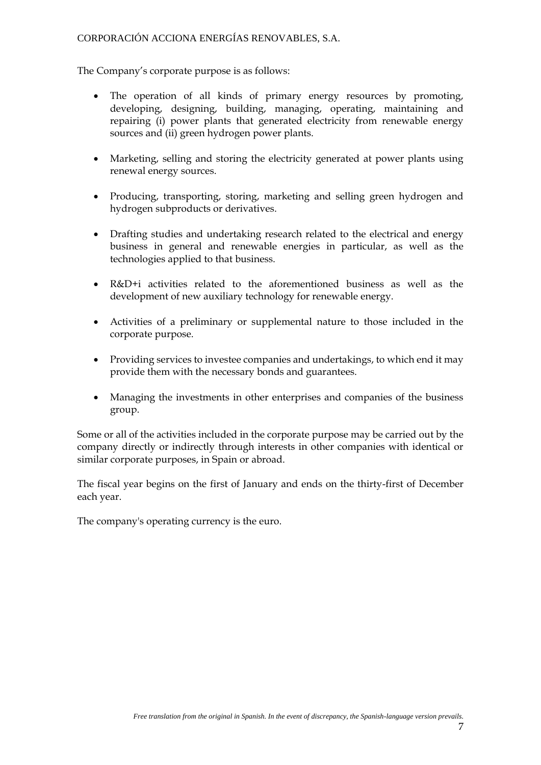The Company's corporate purpose is as follows:

- The operation of all kinds of primary energy resources by promoting, developing, designing, building, managing, operating, maintaining and repairing (i) power plants that generated electricity from renewable energy sources and (ii) green hydrogen power plants.
- Marketing, selling and storing the electricity generated at power plants using renewal energy sources.
- Producing, transporting, storing, marketing and selling green hydrogen and hydrogen subproducts or derivatives.
- Drafting studies and undertaking research related to the electrical and energy business in general and renewable energies in particular, as well as the technologies applied to that business.
- R&D+i activities related to the aforementioned business as well as the development of new auxiliary technology for renewable energy.
- Activities of a preliminary or supplemental nature to those included in the corporate purpose.
- Providing services to investee companies and undertakings, to which end it may provide them with the necessary bonds and guarantees.
- Managing the investments in other enterprises and companies of the business group.

Some or all of the activities included in the corporate purpose may be carried out by the company directly or indirectly through interests in other companies with identical or similar corporate purposes, in Spain or abroad.

The fiscal year begins on the first of January and ends on the thirty-first of December each year.

The company's operating currency is the euro.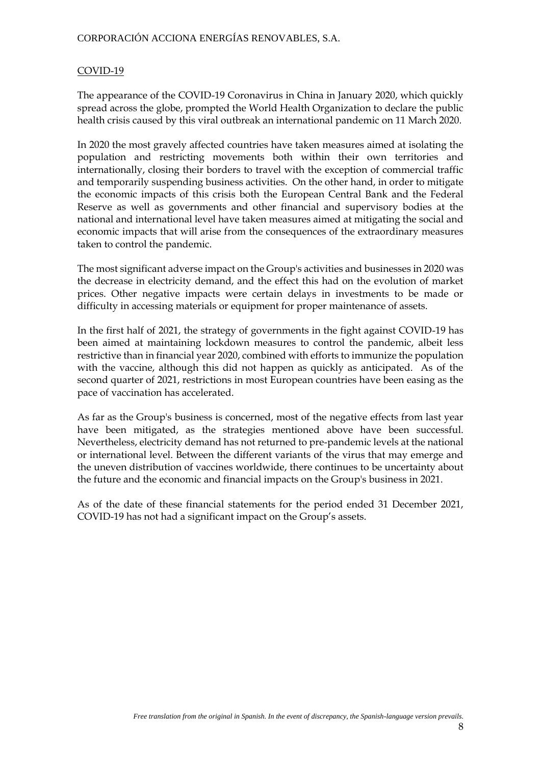#### COVID-19

The appearance of the COVID-19 Coronavirus in China in January 2020, which quickly spread across the globe, prompted the World Health Organization to declare the public health crisis caused by this viral outbreak an international pandemic on 11 March 2020.

In 2020 the most gravely affected countries have taken measures aimed at isolating the population and restricting movements both within their own territories and internationally, closing their borders to travel with the exception of commercial traffic and temporarily suspending business activities. On the other hand, in order to mitigate the economic impacts of this crisis both the European Central Bank and the Federal Reserve as well as governments and other financial and supervisory bodies at the national and international level have taken measures aimed at mitigating the social and economic impacts that will arise from the consequences of the extraordinary measures taken to control the pandemic.

The most significant adverse impact on the Group's activities and businesses in 2020 was the decrease in electricity demand, and the effect this had on the evolution of market prices. Other negative impacts were certain delays in investments to be made or difficulty in accessing materials or equipment for proper maintenance of assets.

In the first half of 2021, the strategy of governments in the fight against COVID-19 has been aimed at maintaining lockdown measures to control the pandemic, albeit less restrictive than in financial year 2020, combined with efforts to immunize the population with the vaccine, although this did not happen as quickly as anticipated. As of the second quarter of 2021, restrictions in most European countries have been easing as the pace of vaccination has accelerated.

As far as the Group's business is concerned, most of the negative effects from last year have been mitigated, as the strategies mentioned above have been successful. Nevertheless, electricity demand has not returned to pre-pandemic levels at the national or international level. Between the different variants of the virus that may emerge and the uneven distribution of vaccines worldwide, there continues to be uncertainty about the future and the economic and financial impacts on the Group's business in 2021.

As of the date of these financial statements for the period ended 31 December 2021, COVID-19 has not had a significant impact on the Group's assets.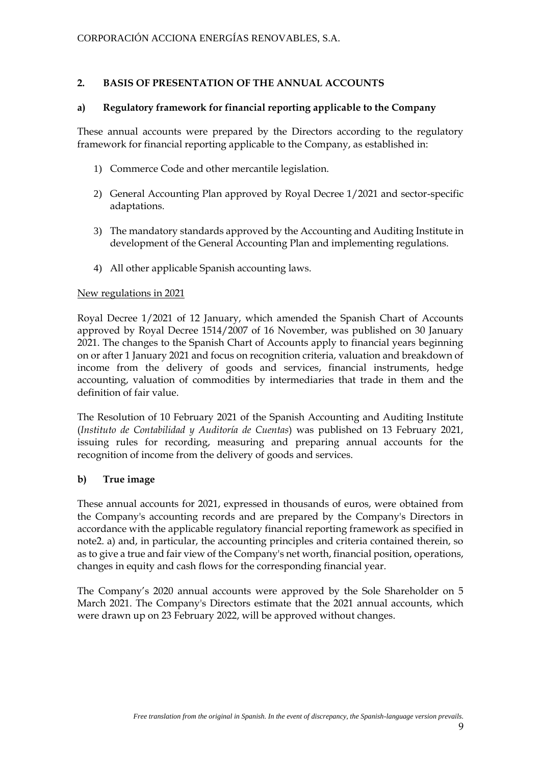# **2. BASIS OF PRESENTATION OF THE ANNUAL ACCOUNTS**

#### **a) Regulatory framework for financial reporting applicable to the Company**

These annual accounts were prepared by the Directors according to the regulatory framework for financial reporting applicable to the Company, as established in:

- 1) Commerce Code and other mercantile legislation.
- 2) General Accounting Plan approved by Royal Decree 1/2021 and sector-specific adaptations.
- 3) The mandatory standards approved by the Accounting and Auditing Institute in development of the General Accounting Plan and implementing regulations.
- 4) All other applicable Spanish accounting laws.

#### New regulations in 2021

Royal Decree 1/2021 of 12 January, which amended the Spanish Chart of Accounts approved by Royal Decree 1514/2007 of 16 November, was published on 30 January 2021. The changes to the Spanish Chart of Accounts apply to financial years beginning on or after 1 January 2021 and focus on recognition criteria, valuation and breakdown of income from the delivery of goods and services, financial instruments, hedge accounting, valuation of commodities by intermediaries that trade in them and the definition of fair value.

The Resolution of 10 February 2021 of the Spanish Accounting and Auditing Institute (*Instituto de Contabilidad y Auditoría de Cuentas*) was published on 13 February 2021, issuing rules for recording, measuring and preparing annual accounts for the recognition of income from the delivery of goods and services.

#### **b) True image**

These annual accounts for 2021, expressed in thousands of euros, were obtained from the Company's accounting records and are prepared by the Company's Directors in accordance with the applicable regulatory financial reporting framework as specified in note2. a) and, in particular, the accounting principles and criteria contained therein, so as to give a true and fair view of the Company's net worth, financial position, operations, changes in equity and cash flows for the corresponding financial year.

The Company's 2020 annual accounts were approved by the Sole Shareholder on 5 March 2021. The Company's Directors estimate that the 2021 annual accounts, which were drawn up on 23 February 2022, will be approved without changes.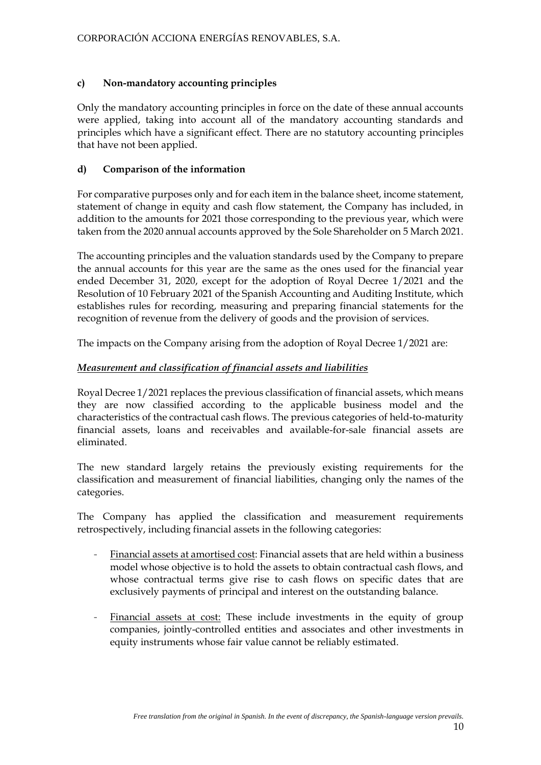# **c) Non-mandatory accounting principles**

Only the mandatory accounting principles in force on the date of these annual accounts were applied, taking into account all of the mandatory accounting standards and principles which have a significant effect. There are no statutory accounting principles that have not been applied.

# **d) Comparison of the information**

For comparative purposes only and for each item in the balance sheet, income statement, statement of change in equity and cash flow statement, the Company has included, in addition to the amounts for 2021 those corresponding to the previous year, which were taken from the 2020 annual accounts approved by the Sole Shareholder on 5 March 2021.

The accounting principles and the valuation standards used by the Company to prepare the annual accounts for this year are the same as the ones used for the financial year ended December 31, 2020, except for the adoption of Royal Decree 1/2021 and the Resolution of 10 February 2021 of the Spanish Accounting and Auditing Institute, which establishes rules for recording, measuring and preparing financial statements for the recognition of revenue from the delivery of goods and the provision of services.

The impacts on the Company arising from the adoption of Royal Decree 1/2021 are:

# *Measurement and classification of financial assets and liabilities*

Royal Decree 1/2021 replaces the previous classification of financial assets, which means they are now classified according to the applicable business model and the characteristics of the contractual cash flows. The previous categories of held-to-maturity financial assets, loans and receivables and available-for-sale financial assets are eliminated.

The new standard largely retains the previously existing requirements for the classification and measurement of financial liabilities, changing only the names of the categories.

The Company has applied the classification and measurement requirements retrospectively, including financial assets in the following categories:

- Financial assets at amortised cost: Financial assets that are held within a business model whose objective is to hold the assets to obtain contractual cash flows, and whose contractual terms give rise to cash flows on specific dates that are exclusively payments of principal and interest on the outstanding balance.
- Financial assets at cost: These include investments in the equity of group companies, jointly-controlled entities and associates and other investments in equity instruments whose fair value cannot be reliably estimated.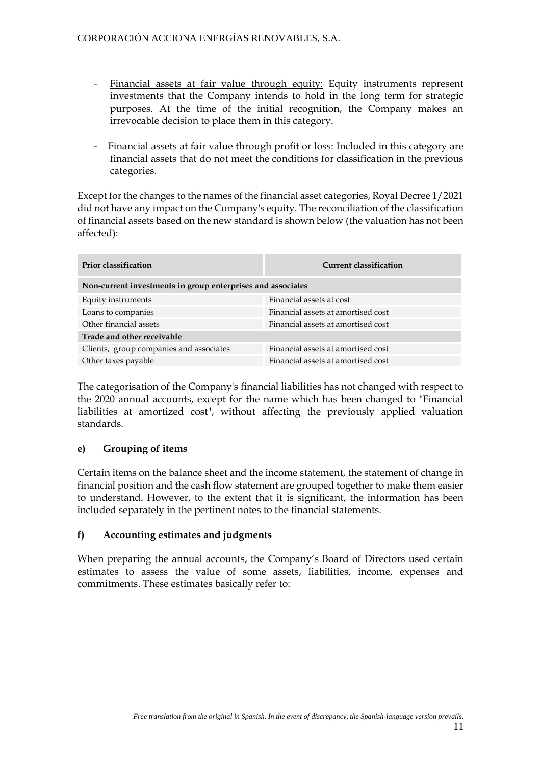- Financial assets at fair value through equity: Equity instruments represent investments that the Company intends to hold in the long term for strategic purposes. At the time of the initial recognition, the Company makes an irrevocable decision to place them in this category.
- -Financial assets at fair value through profit or loss: Included in this category are financial assets that do not meet the conditions for classification in the previous categories.

Except for the changes to the names of the financial asset categories, Royal Decree 1/2021 did not have any impact on the Company's equity. The reconciliation of the classification of financial assets based on the new standard is shown below (the valuation has not been affected):

| <b>Prior classification</b>                                 | Current classification             |
|-------------------------------------------------------------|------------------------------------|
| Non-current investments in group enterprises and associates |                                    |
| Equity instruments                                          | Financial assets at cost           |
| Loans to companies                                          | Financial assets at amortised cost |
| Other financial assets                                      | Financial assets at amortised cost |
| Trade and other receivable                                  |                                    |
| Clients, group companies and associates                     | Financial assets at amortised cost |
| Other taxes payable                                         | Financial assets at amortised cost |

The categorisation of the Company's financial liabilities has not changed with respect to the 2020 annual accounts, except for the name which has been changed to "Financial liabilities at amortized cost", without affecting the previously applied valuation standards.

#### **e) Grouping of items**

Certain items on the balance sheet and the income statement, the statement of change in financial position and the cash flow statement are grouped together to make them easier to understand. However, to the extent that it is significant, the information has been included separately in the pertinent notes to the financial statements.

#### **f) Accounting estimates and judgments**

When preparing the annual accounts, the Company's Board of Directors used certain estimates to assess the value of some assets, liabilities, income, expenses and commitments. These estimates basically refer to: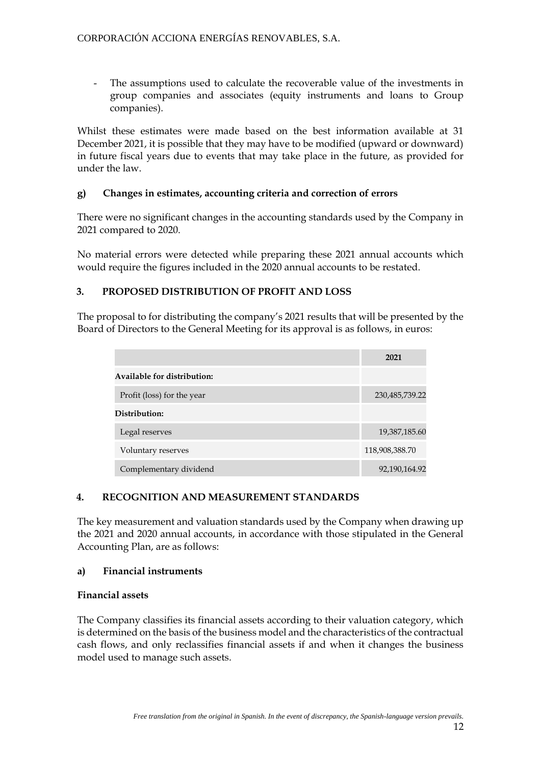The assumptions used to calculate the recoverable value of the investments in group companies and associates (equity instruments and loans to Group companies).

Whilst these estimates were made based on the best information available at 31 December 2021, it is possible that they may have to be modified (upward or downward) in future fiscal years due to events that may take place in the future, as provided for under the law.

#### **g) Changes in estimates, accounting criteria and correction of errors**

There were no significant changes in the accounting standards used by the Company in 2021 compared to 2020.

No material errors were detected while preparing these 2021 annual accounts which would require the figures included in the 2020 annual accounts to be restated.

#### **3. PROPOSED DISTRIBUTION OF PROFIT AND LOSS**

The proposal to for distributing the company's 2021 results that will be presented by the Board of Directors to the General Meeting for its approval is as follows, in euros:

|                             | 2021           |
|-----------------------------|----------------|
| Available for distribution: |                |
| Profit (loss) for the year  | 230,485,739.22 |
| Distribution:               |                |
| Legal reserves              | 19,387,185.60  |
| Voluntary reserves          | 118,908,388.70 |
| Complementary dividend      | 92,190,164.92  |

#### **4. RECOGNITION AND MEASUREMENT STANDARDS**

The key measurement and valuation standards used by the Company when drawing up the 2021 and 2020 annual accounts, in accordance with those stipulated in the General Accounting Plan, are as follows:

#### **a) Financial instruments**

#### **Financial assets**

The Company classifies its financial assets according to their valuation category, which is determined on the basis of the business model and the characteristics of the contractual cash flows, and only reclassifies financial assets if and when it changes the business model used to manage such assets.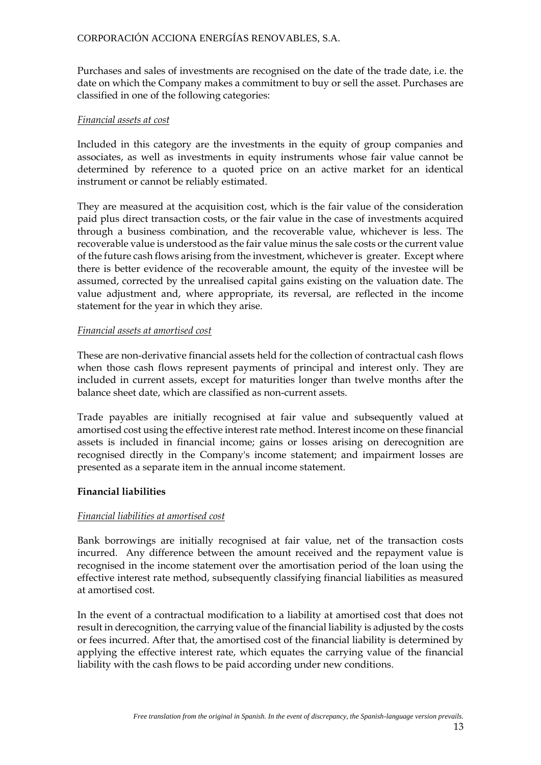Purchases and sales of investments are recognised on the date of the trade date, i.e. the date on which the Company makes a commitment to buy or sell the asset. Purchases are classified in one of the following categories:

#### *Financial assets at cost*

Included in this category are the investments in the equity of group companies and associates, as well as investments in equity instruments whose fair value cannot be determined by reference to a quoted price on an active market for an identical instrument or cannot be reliably estimated.

They are measured at the acquisition cost, which is the fair value of the consideration paid plus direct transaction costs, or the fair value in the case of investments acquired through a business combination, and the recoverable value, whichever is less. The recoverable value is understood as the fair value minus the sale costs or the current value of the future cash flows arising from the investment, whichever is greater. Except where there is better evidence of the recoverable amount, the equity of the investee will be assumed, corrected by the unrealised capital gains existing on the valuation date. The value adjustment and, where appropriate, its reversal, are reflected in the income statement for the year in which they arise.

#### *Financial assets at amortised cost*

These are non-derivative financial assets held for the collection of contractual cash flows when those cash flows represent payments of principal and interest only. They are included in current assets, except for maturities longer than twelve months after the balance sheet date, which are classified as non-current assets.

Trade payables are initially recognised at fair value and subsequently valued at amortised cost using the effective interest rate method. Interest income on these financial assets is included in financial income; gains or losses arising on derecognition are recognised directly in the Company's income statement; and impairment losses are presented as a separate item in the annual income statement.

#### **Financial liabilities**

#### *Financial liabilities at amortised cost*

Bank borrowings are initially recognised at fair value, net of the transaction costs incurred. Any difference between the amount received and the repayment value is recognised in the income statement over the amortisation period of the loan using the effective interest rate method, subsequently classifying financial liabilities as measured at amortised cost.

In the event of a contractual modification to a liability at amortised cost that does not result in derecognition, the carrying value of the financial liability is adjusted by the costs or fees incurred. After that, the amortised cost of the financial liability is determined by applying the effective interest rate, which equates the carrying value of the financial liability with the cash flows to be paid according under new conditions.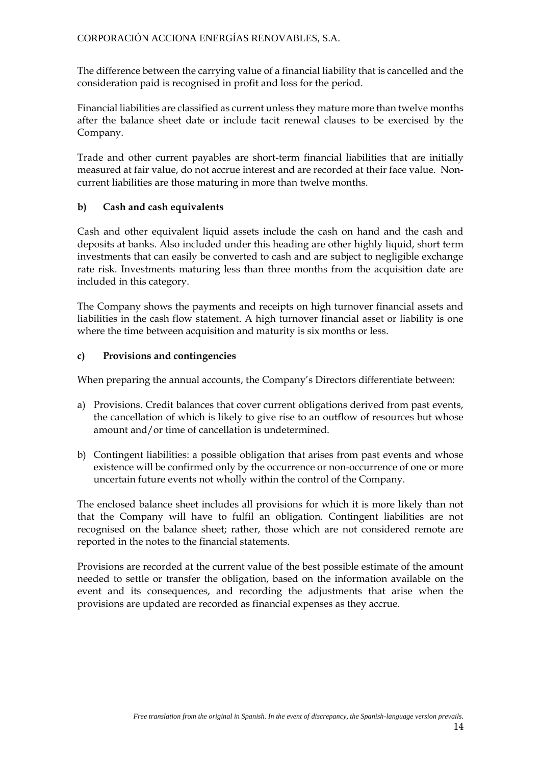The difference between the carrying value of a financial liability that is cancelled and the consideration paid is recognised in profit and loss for the period.

Financial liabilities are classified as current unless they mature more than twelve months after the balance sheet date or include tacit renewal clauses to be exercised by the Company.

Trade and other current payables are short-term financial liabilities that are initially measured at fair value, do not accrue interest and are recorded at their face value. Noncurrent liabilities are those maturing in more than twelve months.

# **b) Cash and cash equivalents**

Cash and other equivalent liquid assets include the cash on hand and the cash and deposits at banks. Also included under this heading are other highly liquid, short term investments that can easily be converted to cash and are subject to negligible exchange rate risk. Investments maturing less than three months from the acquisition date are included in this category.

The Company shows the payments and receipts on high turnover financial assets and liabilities in the cash flow statement. A high turnover financial asset or liability is one where the time between acquisition and maturity is six months or less.

# **c) Provisions and contingencies**

When preparing the annual accounts, the Company's Directors differentiate between:

- a) Provisions. Credit balances that cover current obligations derived from past events, the cancellation of which is likely to give rise to an outflow of resources but whose amount and/or time of cancellation is undetermined.
- b) Contingent liabilities: a possible obligation that arises from past events and whose existence will be confirmed only by the occurrence or non-occurrence of one or more uncertain future events not wholly within the control of the Company.

The enclosed balance sheet includes all provisions for which it is more likely than not that the Company will have to fulfil an obligation. Contingent liabilities are not recognised on the balance sheet; rather, those which are not considered remote are reported in the notes to the financial statements.

Provisions are recorded at the current value of the best possible estimate of the amount needed to settle or transfer the obligation, based on the information available on the event and its consequences, and recording the adjustments that arise when the provisions are updated are recorded as financial expenses as they accrue.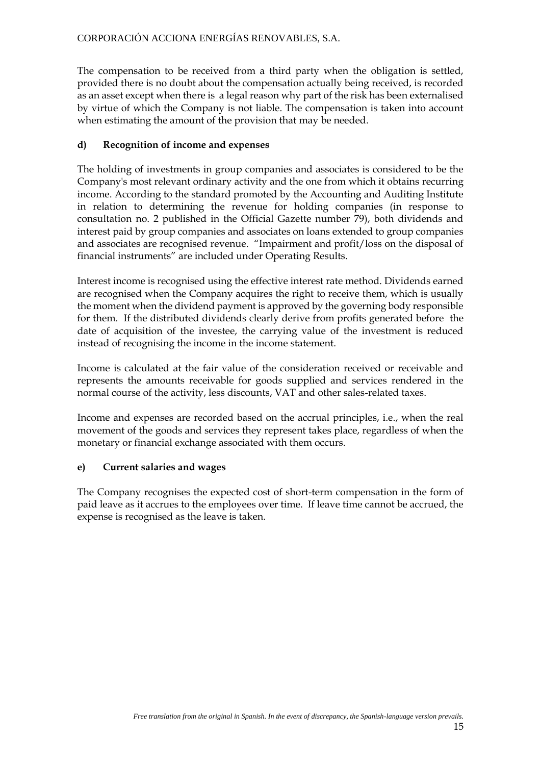The compensation to be received from a third party when the obligation is settled, provided there is no doubt about the compensation actually being received, is recorded as an asset except when there is a legal reason why part of the risk has been externalised by virtue of which the Company is not liable. The compensation is taken into account when estimating the amount of the provision that may be needed.

# **d) Recognition of income and expenses**

The holding of investments in group companies and associates is considered to be the Company's most relevant ordinary activity and the one from which it obtains recurring income. According to the standard promoted by the Accounting and Auditing Institute in relation to determining the revenue for holding companies (in response to consultation no. 2 published in the Official Gazette number 79), both dividends and interest paid by group companies and associates on loans extended to group companies and associates are recognised revenue. "Impairment and profit/loss on the disposal of financial instruments" are included under Operating Results.

Interest income is recognised using the effective interest rate method. Dividends earned are recognised when the Company acquires the right to receive them, which is usually the moment when the dividend payment is approved by the governing body responsible for them. If the distributed dividends clearly derive from profits generated before the date of acquisition of the investee, the carrying value of the investment is reduced instead of recognising the income in the income statement.

Income is calculated at the fair value of the consideration received or receivable and represents the amounts receivable for goods supplied and services rendered in the normal course of the activity, less discounts, VAT and other sales-related taxes.

Income and expenses are recorded based on the accrual principles, i.e., when the real movement of the goods and services they represent takes place, regardless of when the monetary or financial exchange associated with them occurs.

# **e) Current salaries and wages**

The Company recognises the expected cost of short-term compensation in the form of paid leave as it accrues to the employees over time. If leave time cannot be accrued, the expense is recognised as the leave is taken.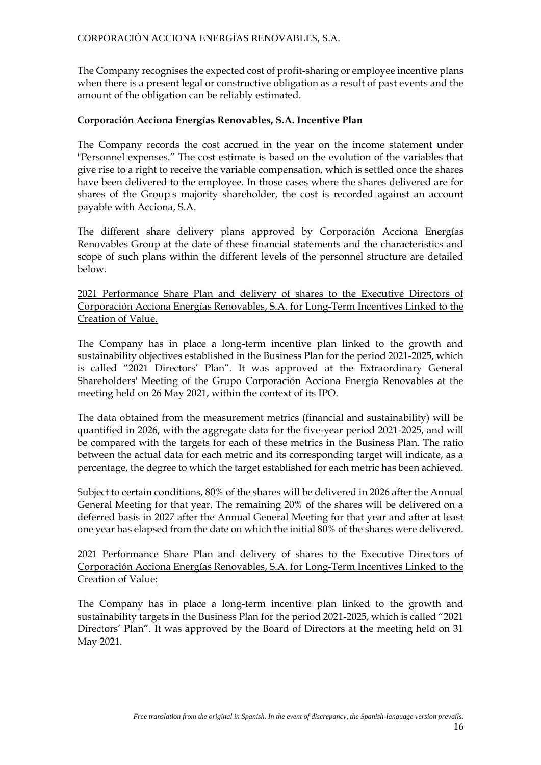The Company recognises the expected cost of profit-sharing or employee incentive plans when there is a present legal or constructive obligation as a result of past events and the amount of the obligation can be reliably estimated.

# **Corporación Acciona Energías Renovables, S.A. Incentive Plan**

The Company records the cost accrued in the year on the income statement under "Personnel expenses." The cost estimate is based on the evolution of the variables that give rise to a right to receive the variable compensation, which is settled once the shares have been delivered to the employee. In those cases where the shares delivered are for shares of the Group's majority shareholder, the cost is recorded against an account payable with Acciona, S.A.

The different share delivery plans approved by Corporación Acciona Energías Renovables Group at the date of these financial statements and the characteristics and scope of such plans within the different levels of the personnel structure are detailed below.

2021 Performance Share Plan and delivery of shares to the Executive Directors of Corporación Acciona Energías Renovables, S.A. for Long-Term Incentives Linked to the Creation of Value.

The Company has in place a long-term incentive plan linked to the growth and sustainability objectives established in the Business Plan for the period 2021-2025, which is called "2021 Directors' Plan". It was approved at the Extraordinary General Shareholders' Meeting of the Grupo Corporación Acciona Energía Renovables at the meeting held on 26 May 2021, within the context of its IPO.

The data obtained from the measurement metrics (financial and sustainability) will be quantified in 2026, with the aggregate data for the five-year period 2021-2025, and will be compared with the targets for each of these metrics in the Business Plan. The ratio between the actual data for each metric and its corresponding target will indicate, as a percentage, the degree to which the target established for each metric has been achieved.

Subject to certain conditions, 80% of the shares will be delivered in 2026 after the Annual General Meeting for that year. The remaining 20% of the shares will be delivered on a deferred basis in 2027 after the Annual General Meeting for that year and after at least one year has elapsed from the date on which the initial 80% of the shares were delivered.

2021 Performance Share Plan and delivery of shares to the Executive Directors of Corporación Acciona Energías Renovables, S.A. for Long-Term Incentives Linked to the Creation of Value:

The Company has in place a long-term incentive plan linked to the growth and sustainability targets in the Business Plan for the period 2021-2025, which is called "2021 Directors' Plan". It was approved by the Board of Directors at the meeting held on 31 May 2021.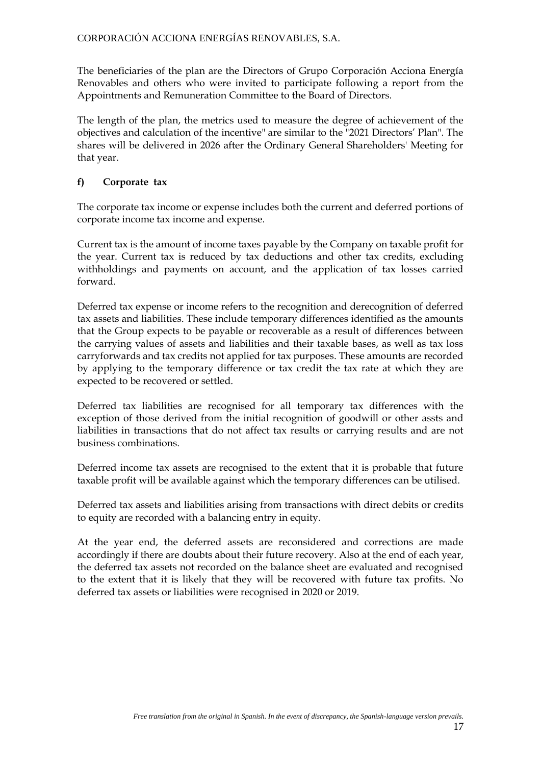The beneficiaries of the plan are the Directors of Grupo Corporación Acciona Energía Renovables and others who were invited to participate following a report from the Appointments and Remuneration Committee to the Board of Directors.

The length of the plan, the metrics used to measure the degree of achievement of the objectives and calculation of the incentive" are similar to the "2021 Directors' Plan". The shares will be delivered in 2026 after the Ordinary General Shareholders' Meeting for that year.

# **f) Corporate tax**

The corporate tax income or expense includes both the current and deferred portions of corporate income tax income and expense.

Current tax is the amount of income taxes payable by the Company on taxable profit for the year. Current tax is reduced by tax deductions and other tax credits, excluding withholdings and payments on account, and the application of tax losses carried forward.

Deferred tax expense or income refers to the recognition and derecognition of deferred tax assets and liabilities. These include temporary differences identified as the amounts that the Group expects to be payable or recoverable as a result of differences between the carrying values of assets and liabilities and their taxable bases, as well as tax loss carryforwards and tax credits not applied for tax purposes. These amounts are recorded by applying to the temporary difference or tax credit the tax rate at which they are expected to be recovered or settled.

Deferred tax liabilities are recognised for all temporary tax differences with the exception of those derived from the initial recognition of goodwill or other assts and liabilities in transactions that do not affect tax results or carrying results and are not business combinations.

Deferred income tax assets are recognised to the extent that it is probable that future taxable profit will be available against which the temporary differences can be utilised.

Deferred tax assets and liabilities arising from transactions with direct debits or credits to equity are recorded with a balancing entry in equity.

At the year end, the deferred assets are reconsidered and corrections are made accordingly if there are doubts about their future recovery. Also at the end of each year, the deferred tax assets not recorded on the balance sheet are evaluated and recognised to the extent that it is likely that they will be recovered with future tax profits. No deferred tax assets or liabilities were recognised in 2020 or 2019.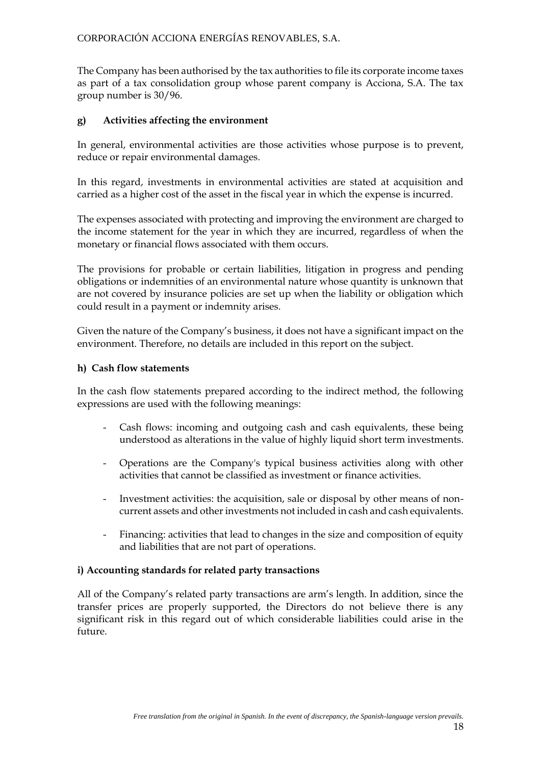The Company has been authorised by the tax authorities to file its corporate income taxes as part of a tax consolidation group whose parent company is Acciona, S.A. The tax group number is 30/96.

#### **g) Activities affecting the environment**

In general, environmental activities are those activities whose purpose is to prevent, reduce or repair environmental damages.

In this regard, investments in environmental activities are stated at acquisition and carried as a higher cost of the asset in the fiscal year in which the expense is incurred.

The expenses associated with protecting and improving the environment are charged to the income statement for the year in which they are incurred, regardless of when the monetary or financial flows associated with them occurs.

The provisions for probable or certain liabilities, litigation in progress and pending obligations or indemnities of an environmental nature whose quantity is unknown that are not covered by insurance policies are set up when the liability or obligation which could result in a payment or indemnity arises.

Given the nature of the Company's business, it does not have a significant impact on the environment. Therefore, no details are included in this report on the subject.

#### **h) Cash flow statements**

In the cash flow statements prepared according to the indirect method, the following expressions are used with the following meanings:

- Cash flows: incoming and outgoing cash and cash equivalents, these being understood as alterations in the value of highly liquid short term investments.
- Operations are the Company's typical business activities along with other activities that cannot be classified as investment or finance activities.
- Investment activities: the acquisition, sale or disposal by other means of noncurrent assets and other investments not included in cash and cash equivalents.
- Financing: activities that lead to changes in the size and composition of equity and liabilities that are not part of operations.

#### **i) Accounting standards for related party transactions**

All of the Company's related party transactions are arm's length. In addition, since the transfer prices are properly supported, the Directors do not believe there is any significant risk in this regard out of which considerable liabilities could arise in the future.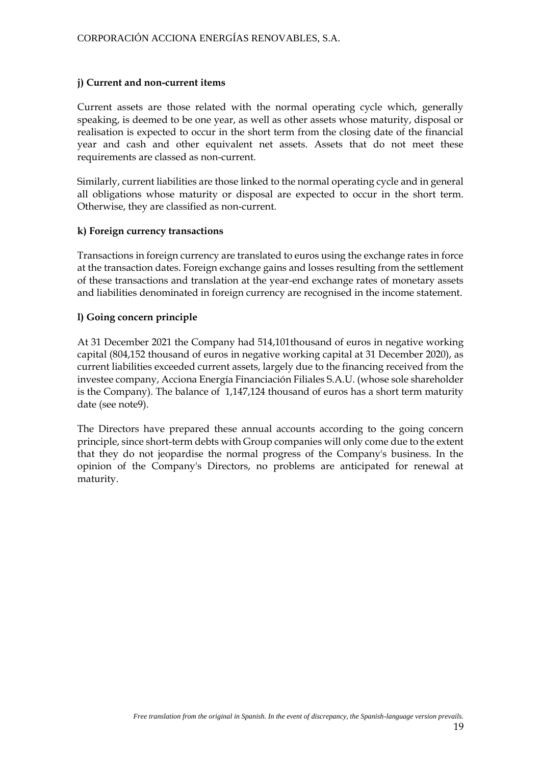#### **j) Current and non-current items**

Current assets are those related with the normal operating cycle which, generally speaking, is deemed to be one year, as well as other assets whose maturity, disposal or realisation is expected to occur in the short term from the closing date of the financial year and cash and other equivalent net assets. Assets that do not meet these requirements are classed as non-current.

Similarly, current liabilities are those linked to the normal operating cycle and in general all obligations whose maturity or disposal are expected to occur in the short term. Otherwise, they are classified as non-current.

#### **k) Foreign currency transactions**

Transactions in foreign currency are translated to euros using the exchange rates in force at the transaction dates. Foreign exchange gains and losses resulting from the settlement of these transactions and translation at the year-end exchange rates of monetary assets and liabilities denominated in foreign currency are recognised in the income statement.

#### **l) Going concern principle**

At 31 December 2021 the Company had 514,101thousand of euros in negative working capital (804,152 thousand of euros in negative working capital at 31 December 2020), as current liabilities exceeded current assets, largely due to the financing received from the investee company, Acciona Energía Financiación Filiales S.A.U. (whose sole shareholder is the Company). The balance of 1,147,124 thousand of euros has a short term maturity date (see note9).

The Directors have prepared these annual accounts according to the going concern principle, since short-term debts with Group companies will only come due to the extent that they do not jeopardise the normal progress of the Company's business. In the opinion of the Company's Directors, no problems are anticipated for renewal at maturity.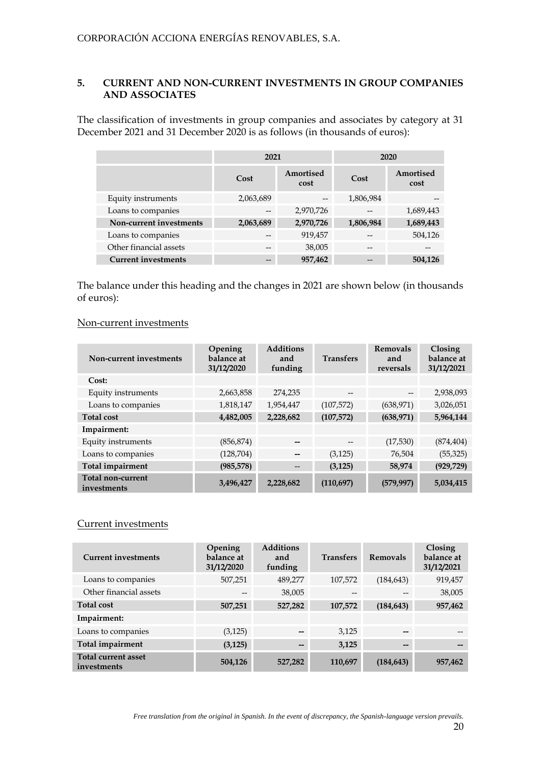#### **5. CURRENT AND NON-CURRENT INVESTMENTS IN GROUP COMPANIES AND ASSOCIATES**

The classification of investments in group companies and associates by category at 31 December 2021 and 31 December 2020 is as follows (in thousands of euros):

|                            | 2021      |                   | 2020      |                   |  |
|----------------------------|-----------|-------------------|-----------|-------------------|--|
|                            | Cost      | Amortised<br>cost | Cost      | Amortised<br>cost |  |
| Equity instruments         | 2,063,689 |                   | 1,806,984 |                   |  |
| Loans to companies         |           | 2,970,726         |           | 1,689,443         |  |
| Non-current investments    | 2,063,689 | 2,970,726         | 1,806,984 | 1,689,443         |  |
| Loans to companies         |           | 919,457           |           | 504,126           |  |
| Other financial assets     | --        | 38,005            | $- -$     | --                |  |
| <b>Current investments</b> | --        | 957,462           |           | 504.126           |  |

The balance under this heading and the changes in 2021 are shown below (in thousands of euros):

#### Non-current investments

| Non-current investments          | Opening<br>balance at<br>31/12/2020 | <b>Additions</b><br>and<br>funding | <b>Transfers</b> | <b>Removals</b><br>and<br>reversals | Closing<br>balance at<br>31/12/2021 |
|----------------------------------|-------------------------------------|------------------------------------|------------------|-------------------------------------|-------------------------------------|
| Cost:                            |                                     |                                    |                  |                                     |                                     |
| Equity instruments               | 2,663,858                           | 274,235                            | --               | --                                  | 2,938,093                           |
| Loans to companies               | 1,818,147                           | 1,954,447                          | (107, 572)       | (638, 971)                          | 3,026,051                           |
| <b>Total cost</b>                | 4,482,005                           | 2,228,682                          | (107, 572)       | (638, 971)                          | 5,964,144                           |
| Impairment:                      |                                     |                                    |                  |                                     |                                     |
| Equity instruments               | (856, 874)                          | --                                 | --               | (17, 530)                           | (874, 404)                          |
| Loans to companies               | (128, 704)                          | $-$                                | (3, 125)         | 76,504                              | (55, 325)                           |
| <b>Total impairment</b>          | (985, 578)                          | --                                 | (3, 125)         | 58,974                              | (929, 729)                          |
| Total non-current<br>investments | 3,496,427                           | 2,228,682                          | (110, 697)       | (579, 997)                          | 5,034,415                           |

# Current investments

| <b>Current investments</b>                | Opening<br>balance at<br>31/12/2020 | <b>Additions</b><br>and<br>funding | <b>Transfers</b>  | <b>Removals</b> | Closing<br>balance at<br>31/12/2021 |
|-------------------------------------------|-------------------------------------|------------------------------------|-------------------|-----------------|-------------------------------------|
| Loans to companies                        | 507,251                             | 489,277                            | 107.572           | (184, 643)      | 919,457                             |
| Other financial assets                    | $-$                                 | 38,005                             | $\qquad \qquad -$ | $- -$           | 38,005                              |
| <b>Total cost</b>                         | 507,251                             | 527,282                            | 107,572           | (184, 643)      | 957,462                             |
| Impairment:                               |                                     |                                    |                   |                 |                                     |
| Loans to companies                        | (3, 125)                            | --                                 | 3,125             | --              | $- -$                               |
| <b>Total impairment</b>                   | (3, 125)                            | --                                 | 3,125             |                 | --                                  |
| <b>Total current asset</b><br>investments | 504,126                             | 527,282                            | 110,697           | (184, 643)      | 957,462                             |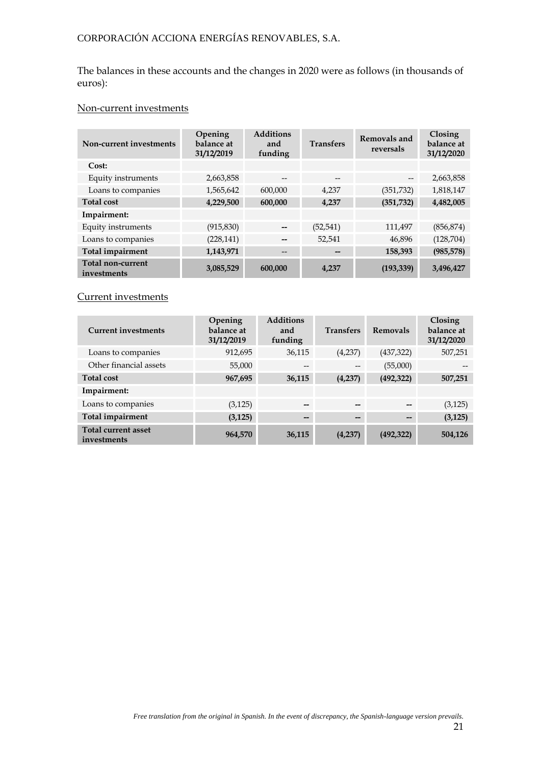The balances in these accounts and the changes in 2020 were as follows (in thousands of euros):

#### Non-current investments

| Non-current investments          | Opening<br>balance at<br>31/12/2019 | <b>Additions</b><br>and<br>funding                | <b>Transfers</b> | Removals and<br>reversals | Closing<br>balance at<br>31/12/2020 |
|----------------------------------|-------------------------------------|---------------------------------------------------|------------------|---------------------------|-------------------------------------|
| Cost:                            |                                     |                                                   |                  |                           |                                     |
| Equity instruments               | 2,663,858                           | $\hspace{0.05cm}$ – $\hspace{0.05cm}$             | --               | $\overline{\phantom{a}}$  | 2,663,858                           |
| Loans to companies               | 1,565,642                           | 600,000                                           | 4.237            | (351, 732)                | 1,818,147                           |
| <b>Total cost</b>                | 4,229,500                           | 600,000                                           | 4,237            | (351, 732)                | 4,482,005                           |
| Impairment:                      |                                     |                                                   |                  |                           |                                     |
| Equity instruments               | (915, 830)                          | $\hspace{0.05cm}-\hspace{0.05cm}-\hspace{0.05cm}$ | (52, 541)        | 111,497                   | (856, 874)                          |
| Loans to companies               | (228, 141)                          | --                                                | 52,541           | 46,896                    | (128, 704)                          |
| Total impairment                 | 1,143,971                           | $- -$                                             | --               | 158,393                   | (985, 578)                          |
| Total non-current<br>investments | 3,085,529                           | 600,000                                           | 4,237            | (193, 339)                | 3,496,427                           |

#### Current investments

| <b>Current investments</b>                | Opening<br>balance at<br>31/12/2019 | <b>Additions</b><br>and<br>funding | <b>Transfers</b> | Removals   | Closing<br>balance at<br>31/12/2020 |
|-------------------------------------------|-------------------------------------|------------------------------------|------------------|------------|-------------------------------------|
| Loans to companies                        | 912,695                             | 36,115                             | (4,237)          | (437, 322) | 507,251                             |
| Other financial assets                    | 55,000                              | $-$                                | $-$              | (55,000)   |                                     |
| <b>Total cost</b>                         | 967,695                             | 36,115                             | (4, 237)         | (492, 322) | 507,251                             |
| Impairment:                               |                                     |                                    |                  |            |                                     |
| Loans to companies                        | (3, 125)                            | $-$                                | --               |            | (3, 125)                            |
| <b>Total impairment</b>                   | (3, 125)                            | $-$                                | --               |            | (3, 125)                            |
| <b>Total current asset</b><br>investments | 964,570                             | 36,115                             | (4,237)          | (492, 322) | 504,126                             |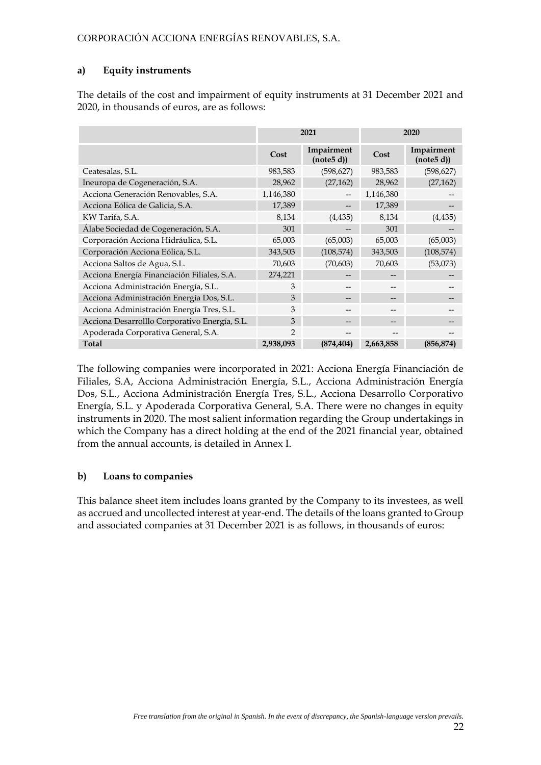# **a) Equity instruments**

The details of the cost and impairment of equity instruments at 31 December 2021 and 2020, in thousands of euros, are as follows:

|                                               | 2021           |                         |           | 2020                    |
|-----------------------------------------------|----------------|-------------------------|-----------|-------------------------|
|                                               | Cost           | Impairment<br>(note5 d) | Cost      | Impairment<br>(note5 d) |
| Ceatesalas, S.L.                              | 983,583        | (598, 627)              | 983,583   | (598, 627)              |
| Ineuropa de Cogeneración, S.A.                | 28,962         | (27, 162)               | 28,962    | (27, 162)               |
| Acciona Generación Renovables, S.A.           | 1,146,380      |                         | 1,146,380 |                         |
| Acciona Eólica de Galicia, S.A.               | 17,389         |                         | 17,389    |                         |
| KW Tarifa, S.A.                               | 8,134          | (4, 435)                | 8,134     | (4, 435)                |
| Álabe Sociedad de Cogeneración, S.A.          | 301            |                         | 301       |                         |
| Corporación Acciona Hidráulica, S.L.          | 65,003         | (65,003)                | 65,003    | (65,003)                |
| Corporación Acciona Eólica, S.L.              | 343,503        | (108, 574)              | 343,503   | (108, 574)              |
| Acciona Saltos de Agua, S.L.                  | 70,603         | (70, 603)               | 70,603    | (53,073)                |
| Acciona Energía Financiación Filiales, S.A.   | 274,221        |                         |           |                         |
| Acciona Administración Energía, S.L.          | 3              |                         |           |                         |
| Acciona Administración Energía Dos, S.L.      | 3              |                         | $-$       |                         |
| Acciona Administración Energía Tres, S.L.     | 3              |                         |           |                         |
| Acciona Desarrolllo Corporativo Energía, S.L. | 3              |                         |           |                         |
| Apoderada Corporativa General, S.A.           | $\overline{2}$ |                         |           |                         |
| <b>Total</b>                                  | 2,938,093      | (874, 404)              | 2,663,858 | (856, 874)              |

The following companies were incorporated in 2021: Acciona Energía Financiación de Filiales, S.A, Acciona Administración Energía, S.L., Acciona Administración Energía Dos, S.L., Acciona Administración Energía Tres, S.L., Acciona Desarrollo Corporativo Energía, S.L. y Apoderada Corporativa General, S.A. There were no changes in equity instruments in 2020. The most salient information regarding the Group undertakings in which the Company has a direct holding at the end of the 2021 financial year, obtained from the annual accounts, is detailed in Annex I.

#### **b) Loans to companies**

This balance sheet item includes loans granted by the Company to its investees, as well as accrued and uncollected interest at year-end. The details of the loans granted to Group and associated companies at 31 December 2021 is as follows, in thousands of euros: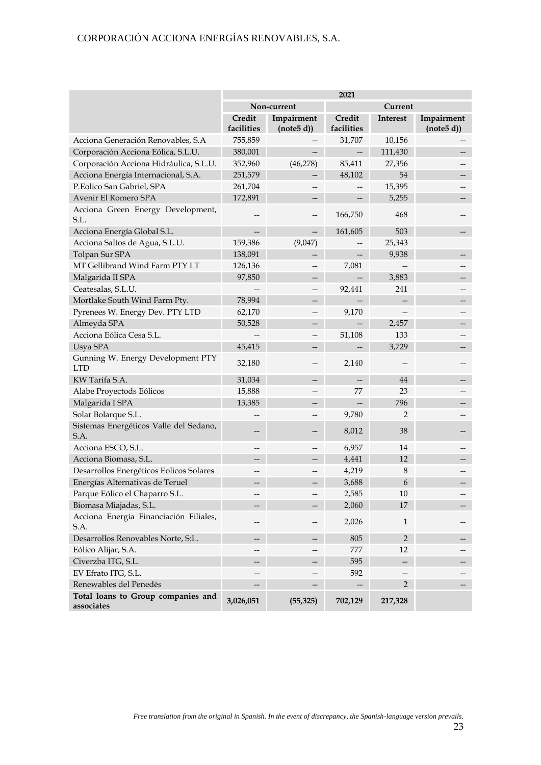|                                                  | 2021                     |                          |                          |                          |                         |  |
|--------------------------------------------------|--------------------------|--------------------------|--------------------------|--------------------------|-------------------------|--|
|                                                  |                          | Non-current              |                          | Current                  |                         |  |
|                                                  | Credit<br>facilities     | Impairment<br>(note5 d)  | Credit<br>facilities     | Interest                 | Impairment<br>(note5 d) |  |
| Acciona Generación Renovables, S.A               | 755,859                  |                          | 31,707                   | 10,156                   |                         |  |
| Corporación Acciona Eólica, S.L.U.               | 380,001                  | $\overline{\phantom{a}}$ | $\overline{\phantom{a}}$ | 111,430                  |                         |  |
| Corporación Acciona Hidráulica, S.L.U.           | 352,960                  | (46, 278)                | 85,411                   | 27,356                   |                         |  |
| Acciona Energía Internacional, S.A.              | 251,579                  |                          | 48,102                   | 54                       |                         |  |
| P.Eolico San Gabriel, SPA                        | 261,704                  |                          | --                       | 15,395                   |                         |  |
| Avenir El Romero SPA                             | 172,891                  | $\overline{\phantom{a}}$ | $\overline{\phantom{0}}$ | 5,255                    |                         |  |
| Acciona Green Energy Development,<br>S.L.        |                          | --                       | 166,750                  | 468                      |                         |  |
| Acciona Energía Global S.L.                      | $\overline{\phantom{0}}$ | $\overline{\phantom{m}}$ | 161,605                  | 503                      | --                      |  |
| Acciona Saltos de Agua, S.L.U.                   | 159,386                  | (9,047)                  |                          | 25,343                   |                         |  |
| Tolpan Sur SPA                                   | 138,091                  | $\overline{\phantom{a}}$ |                          | 9,938                    | --                      |  |
| MT Gellibrand Wind Farm PTY LT                   | 126,136                  | $-\!$                    | 7,081                    | --                       |                         |  |
| Malgarida II SPA                                 | 97,850                   | $\overline{\phantom{a}}$ | $\overline{\phantom{a}}$ | 3,883                    |                         |  |
| Ceatesalas, S.L.U.                               |                          | $\overline{\phantom{a}}$ | 92,441                   | 241                      |                         |  |
| Mortlake South Wind Farm Pty.                    | 78,994                   | $\overline{\phantom{a}}$ |                          | $\overline{\phantom{a}}$ |                         |  |
| Pyrenees W. Energy Dev. PTY LTD                  | 62,170                   | $\qquad \qquad -$        | 9,170                    | --                       |                         |  |
| Almeyda SPA                                      | 50,528                   | $\overline{\phantom{a}}$ | $\overline{\phantom{a}}$ | 2,457                    |                         |  |
| Acciona Eólica Cesa S.L.                         |                          | --                       | 51,108                   | 133                      |                         |  |
| Usya SPA                                         | 45,415                   |                          |                          | 3,729                    |                         |  |
| Gunning W. Energy Development PTY<br><b>LTD</b>  | 32,180                   |                          | 2,140                    |                          |                         |  |
| KW Tarifa S.A.                                   | 31,034                   | $\overline{\phantom{a}}$ |                          | 44                       |                         |  |
| Alabe Proyectods Eólicos                         | 15,888                   |                          | 77                       | 23                       |                         |  |
| Malgarida I SPA                                  | 13,385                   | $\overline{\phantom{a}}$ | $\overline{\phantom{a}}$ | 796                      |                         |  |
| Solar Bolarque S.L.                              |                          |                          | 9,780                    | 2                        |                         |  |
| Sistemas Energéticos Valle del Sedano,<br>S.A.   |                          |                          | 8,012                    | 38                       |                         |  |
| Acciona ESCO, S.L.                               |                          |                          | 6,957                    | 14                       |                         |  |
| Acciona Biomasa, S.L.                            | $\overline{a}$           | $\overline{\phantom{a}}$ | 4,441                    | 12                       |                         |  |
| Desarrollos Energéticos Eolicos Solares          |                          | --                       | 4,219                    | 8                        |                         |  |
| Energías Alternativas de Teruel                  | $-$                      |                          | 3,688                    | 6                        | --                      |  |
| Parque Eólico el Chaparro S.L.                   |                          |                          | 2,585                    | 10                       |                         |  |
| Biomasa Miajadas, S.L.                           |                          |                          | 2,060                    | $17\,$                   | --                      |  |
| Acciona Energía Financiación Filiales,<br>S.A.   |                          |                          | 2,026                    | 1                        |                         |  |
| Desarrollos Renovables Norte, S:L.               | --                       |                          | 805                      | $\overline{2}$           |                         |  |
| Eólico Alijar, S.A.                              | --                       |                          | 777                      | 12                       |                         |  |
| Civerzba ITG, S.L.                               | --                       |                          | 595                      | --                       |                         |  |
| EV Efrato ITG, S.L.                              |                          |                          | 592                      |                          |                         |  |
| Renewables del Penedés                           |                          | $\overline{\phantom{a}}$ | --                       | $\overline{2}$           | --                      |  |
| Total loans to Group companies and<br>associates | 3,026,051                | (55, 325)                | 702,129                  | 217,328                  |                         |  |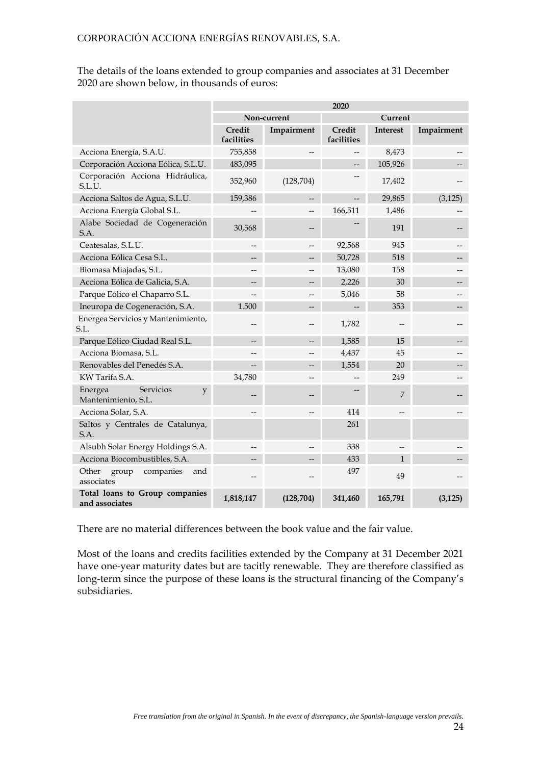|                                                         | 2020                     |             |                          |                 |            |  |
|---------------------------------------------------------|--------------------------|-------------|--------------------------|-----------------|------------|--|
|                                                         |                          | Non-current |                          | Current         |            |  |
|                                                         | Credit<br>facilities     | Impairment  | Credit<br>facilities     | <b>Interest</b> | Impairment |  |
| Acciona Energía, S.A.U.                                 | 755,858                  |             | --                       | 8,473           |            |  |
| Corporación Acciona Eólica, S.L.U.                      | 483,095                  |             | $\overline{\phantom{a}}$ | 105,926         |            |  |
| Corporación Acciona Hidráulica,<br>S.L.U.               | 352,960                  | (128, 704)  |                          | 17,402          |            |  |
| Acciona Saltos de Agua, S.L.U.                          | 159,386                  |             | $\overline{\phantom{a}}$ | 29,865          | (3, 125)   |  |
| Acciona Energía Global S.L.                             |                          | --          | 166,511                  | 1,486           |            |  |
| Alabe Sociedad de Cogeneración<br>S.A.                  | 30,568                   |             |                          | 191             |            |  |
| Ceatesalas, S.L.U.                                      | --                       |             | 92,568                   | 945             |            |  |
| Acciona Eólica Cesa S.L.                                | --                       |             | 50,728                   | 518             |            |  |
| Biomasa Miajadas, S.L.                                  |                          |             | 13,080                   | 158             |            |  |
| Acciona Eólica de Galicia, S.A.                         | --                       |             | 2,226                    | 30              |            |  |
| Parque Eólico el Chaparro S.L.                          |                          |             | 5,046                    | 58              |            |  |
| Ineuropa de Cogeneración, S.A.                          | 1.500                    |             | $\overline{\phantom{a}}$ | 353             |            |  |
| Energea Servicios y Mantenimiento,<br>S.L.              |                          |             | 1,782                    |                 |            |  |
| Parque Eólico Ciudad Real S.L.                          | $\overline{\phantom{a}}$ |             | 1,585                    | 15              |            |  |
| Acciona Biomasa, S.L.                                   |                          |             | 4,437                    | 45              |            |  |
| Renovables del Penedés S.A.                             | --                       |             | 1,554                    | 20              |            |  |
| KW Tarifa S.A.                                          | 34,780                   |             |                          | 249             |            |  |
| <b>Servicios</b><br>Energea<br>y<br>Mantenimiento, S.L. |                          |             |                          | 7               |            |  |
| Acciona Solar, S.A.                                     | --                       |             | 414                      | --              |            |  |
| Saltos y Centrales de Catalunya,<br>S.A.                |                          |             | 261                      |                 |            |  |
| Alsubh Solar Energy Holdings S.A.                       |                          |             | 338                      | $-$             |            |  |
| Acciona Biocombustibles, S.A.                           | $\overline{\phantom{0}}$ |             | 433                      | $\mathbf{1}$    |            |  |
| Other<br>group<br>companies<br>and<br>associates        |                          |             | 497                      | 49              |            |  |
| Total loans to Group companies<br>and associates        | 1,818,147                | (128, 704)  | 341,460                  | 165,791         | (3, 125)   |  |

The details of the loans extended to group companies and associates at 31 December 2020 are shown below, in thousands of euros:

There are no material differences between the book value and the fair value.

Most of the loans and credits facilities extended by the Company at 31 December 2021 have one-year maturity dates but are tacitly renewable. They are therefore classified as long-term since the purpose of these loans is the structural financing of the Company's subsidiaries.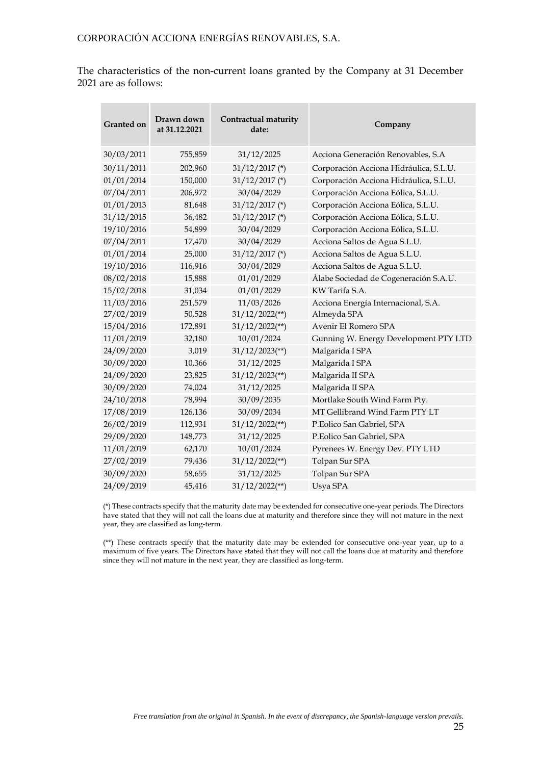The characteristics of the non-current loans granted by the Company at 31 December 2021 are as follows:

| Granted on | Drawn down<br>at 31.12.2021 | Contractual maturity<br>date: | Company                                |
|------------|-----------------------------|-------------------------------|----------------------------------------|
| 30/03/2011 | 755,859                     | 31/12/2025                    | Acciona Generación Renovables, S.A     |
| 30/11/2011 | 202,960                     | $31/12/2017$ (*)              | Corporación Acciona Hidráulica, S.L.U. |
| 01/01/2014 | 150,000                     | $31/12/2017$ (*)              | Corporación Acciona Hidráulica, S.L.U. |
| 07/04/2011 | 206,972                     | 30/04/2029                    | Corporación Acciona Eólica, S.L.U.     |
| 01/01/2013 | 81,648                      | $31/12/2017$ (*)              | Corporación Acciona Eólica, S.L.U.     |
| 31/12/2015 | 36,482                      | $31/12/2017$ (*)              | Corporación Acciona Eólica, S.L.U.     |
| 19/10/2016 | 54,899                      | 30/04/2029                    | Corporación Acciona Eólica, S.L.U.     |
| 07/04/2011 | 17,470                      | 30/04/2029                    | Acciona Saltos de Agua S.L.U.          |
| 01/01/2014 | 25,000                      | $31/12/2017$ (*)              | Acciona Saltos de Agua S.L.U.          |
| 19/10/2016 | 116,916                     | 30/04/2029                    | Acciona Saltos de Agua S.L.U.          |
| 08/02/2018 | 15,888                      | 01/01/2029                    | Álabe Sociedad de Cogeneración S.A.U.  |
| 15/02/2018 | 31,034                      | 01/01/2029                    | KW Tarifa S.A.                         |
| 11/03/2016 | 251,579                     | 11/03/2026                    | Acciona Energía Internacional, S.A.    |
| 27/02/2019 | 50,528                      | $31/12/2022$ <sup>**</sup> )  | Almeyda SPA                            |
| 15/04/2016 | 172,891                     | $31/12/2022$ <sup>**</sup> )  | Avenir El Romero SPA                   |
| 11/01/2019 | 32,180                      | 10/01/2024                    | Gunning W. Energy Development PTY LTD  |
| 24/09/2020 | 3,019                       | $31/12/2023$ <sup>**</sup> )  | Malgarida I SPA                        |
| 30/09/2020 | 10,366                      | 31/12/2025                    | Malgarida I SPA                        |
| 24/09/2020 | 23,825                      | $31/12/2023$ <sup>**</sup> )  | Malgarida II SPA                       |
| 30/09/2020 | 74,024                      | 31/12/2025                    | Malgarida II SPA                       |
| 24/10/2018 | 78,994                      | 30/09/2035                    | Mortlake South Wind Farm Pty.          |
| 17/08/2019 | 126,136                     | 30/09/2034                    | MT Gellibrand Wind Farm PTY LT         |
| 26/02/2019 | 112,931                     | $31/12/2022$ <sup>**</sup> )  | P.Eolico San Gabriel, SPA              |
| 29/09/2020 | 148,773                     | 31/12/2025                    | P.Eolico San Gabriel, SPA              |
| 11/01/2019 | 62,170                      | 10/01/2024                    | Pyrenees W. Energy Dev. PTY LTD        |
| 27/02/2019 | 79,436                      | $31/12/2022$ <sup>**</sup> )  | Tolpan Sur SPA                         |
| 30/09/2020 | 58,655                      | 31/12/2025                    | Tolpan Sur SPA                         |
| 24/09/2019 | 45,416                      | $31/12/2022$ <sup>**</sup> )  | Usya SPA                               |

(\*) These contracts specify that the maturity date may be extended for consecutive one-year periods. The Directors have stated that they will not call the loans due at maturity and therefore since they will not mature in the next year, they are classified as long-term.

(\*\*) These contracts specify that the maturity date may be extended for consecutive one-year year, up to a maximum of five years. The Directors have stated that they will not call the loans due at maturity and therefore since they will not mature in the next year, they are classified as long-term.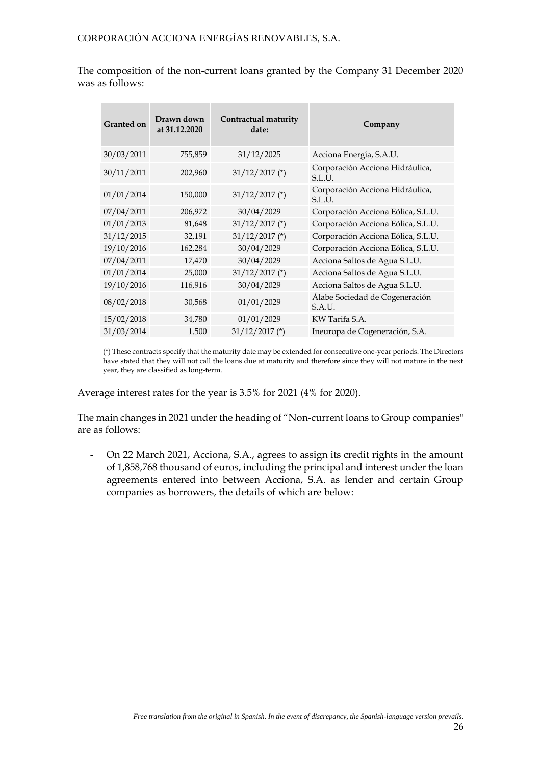| Granted on | Drawn down<br>at 31.12.2020 | Contractual maturity<br>date: | Company                                   |
|------------|-----------------------------|-------------------------------|-------------------------------------------|
| 30/03/2011 | 755,859                     | 31/12/2025                    | Acciona Energía, S.A.U.                   |
| 30/11/2011 | 202,960                     | $31/12/2017$ (*)              | Corporación Acciona Hidráulica,<br>S.L.U. |
| 01/01/2014 | 150,000                     | $31/12/2017$ (*)              | Corporación Acciona Hidráulica,<br>S.L.U. |
| 07/04/2011 | 206,972                     | 30/04/2029                    | Corporación Acciona Eólica, S.L.U.        |
| 01/01/2013 | 81,648                      | $31/12/2017$ (*)              | Corporación Acciona Eólica, S.L.U.        |
| 31/12/2015 | 32,191                      | $31/12/2017$ (*)              | Corporación Acciona Eólica, S.L.U.        |
| 19/10/2016 | 162,284                     | 30/04/2029                    | Corporación Acciona Eólica, S.L.U.        |
| 07/04/2011 | 17,470                      | 30/04/2029                    | Acciona Saltos de Agua S.L.U.             |
| 01/01/2014 | 25,000                      | $31/12/2017$ (*)              | Acciona Saltos de Agua S.L.U.             |
| 19/10/2016 | 116,916                     | 30/04/2029                    | Acciona Saltos de Agua S.L.U.             |
| 08/02/2018 | 30,568                      | 01/01/2029                    | Álabe Sociedad de Cogeneración<br>S.A.U.  |
| 15/02/2018 | 34,780                      | 01/01/2029                    | KW Tarifa S.A.                            |
| 31/03/2014 | 1.500                       | $31/12/2017$ (*)              | Ineuropa de Cogeneración, S.A.            |

The composition of the non-current loans granted by the Company 31 December 2020 was as follows:

(\*) These contracts specify that the maturity date may be extended for consecutive one-year periods. The Directors have stated that they will not call the loans due at maturity and therefore since they will not mature in the next year, they are classified as long-term.

Average interest rates for the year is 3.5% for 2021 (4% for 2020).

The main changes in 2021 under the heading of "Non-current loans to Group companies" are as follows:

- On 22 March 2021, Acciona, S.A., agrees to assign its credit rights in the amount of 1,858,768 thousand of euros, including the principal and interest under the loan agreements entered into between Acciona, S.A. as lender and certain Group companies as borrowers, the details of which are below: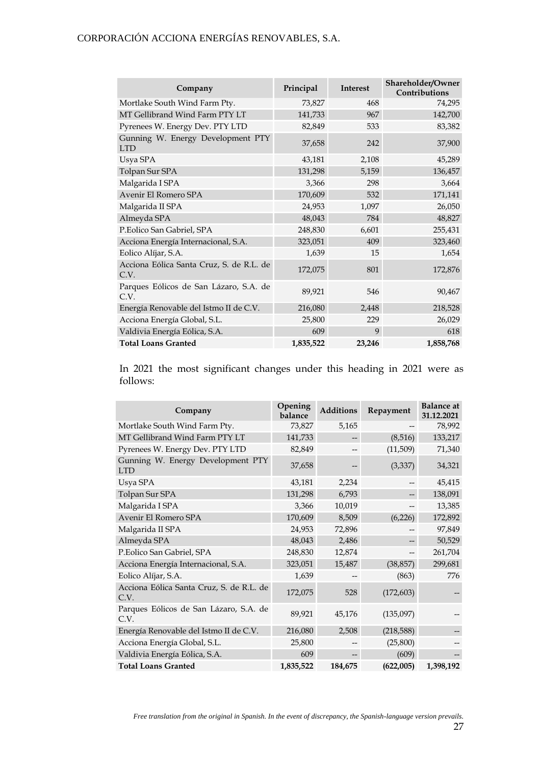| Company                                          | Principal | <b>Interest</b> | Shareholder/Owner<br>Contributions |
|--------------------------------------------------|-----------|-----------------|------------------------------------|
| Mortlake South Wind Farm Pty.                    | 73,827    | 468             | 74,295                             |
| MT Gellibrand Wind Farm PTY LT                   | 141,733   | 967             | 142,700                            |
| Pyrenees W. Energy Dev. PTY LTD                  | 82,849    | 533             | 83,382                             |
| Gunning W. Energy Development PTY<br><b>LTD</b>  | 37,658    | 242             | 37,900                             |
| Usya SPA                                         | 43,181    | 2,108           | 45,289                             |
| Tolpan Sur SPA                                   | 131,298   | 5,159           | 136,457                            |
| Malgarida I SPA                                  | 3,366     | 298             | 3,664                              |
| Avenir El Romero SPA                             | 170,609   | 532             | 171,141                            |
| Malgarida II SPA                                 | 24,953    | 1,097           | 26,050                             |
| Almeyda SPA                                      | 48,043    | 784             | 48,827                             |
| P.Eolico San Gabriel, SPA                        | 248,830   | 6,601           | 255,431                            |
| Acciona Energía Internacional, S.A.              | 323,051   | 409             | 323,460                            |
| Eolico Alíjar, S.A.                              | 1,639     | 15              | 1,654                              |
| Acciona Eólica Santa Cruz, S. de R.L. de<br>C.V. | 172,075   | 801             | 172,876                            |
| Parques Eólicos de San Lázaro, S.A. de<br>C.V.   | 89,921    | 546             | 90,467                             |
| Energía Renovable del Istmo II de C.V.           | 216,080   | 2,448           | 218,528                            |
| Acciona Energía Global, S.L.                     | 25,800    | 229             | 26,029                             |
| Valdivia Energía Eólica, S.A.                    | 609       | 9               | 618                                |
| <b>Total Loans Granted</b>                       | 1,835,522 | 23,246          | 1,858,768                          |

In 2021 the most significant changes under this heading in 2021 were as follows:

| Company                                          | Opening<br>balance | <b>Additions</b>         | Repayment  | <b>Balance</b> at<br>31.12.2021 |
|--------------------------------------------------|--------------------|--------------------------|------------|---------------------------------|
| Mortlake South Wind Farm Pty.                    | 73,827             | 5,165                    |            | 78,992                          |
| MT Gellibrand Wind Farm PTY LT                   | 141,733            |                          | (8,516)    | 133,217                         |
| Pyrenees W. Energy Dev. PTY LTD                  | 82,849             |                          | (11,509)   | 71,340                          |
| Gunning W. Energy Development PTY<br><b>LTD</b>  | 37,658             |                          | (3,337)    | 34,321                          |
| Usya SPA                                         | 43,181             | 2,234                    |            | 45,415                          |
| Tolpan Sur SPA                                   | 131,298            | 6,793                    |            | 138,091                         |
| Malgarida I SPA                                  | 3,366              | 10,019                   |            | 13,385                          |
| Avenir El Romero SPA                             | 170,609            | 8,509                    | (6,226)    | 172,892                         |
| Malgarida II SPA                                 | 24,953             | 72,896                   |            | 97,849                          |
| Almeyda SPA                                      | 48,043             | 2,486                    |            | 50,529                          |
| P.Eolico San Gabriel, SPA                        | 248,830            | 12,874                   |            | 261,704                         |
| Acciona Energía Internacional, S.A.              | 323,051            | 15,487                   | (38, 857)  | 299,681                         |
| Eolico Alíjar, S.A.                              | 1,639              |                          | (863)      | 776                             |
| Acciona Eólica Santa Cruz, S. de R.L. de<br>C.V. | 172,075            | 528                      | (172, 603) |                                 |
| Parques Eólicos de San Lázaro, S.A. de<br>C.V.   | 89,921             | 45,176                   | (135,097)  |                                 |
| Energía Renovable del Istmo II de C.V.           | 216,080            | 2,508                    | (218,588)  |                                 |
| Acciona Energía Global, S.L.                     | 25,800             |                          | (25, 800)  |                                 |
| Valdivia Energía Eólica, S.A.                    | 609                | $\overline{\phantom{a}}$ | (609)      |                                 |
| <b>Total Loans Granted</b>                       | 1,835,522          | 184,675                  | (622,005)  | 1,398,192                       |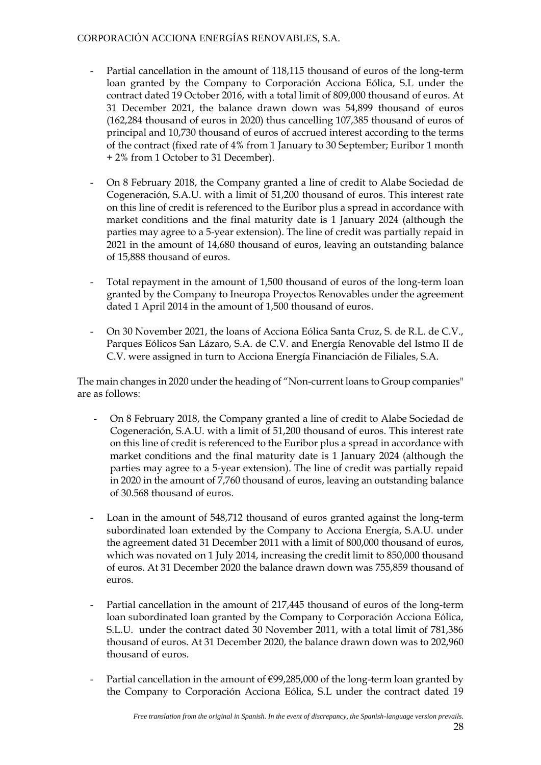- Partial cancellation in the amount of 118,115 thousand of euros of the long-term loan granted by the Company to Corporación Acciona Eólica, S.L under the contract dated 19 October 2016, with a total limit of 809,000 thousand of euros. At 31 December 2021, the balance drawn down was 54,899 thousand of euros (162,284 thousand of euros in 2020) thus cancelling 107,385 thousand of euros of principal and 10,730 thousand of euros of accrued interest according to the terms of the contract (fixed rate of 4% from 1 January to 30 September; Euribor 1 month + 2% from 1 October to 31 December).
- On 8 February 2018, the Company granted a line of credit to Alabe Sociedad de Cogeneración, S.A.U. with a limit of 51,200 thousand of euros. This interest rate on this line of credit is referenced to the Euribor plus a spread in accordance with market conditions and the final maturity date is 1 January 2024 (although the parties may agree to a 5-year extension). The line of credit was partially repaid in 2021 in the amount of 14,680 thousand of euros, leaving an outstanding balance of 15,888 thousand of euros.
- Total repayment in the amount of 1,500 thousand of euros of the long-term loan granted by the Company to Ineuropa Proyectos Renovables under the agreement dated 1 April 2014 in the amount of 1,500 thousand of euros.
- On 30 November 2021, the loans of Acciona Eólica Santa Cruz, S. de R.L. de C.V., Parques Eólicos San Lázaro, S.A. de C.V. and Energía Renovable del Istmo II de C.V. were assigned in turn to Acciona Energía Financiación de Filiales, S.A.

The main changes in 2020 under the heading of "Non-current loans to Group companies" are as follows:

- On 8 February 2018, the Company granted a line of credit to Alabe Sociedad de Cogeneración, S.A.U. with a limit of 51,200 thousand of euros. This interest rate on this line of credit is referenced to the Euribor plus a spread in accordance with market conditions and the final maturity date is 1 January 2024 (although the parties may agree to a 5-year extension). The line of credit was partially repaid in 2020 in the amount of 7,760 thousand of euros, leaving an outstanding balance of 30.568 thousand of euros.
- Loan in the amount of 548,712 thousand of euros granted against the long-term subordinated loan extended by the Company to Acciona Energía, S.A.U. under the agreement dated 31 December 2011 with a limit of 800,000 thousand of euros, which was novated on 1 July 2014, increasing the credit limit to 850,000 thousand of euros. At 31 December 2020 the balance drawn down was 755,859 thousand of euros.
- Partial cancellation in the amount of 217,445 thousand of euros of the long-term loan subordinated loan granted by the Company to Corporación Acciona Eólica, S.L.U. under the contract dated 30 November 2011, with a total limit of 781,386 thousand of euros. At 31 December 2020, the balance drawn down was to 202,960 thousand of euros.
- Partial cancellation in the amount of  $\epsilon$ 99,285,000 of the long-term loan granted by the Company to Corporación Acciona Eólica, S.L under the contract dated 19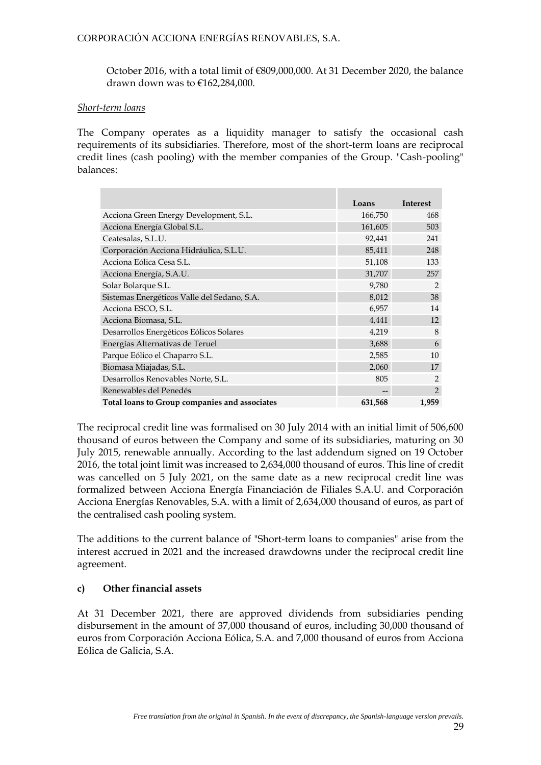October 2016, with a total limit of €809,000,000. At 31 December 2020, the balance drawn down was to €162,284,000.

#### *Short-term loans*

The Company operates as a liquidity manager to satisfy the occasional cash requirements of its subsidiaries. Therefore, most of the short-term loans are reciprocal credit lines (cash pooling) with the member companies of the Group. "Cash-pooling" balances:

|                                               | Loans   | Interest       |
|-----------------------------------------------|---------|----------------|
| Acciona Green Energy Development, S.L.        | 166,750 | 468            |
| Acciona Energía Global S.L.                   | 161,605 | 503            |
| Ceatesalas, S.L.U.                            | 92,441  | 241            |
| Corporación Acciona Hidráulica, S.L.U.        | 85,411  | 248            |
| Acciona Eólica Cesa S.L.                      | 51,108  | 133            |
| Acciona Energía, S.A.U.                       | 31,707  | 257            |
| Solar Bolarque S.L.                           | 9,780   | $\mathcal{P}$  |
| Sistemas Energéticos Valle del Sedano, S.A.   | 8,012   | 38             |
| Acciona ESCO, S.L.                            | 6,957   | 14             |
| Acciona Biomasa, S.L.                         | 4,441   | 12             |
| Desarrollos Energéticos Eólicos Solares       | 4,219   | 8              |
| Energías Alternativas de Teruel               | 3,688   | 6              |
| Parque Eólico el Chaparro S.L.                | 2,585   | 10             |
| Biomasa Miajadas, S.L.                        | 2,060   | 17             |
| Desarrollos Renovables Norte, S.L.            | 805     | $\overline{2}$ |
| Renewables del Penedés                        |         | 2              |
| Total loans to Group companies and associates | 631,568 | 1,959          |

The reciprocal credit line was formalised on 30 July 2014 with an initial limit of 506,600 thousand of euros between the Company and some of its subsidiaries, maturing on 30 July 2015, renewable annually. According to the last addendum signed on 19 October 2016, the total joint limit was increased to 2,634,000 thousand of euros. This line of credit was cancelled on 5 July 2021, on the same date as a new reciprocal credit line was formalized between Acciona Energía Financiación de Filiales S.A.U. and Corporación Acciona Energías Renovables, S.A. with a limit of 2,634,000 thousand of euros, as part of the centralised cash pooling system.

The additions to the current balance of "Short-term loans to companies" arise from the interest accrued in 2021 and the increased drawdowns under the reciprocal credit line agreement.

# **c) Other financial assets**

At 31 December 2021, there are approved dividends from subsidiaries pending disbursement in the amount of 37,000 thousand of euros, including 30,000 thousand of euros from Corporación Acciona Eólica, S.A. and 7,000 thousand of euros from Acciona Eólica de Galicia, S.A.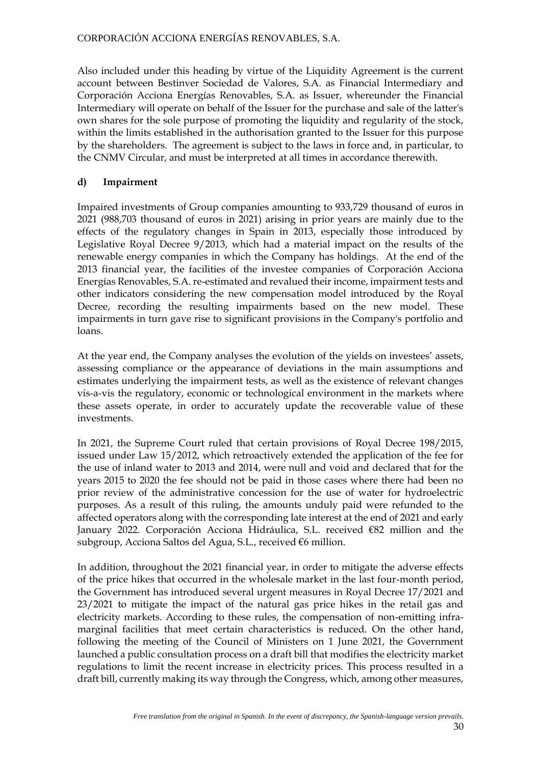Also included under this heading by virtue of the Liquidity Agreement is the current account between Bestinver Sociedad de Valores, S.A. as Financial Intermediary and Corporación Acciona Energías Renovables, S.A. as Issuer, whereunder the Financial Intermediary will operate on behalf of the Issuer for the purchase and sale of the latter's own shares for the sole purpose of promoting the liquidity and regularity of the stock, within the limits established in the authorisation granted to the Issuer for this purpose by the shareholders. The agreement is subject to the laws in force and, in particular, to the CNMV Circular, and must be interpreted at all times in accordance therewith.

#### **d) Impairment**

Impaired investments of Group companies amounting to 933,729 thousand of euros in 2021 (988,703 thousand of euros in 2021) arising in prior years are mainly due to the effects of the regulatory changes in Spain in 2013, especially those introduced by Legislative Royal Decree 9/2013, which had a material impact on the results of the renewable energy companies in which the Company has holdings. At the end of the 2013 financial year, the facilities of the investee companies of Corporación Acciona Energías Renovables, S.A. re-estimated and revalued their income, impairment tests and other indicators considering the new compensation model introduced by the Royal Decree, recording the resulting impairments based on the new model. These impairments in turn gave rise to significant provisions in the Company's portfolio and loans.

At the year end, the Company analyses the evolution of the yields on investees' assets, assessing compliance or the appearance of deviations in the main assumptions and estimates underlying the impairment tests, as well as the existence of relevant changes vis-a-vis the regulatory, economic or technological environment in the markets where these assets operate, in order to accurately update the recoverable value of these investments.

In 2021, the Supreme Court ruled that certain provisions of Royal Decree 198/2015, issued under Law 15/2012, which retroactively extended the application of the fee for the use of inland water to 2013 and 2014, were null and void and declared that for the years 2015 to 2020 the fee should not be paid in those cases where there had been no prior review of the administrative concession for the use of water for hydroelectric purposes. As a result of this ruling, the amounts unduly paid were refunded to the affected operators along with the corresponding late interest at the end of 2021 and early January 2022. Corporación Acciona Hidráulica, S.L. received €82 million and the subgroup, Acciona Saltos del Agua, S.L., received €6 million.

In addition, throughout the 2021 financial year, in order to mitigate the adverse effects of the price hikes that occurred in the wholesale market in the last four-month period, the Government has introduced several urgent measures in Royal Decree 17/2021 and 23/2021 to mitigate the impact of the natural gas price hikes in the retail gas and electricity markets. According to these rules, the compensation of non-emitting inframarginal facilities that meet certain characteristics is reduced. On the other hand, following the meeting of the Council of Ministers on 1 June 2021, the Government launched a public consultation process on a draft bill that modifies the electricity market regulations to limit the recent increase in electricity prices. This process resulted in a draft bill, currently making its way through the Congress, which, among other measures,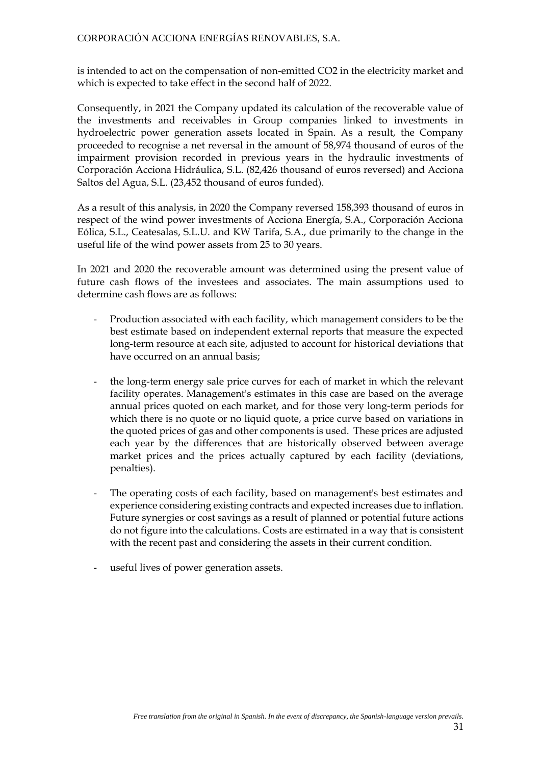is intended to act on the compensation of non-emitted CO2 in the electricity market and which is expected to take effect in the second half of 2022.

Consequently, in 2021 the Company updated its calculation of the recoverable value of the investments and receivables in Group companies linked to investments in hydroelectric power generation assets located in Spain. As a result, the Company proceeded to recognise a net reversal in the amount of 58,974 thousand of euros of the impairment provision recorded in previous years in the hydraulic investments of Corporación Acciona Hidráulica, S.L. (82,426 thousand of euros reversed) and Acciona Saltos del Agua, S.L. (23,452 thousand of euros funded).

As a result of this analysis, in 2020 the Company reversed 158,393 thousand of euros in respect of the wind power investments of Acciona Energía, S.A., Corporación Acciona Eólica, S.L., Ceatesalas, S.L.U. and KW Tarifa, S.A., due primarily to the change in the useful life of the wind power assets from 25 to 30 years.

In 2021 and 2020 the recoverable amount was determined using the present value of future cash flows of the investees and associates. The main assumptions used to determine cash flows are as follows:

- Production associated with each facility, which management considers to be the best estimate based on independent external reports that measure the expected long-term resource at each site, adjusted to account for historical deviations that have occurred on an annual basis;
- the long-term energy sale price curves for each of market in which the relevant facility operates. Management's estimates in this case are based on the average annual prices quoted on each market, and for those very long-term periods for which there is no quote or no liquid quote, a price curve based on variations in the quoted prices of gas and other components is used. These prices are adjusted each year by the differences that are historically observed between average market prices and the prices actually captured by each facility (deviations, penalties).
- The operating costs of each facility, based on management's best estimates and experience considering existing contracts and expected increases due to inflation. Future synergies or cost savings as a result of planned or potential future actions do not figure into the calculations. Costs are estimated in a way that is consistent with the recent past and considering the assets in their current condition.
- useful lives of power generation assets.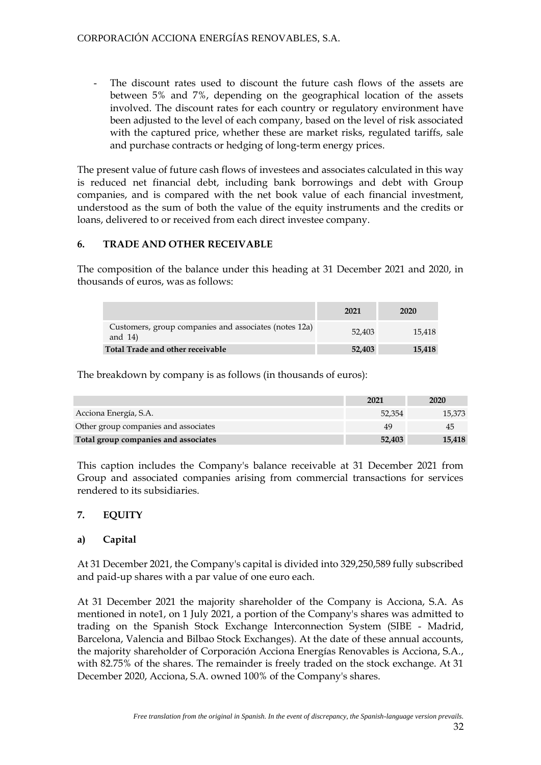The discount rates used to discount the future cash flows of the assets are between 5% and 7%, depending on the geographical location of the assets involved. The discount rates for each country or regulatory environment have been adjusted to the level of each company, based on the level of risk associated with the captured price, whether these are market risks, regulated tariffs, sale and purchase contracts or hedging of long-term energy prices.

The present value of future cash flows of investees and associates calculated in this way is reduced net financial debt, including bank borrowings and debt with Group companies, and is compared with the net book value of each financial investment, understood as the sum of both the value of the equity instruments and the credits or loans, delivered to or received from each direct investee company.

# **6. TRADE AND OTHER RECEIVABLE**

The composition of the balance under this heading at 31 December 2021 and 2020, in thousands of euros, was as follows:

|                                                                     | 2021   | 2020   |
|---------------------------------------------------------------------|--------|--------|
| Customers, group companies and associates (notes 12a)<br>and $14$ ) | 52.403 | 15.418 |
| Total Trade and other receivable                                    | 52.403 | 15,418 |

The breakdown by company is as follows (in thousands of euros):

|                                      | 2021   | 2020   |
|--------------------------------------|--------|--------|
| Acciona Energía, S.A.                | 52,354 | 15,373 |
| Other group companies and associates | 49     | 45     |
| Total group companies and associates | 52.403 | 15,418 |

This caption includes the Company's balance receivable at 31 December 2021 from Group and associated companies arising from commercial transactions for services rendered to its subsidiaries.

# **7. EQUITY**

# **a) Capital**

At 31 December 2021, the Company's capital is divided into 329,250,589 fully subscribed and paid-up shares with a par value of one euro each.

At 31 December 2021 the majority shareholder of the Company is Acciona, S.A. As mentioned in note1, on 1 July 2021, a portion of the Company's shares was admitted to trading on the Spanish Stock Exchange Interconnection System (SIBE - Madrid, Barcelona, Valencia and Bilbao Stock Exchanges). At the date of these annual accounts, the majority shareholder of Corporación Acciona Energías Renovables is Acciona, S.A., with 82.75% of the shares. The remainder is freely traded on the stock exchange. At 31 December 2020, Acciona, S.A. owned 100% of the Company's shares.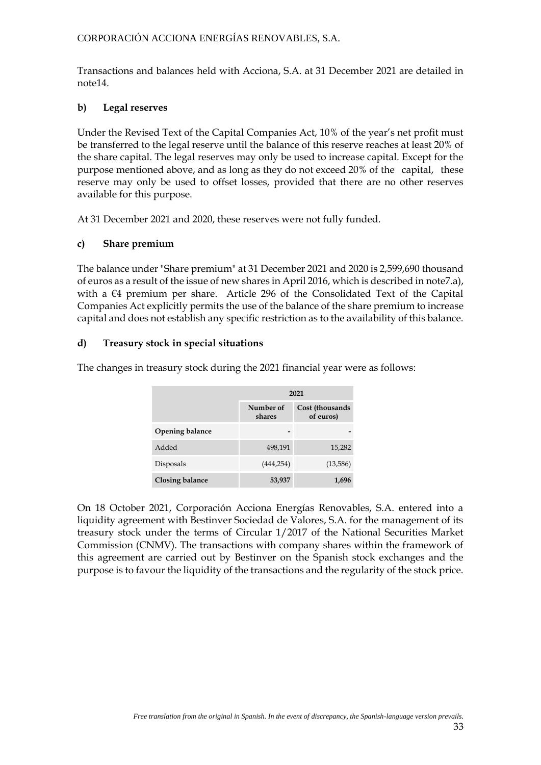Transactions and balances held with Acciona, S.A. at 31 December 2021 are detailed in note14.

# **b) Legal reserves**

Under the Revised Text of the Capital Companies Act, 10% of the year's net profit must be transferred to the legal reserve until the balance of this reserve reaches at least 20% of the share capital. The legal reserves may only be used to increase capital. Except for the purpose mentioned above, and as long as they do not exceed 20% of the capital, these reserve may only be used to offset losses, provided that there are no other reserves available for this purpose.

At 31 December 2021 and 2020, these reserves were not fully funded.

# **c) Share premium**

The balance under "Share premium" at 31 December 2021 and 2020 is 2,599,690 thousand of euros as a result of the issue of new shares in April 2016, which is described in note7.a), with a €4 premium per share. Article 296 of the Consolidated Text of the Capital Companies Act explicitly permits the use of the balance of the share premium to increase capital and does not establish any specific restriction as to the availability of this balance.

# **d) Treasury stock in special situations**

The changes in treasury stock during the 2021 financial year were as follows:

|                        | 2021                |                              |  |
|------------------------|---------------------|------------------------------|--|
|                        | Number of<br>shares | Cost (thousands<br>of euros) |  |
| <b>Opening balance</b> |                     |                              |  |
| Added                  | 498,191             | 15,282                       |  |
| Disposals              | (444, 254)          | (13, 586)                    |  |
| <b>Closing balance</b> | 53,937              | 1,696                        |  |

On 18 October 2021, Corporación Acciona Energías Renovables, S.A. entered into a liquidity agreement with Bestinver Sociedad de Valores, S.A. for the management of its treasury stock under the terms of Circular 1/2017 of the National Securities Market Commission (CNMV). The transactions with company shares within the framework of this agreement are carried out by Bestinver on the Spanish stock exchanges and the purpose is to favour the liquidity of the transactions and the regularity of the stock price.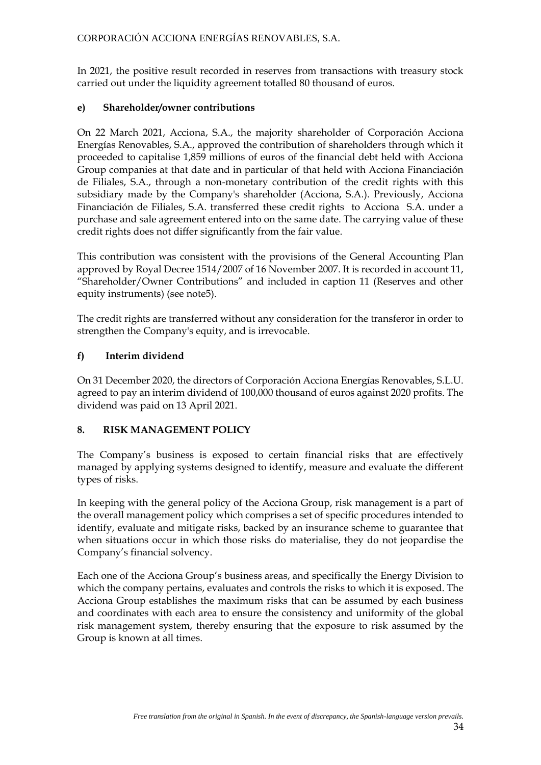In 2021, the positive result recorded in reserves from transactions with treasury stock carried out under the liquidity agreement totalled 80 thousand of euros.

# **e) Shareholder/owner contributions**

On 22 March 2021, Acciona, S.A., the majority shareholder of Corporación Acciona Energías Renovables, S.A., approved the contribution of shareholders through which it proceeded to capitalise 1,859 millions of euros of the financial debt held with Acciona Group companies at that date and in particular of that held with Acciona Financiación de Filiales, S.A., through a non-monetary contribution of the credit rights with this subsidiary made by the Company's shareholder (Acciona, S.A.). Previously, Acciona Financiación de Filiales, S.A. transferred these credit rights to Acciona S.A. under a purchase and sale agreement entered into on the same date. The carrying value of these credit rights does not differ significantly from the fair value.

This contribution was consistent with the provisions of the General Accounting Plan approved by Royal Decree 1514/2007 of 16 November 2007. It is recorded in account 11, "Shareholder/Owner Contributions" and included in caption 11 (Reserves and other equity instruments) (see note5).

The credit rights are transferred without any consideration for the transferor in order to strengthen the Company's equity, and is irrevocable.

# **f) Interim dividend**

On 31 December 2020, the directors of Corporación Acciona Energías Renovables, S.L.U. agreed to pay an interim dividend of 100,000 thousand of euros against 2020 profits. The dividend was paid on 13 April 2021.

# **8. RISK MANAGEMENT POLICY**

The Company's business is exposed to certain financial risks that are effectively managed by applying systems designed to identify, measure and evaluate the different types of risks.

In keeping with the general policy of the Acciona Group, risk management is a part of the overall management policy which comprises a set of specific procedures intended to identify, evaluate and mitigate risks, backed by an insurance scheme to guarantee that when situations occur in which those risks do materialise, they do not jeopardise the Company's financial solvency.

Each one of the Acciona Group's business areas, and specifically the Energy Division to which the company pertains, evaluates and controls the risks to which it is exposed. The Acciona Group establishes the maximum risks that can be assumed by each business and coordinates with each area to ensure the consistency and uniformity of the global risk management system, thereby ensuring that the exposure to risk assumed by the Group is known at all times.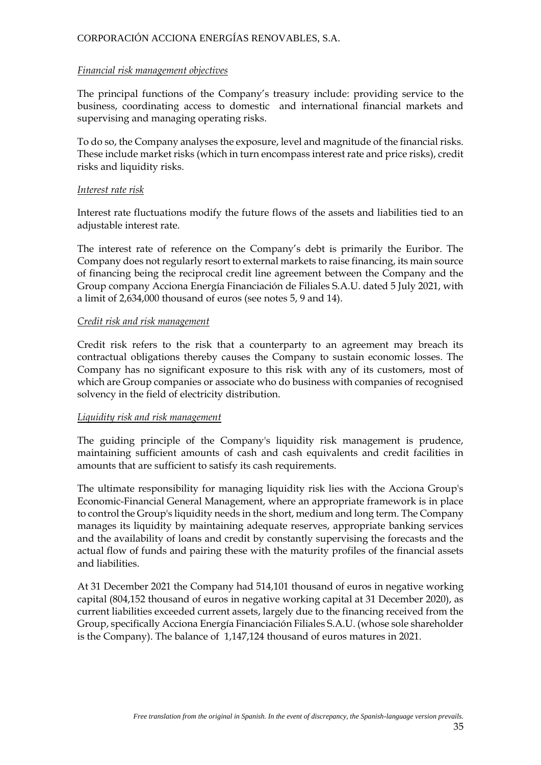#### *Financial risk management objectives*

The principal functions of the Company's treasury include: providing service to the business, coordinating access to domestic and international financial markets and supervising and managing operating risks.

To do so, the Company analyses the exposure, level and magnitude of the financial risks. These include market risks (which in turn encompass interest rate and price risks), credit risks and liquidity risks.

#### *Interest rate risk*

Interest rate fluctuations modify the future flows of the assets and liabilities tied to an adjustable interest rate.

The interest rate of reference on the Company's debt is primarily the Euribor. The Company does not regularly resort to external markets to raise financing, its main source of financing being the reciprocal credit line agreement between the Company and the Group company Acciona Energía Financiación de Filiales S.A.U. dated 5 July 2021, with a limit of 2,634,000 thousand of euros (see notes 5, 9 and 14).

#### *Credit risk and risk management*

Credit risk refers to the risk that a counterparty to an agreement may breach its contractual obligations thereby causes the Company to sustain economic losses. The Company has no significant exposure to this risk with any of its customers, most of which are Group companies or associate who do business with companies of recognised solvency in the field of electricity distribution.

#### *Liquidity risk and risk management*

The guiding principle of the Company's liquidity risk management is prudence, maintaining sufficient amounts of cash and cash equivalents and credit facilities in amounts that are sufficient to satisfy its cash requirements.

The ultimate responsibility for managing liquidity risk lies with the Acciona Group's Economic-Financial General Management, where an appropriate framework is in place to control the Group's liquidity needs in the short, medium and long term. The Company manages its liquidity by maintaining adequate reserves, appropriate banking services and the availability of loans and credit by constantly supervising the forecasts and the actual flow of funds and pairing these with the maturity profiles of the financial assets and liabilities.

At 31 December 2021 the Company had 514,101 thousand of euros in negative working capital (804,152 thousand of euros in negative working capital at 31 December 2020), as current liabilities exceeded current assets, largely due to the financing received from the Group, specifically Acciona Energía Financiación Filiales S.A.U. (whose sole shareholder is the Company). The balance of 1,147,124 thousand of euros matures in 2021.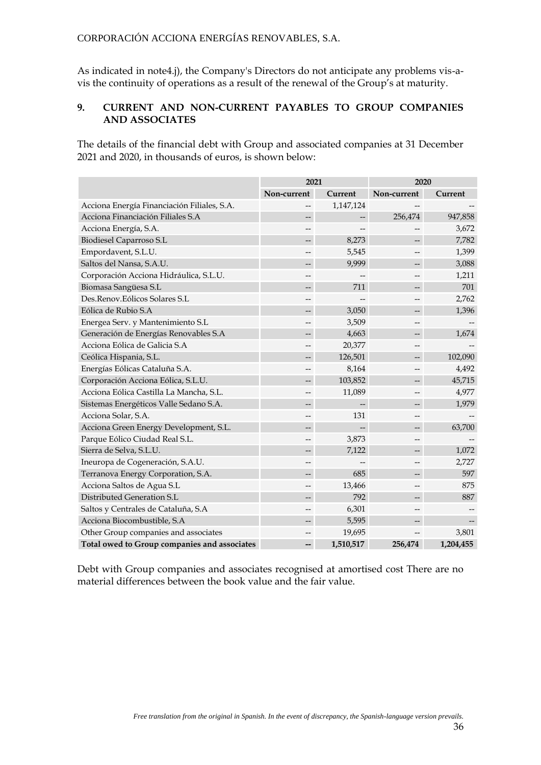As indicated in note4.j), the Company's Directors do not anticipate any problems vis-avis the continuity of operations as a result of the renewal of the Group's at maturity.

# **9. CURRENT AND NON-CURRENT PAYABLES TO GROUP COMPANIES AND ASSOCIATES**

The details of the financial debt with Group and associated companies at 31 December 2021 and 2020, in thousands of euros, is shown below:

|                                              | 2021        |           | 2020        |           |
|----------------------------------------------|-------------|-----------|-------------|-----------|
|                                              | Non-current | Current   | Non-current | Current   |
| Acciona Energía Financiación Filiales, S.A.  | --          | 1,147,124 |             |           |
| Acciona Financiación Filiales S.A            | --          | $-$       | 256,474     | 947,858   |
| Acciona Energía, S.A.                        | --          | --        |             | 3,672     |
| Biodiesel Caparroso S.L                      |             | 8,273     | --          | 7,782     |
| Empordavent, S.L.U.                          |             | 5,545     |             | 1,399     |
| Saltos del Nansa, S.A.U.                     |             | 9,999     |             | 3,088     |
| Corporación Acciona Hidráulica, S.L.U.       | --          |           | --          | 1,211     |
| Biomasa Sangüesa S.L                         | --          | 711       | --          | 701       |
| Des.Renov.Eólicos Solares S.L                | --          |           | --          | 2,762     |
| Eólica de Rubio S.A                          |             | 3,050     | --          | 1,396     |
| Energea Serv. y Mantenimiento S.L            |             | 3,509     |             |           |
| Generación de Energías Renovables S.A        |             | 4,663     |             | 1,674     |
| Acciona Eólica de Galicia S.A                | --          | 20,377    | --          |           |
| Ceólica Hispania, S.L.                       | --          | 126,501   | --          | 102,090   |
| Energías Eólicas Cataluña S.A.               | --          | 8,164     | --          | 4,492     |
| Corporación Acciona Eólica, S.L.U.           |             | 103,852   | --          | 45,715    |
| Acciona Eólica Castilla La Mancha, S.L.      |             | 11,089    | --          | 4,977     |
| Sistemas Energéticos Valle Sedano S.A.       | --          | --        | --          | 1,979     |
| Acciona Solar, S.A.                          | --          | 131       | --          |           |
| Acciona Green Energy Development, S.L.       | --          | --        | --          | 63,700    |
| Parque Eólico Ciudad Real S.L.               |             | 3,873     | --          |           |
| Sierra de Selva, S.L.U.                      |             | 7,122     | --          | 1,072     |
| Ineuropa de Cogeneración, S.A.U.             |             |           | --          | 2,727     |
| Terranova Energy Corporation, S.A.           | --          | 685       | --          | 597       |
| Acciona Saltos de Agua S.L                   | --          | 13,466    | --          | 875       |
| Distributed Generation S.L                   | --          | 792       | --          | 887       |
| Saltos y Centrales de Cataluña, S.A          | --          | 6,301     | --          |           |
| Acciona Biocombustible, S.A                  |             | 5,595     | --          |           |
| Other Group companies and associates         |             | 19,695    |             | 3,801     |
| Total owed to Group companies and associates | --          | 1,510,517 | 256,474     | 1,204,455 |

Debt with Group companies and associates recognised at amortised cost There are no material differences between the book value and the fair value.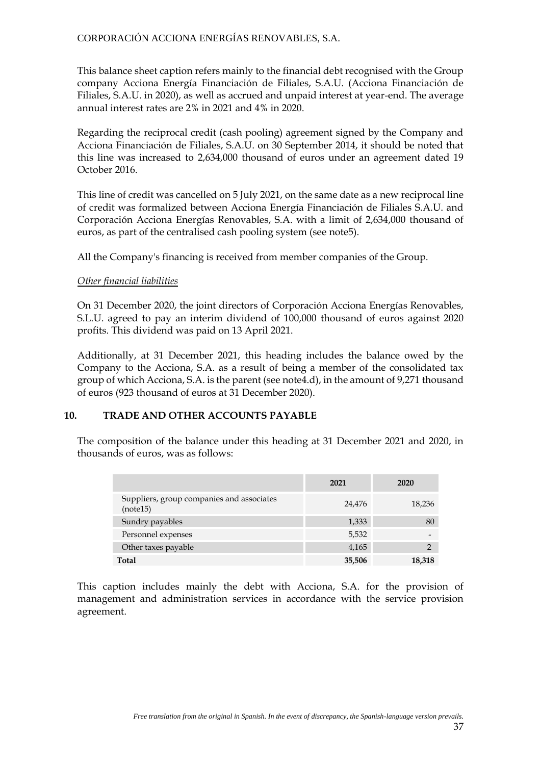This balance sheet caption refers mainly to the financial debt recognised with the Group company Acciona Energía Financiación de Filiales, S.A.U. (Acciona Financiación de Filiales, S.A.U. in 2020), as well as accrued and unpaid interest at year-end. The average annual interest rates are 2% in 2021 and 4% in 2020.

Regarding the reciprocal credit (cash pooling) agreement signed by the Company and Acciona Financiación de Filiales, S.A.U. on 30 September 2014, it should be noted that this line was increased to 2,634,000 thousand of euros under an agreement dated 19 October 2016.

This line of credit was cancelled on 5 July 2021, on the same date as a new reciprocal line of credit was formalized between Acciona Energía Financiación de Filiales S.A.U. and Corporación Acciona Energías Renovables, S.A. with a limit of 2,634,000 thousand of euros, as part of the centralised cash pooling system (see note5).

All the Company's financing is received from member companies of the Group.

# *Other financial liabilities*

On 31 December 2020, the joint directors of Corporación Acciona Energías Renovables, S.L.U. agreed to pay an interim dividend of 100,000 thousand of euros against 2020 profits. This dividend was paid on 13 April 2021.

Additionally, at 31 December 2021, this heading includes the balance owed by the Company to the Acciona, S.A. as a result of being a member of the consolidated tax group of which Acciona, S.A. is the parent (see note4.d), in the amount of 9,271 thousand of euros (923 thousand of euros at 31 December 2020).

#### **10. TRADE AND OTHER ACCOUNTS PAYABLE**

The composition of the balance under this heading at 31 December 2021 and 2020, in thousands of euros, was as follows:

|                                                       | 2021   | 2020   |
|-------------------------------------------------------|--------|--------|
| Suppliers, group companies and associates<br>(note15) | 24,476 | 18,236 |
| Sundry payables                                       | 1,333  | 80     |
| Personnel expenses                                    | 5,532  |        |
| Other taxes payable                                   | 4,165  | າ      |
| Total                                                 | 35,506 | 18,318 |

This caption includes mainly the debt with Acciona, S.A. for the provision of management and administration services in accordance with the service provision agreement.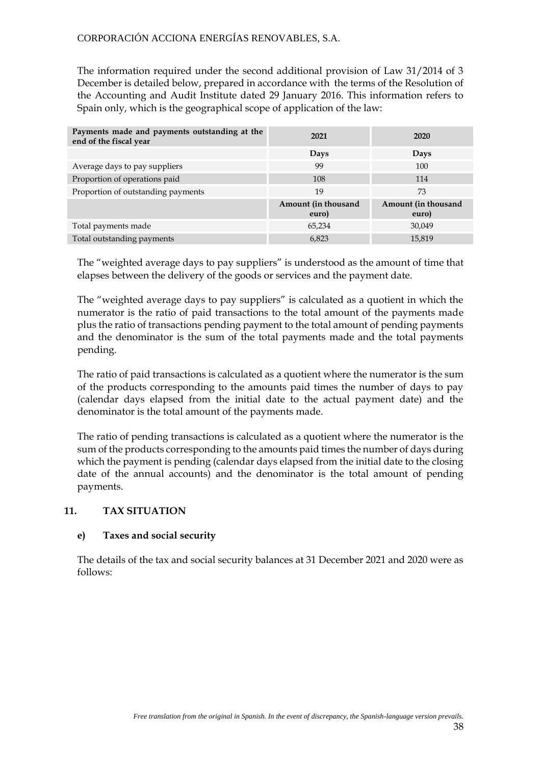The information required under the second additional provision of Law 31/2014 of 3 December is detailed below, prepared in accordance with the terms of the Resolution of the Accounting and Audit Institute dated 29 January 2016. This information refers to Spain only, which is the geographical scope of application of the law:

| Payments made and payments outstanding at the<br>end of the fiscal year | 2021                         | 2020                         |
|-------------------------------------------------------------------------|------------------------------|------------------------------|
|                                                                         | Days                         | <b>Days</b>                  |
| Average days to pay suppliers                                           | 99                           | 100                          |
| Proportion of operations paid                                           | 108                          | 114                          |
| Proportion of outstanding payments                                      | 19                           | 73                           |
|                                                                         | Amount (in thousand<br>euro) | Amount (in thousand<br>euro) |
| Total payments made                                                     | 65,234                       | 30,049                       |
| Total outstanding payments                                              | 6,823                        | 15,819                       |

The "weighted average days to pay suppliers" is understood as the amount of time that elapses between the delivery of the goods or services and the payment date.

The "weighted average days to pay suppliers" is calculated as a quotient in which the numerator is the ratio of paid transactions to the total amount of the payments made plus the ratio of transactions pending payment to the total amount of pending payments and the denominator is the sum of the total payments made and the total payments pending.

The ratio of paid transactions is calculated as a quotient where the numerator is the sum of the products corresponding to the amounts paid times the number of days to pay (calendar days elapsed from the initial date to the actual payment date) and the denominator is the total amount of the payments made.

The ratio of pending transactions is calculated as a quotient where the numerator is the sum of the products corresponding to the amounts paid times the number of days during which the payment is pending (calendar days elapsed from the initial date to the closing date of the annual accounts) and the denominator is the total amount of pending payments.

#### **11. TAX SITUATION**

#### **e) Taxes and social security**

The details of the tax and social security balances at 31 December 2021 and 2020 were as follows: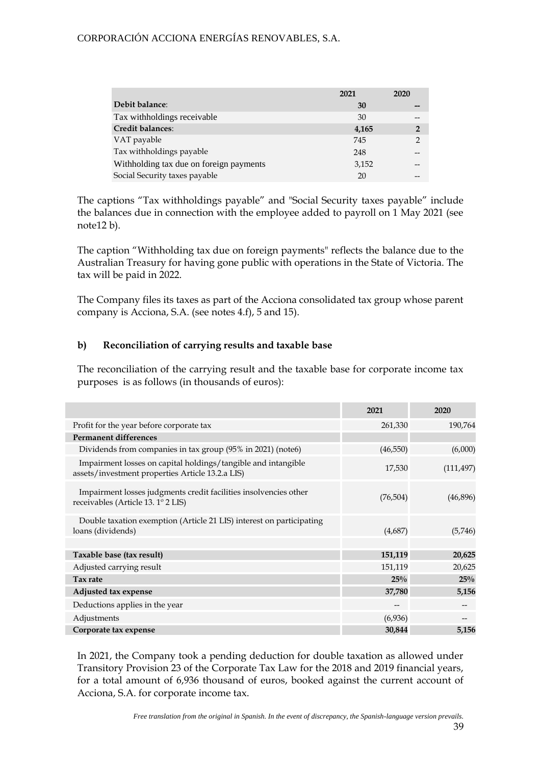|                                         | 2021  | 2020          |
|-----------------------------------------|-------|---------------|
| Debit balance:                          | 30    |               |
| Tax withholdings receivable             | 30    |               |
| Credit balances:                        | 4,165 | $\mathcal{P}$ |
| VAT payable                             | 745   | $\mathcal{D}$ |
| Tax withholdings payable                | 248   |               |
| Withholding tax due on foreign payments | 3,152 |               |
| Social Security taxes payable           | 20    |               |

The captions "Tax withholdings payable" and "Social Security taxes payable" include the balances due in connection with the employee added to payroll on 1 May 2021 (see note12 b).

The caption "Withholding tax due on foreign payments" reflects the balance due to the Australian Treasury for having gone public with operations in the State of Victoria. The tax will be paid in 2022.

The Company files its taxes as part of the Acciona consolidated tax group whose parent company is Acciona, S.A. (see notes 4.f), 5 and 15).

#### **b) Reconciliation of carrying results and taxable base**

The reconciliation of the carrying result and the taxable base for corporate income tax purposes is as follows (in thousands of euros):

|                                                                                                                   | 2021      | 2020       |
|-------------------------------------------------------------------------------------------------------------------|-----------|------------|
| Profit for the year before corporate tax                                                                          | 261,330   | 190,764    |
| <b>Permanent differences</b>                                                                                      |           |            |
| Dividends from companies in tax group (95% in 2021) (note6)                                                       | (46, 550) | (6,000)    |
| Impairment losses on capital holdings/tangible and intangible<br>assets/investment properties Article 13.2.a LIS) | 17,530    | (111, 497) |
| Impairment losses judgments credit facilities insolvencies other<br>receivables (Article 13. 1º 2 LIS)            | (76, 504) | (46,896)   |
| Double taxation exemption (Article 21 LIS) interest on participating<br>loans (dividends)                         | (4,687)   | (5,746)    |
| Taxable base (tax result)                                                                                         | 151,119   | 20,625     |
| Adjusted carrying result                                                                                          | 151,119   | 20,625     |
| Tax rate                                                                                                          | 25%       | 25%        |
| Adjusted tax expense                                                                                              | 37,780    | 5,156      |
| Deductions applies in the year                                                                                    |           |            |
| Adjustments                                                                                                       | (6,936)   |            |
| Corporate tax expense                                                                                             | 30,844    | 5,156      |

In 2021, the Company took a pending deduction for double taxation as allowed under Transitory Provision 23 of the Corporate Tax Law for the 2018 and 2019 financial years, for a total amount of 6,936 thousand of euros, booked against the current account of Acciona, S.A. for corporate income tax.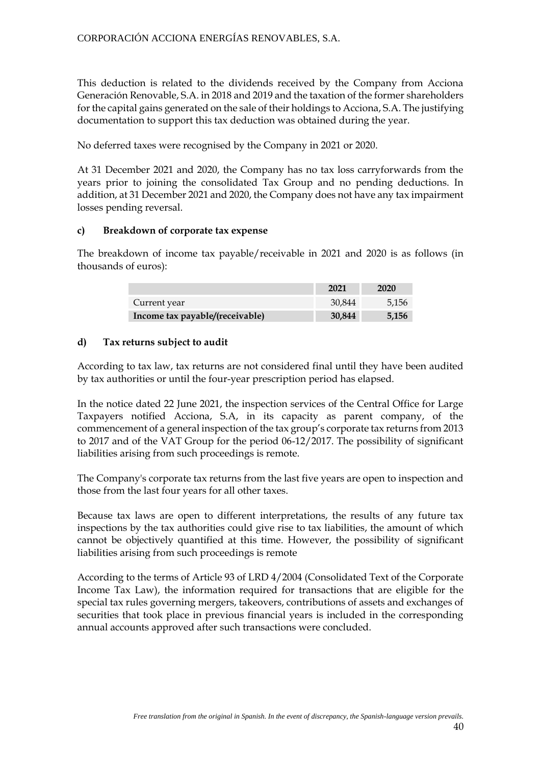This deduction is related to the dividends received by the Company from Acciona Generación Renovable, S.A. in 2018 and 2019 and the taxation of the former shareholders for the capital gains generated on the sale of their holdings to Acciona, S.A. The justifying documentation to support this tax deduction was obtained during the year.

No deferred taxes were recognised by the Company in 2021 or 2020.

At 31 December 2021 and 2020, the Company has no tax loss carryforwards from the years prior to joining the consolidated Tax Group and no pending deductions. In addition, at 31 December 2021 and 2020, the Company does not have any tax impairment losses pending reversal.

#### **c) Breakdown of corporate tax expense**

The breakdown of income tax payable/receivable in 2021 and 2020 is as follows (in thousands of euros):

|                                 | 2021   | 2020  |
|---------------------------------|--------|-------|
| Current year                    | 30.844 | 5,156 |
| Income tax payable/(receivable) | 30,844 | 5,156 |

#### **d) Tax returns subject to audit**

According to tax law, tax returns are not considered final until they have been audited by tax authorities or until the four-year prescription period has elapsed.

In the notice dated 22 June 2021, the inspection services of the Central Office for Large Taxpayers notified Acciona, S.A, in its capacity as parent company, of the commencement of a general inspection of the tax group's corporate tax returns from 2013 to 2017 and of the VAT Group for the period 06-12/2017. The possibility of significant liabilities arising from such proceedings is remote.

The Company's corporate tax returns from the last five years are open to inspection and those from the last four years for all other taxes.

Because tax laws are open to different interpretations, the results of any future tax inspections by the tax authorities could give rise to tax liabilities, the amount of which cannot be objectively quantified at this time. However, the possibility of significant liabilities arising from such proceedings is remote

According to the terms of Article 93 of LRD 4/2004 (Consolidated Text of the Corporate Income Tax Law), the information required for transactions that are eligible for the special tax rules governing mergers, takeovers, contributions of assets and exchanges of securities that took place in previous financial years is included in the corresponding annual accounts approved after such transactions were concluded.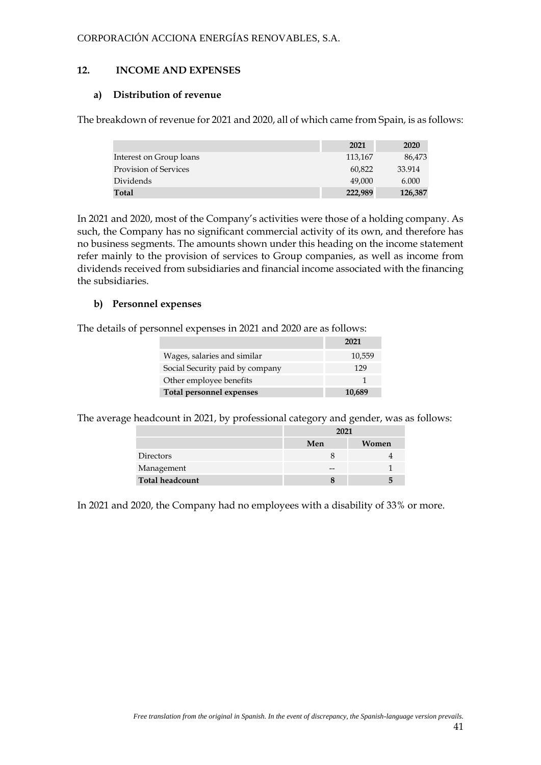# **12. INCOME AND EXPENSES**

#### **a) Distribution of revenue**

The breakdown of revenue for 2021 and 2020, all of which came from Spain, is as follows:

|                              | 2021    | 2020    |
|------------------------------|---------|---------|
| Interest on Group loans      | 113,167 | 86,473  |
| <b>Provision of Services</b> | 60.822  | 33.914  |
| Dividends                    | 49,000  | 6.000   |
| <b>Total</b>                 | 222,989 | 126,387 |

In 2021 and 2020, most of the Company's activities were those of a holding company. As such, the Company has no significant commercial activity of its own, and therefore has no business segments. The amounts shown under this heading on the income statement refer mainly to the provision of services to Group companies, as well as income from dividends received from subsidiaries and financial income associated with the financing the subsidiaries.

#### **b) Personnel expenses**

The details of personnel expenses in 2021 and 2020 are as follows:

|                                 | 2021   |
|---------------------------------|--------|
| Wages, salaries and similar     | 10,559 |
| Social Security paid by company | 129    |
| Other employee benefits         |        |
| Total personnel expenses        | 10,689 |

The average headcount in 2021, by professional category and gender, was as follows:

|                        | 2021 |       |  |
|------------------------|------|-------|--|
|                        | Men  | Women |  |
| <b>Directors</b>       |      |       |  |
| Management             | $-$  |       |  |
| <b>Total headcount</b> |      |       |  |

In 2021 and 2020, the Company had no employees with a disability of 33% or more.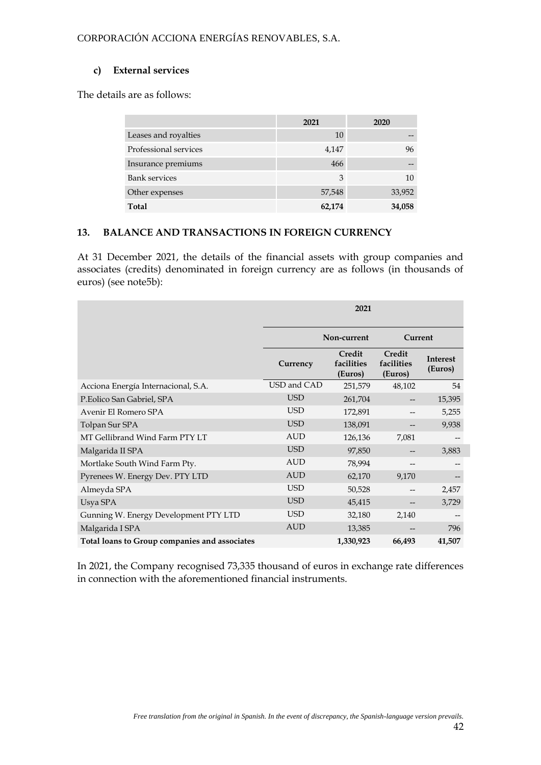#### **c) External services**

The details are as follows:

|                       | 2021   | 2020   |
|-----------------------|--------|--------|
| Leases and royalties  | 10     |        |
| Professional services | 4,147  | 96     |
| Insurance premiums    | 466    |        |
| <b>Bank services</b>  | 3      | 10     |
| Other expenses        | 57,548 | 33,952 |
| Total                 | 62,174 | 34,058 |

#### **13. BALANCE AND TRANSACTIONS IN FOREIGN CURRENCY**

At 31 December 2021, the details of the financial assets with group companies and associates (credits) denominated in foreign currency are as follows (in thousands of euros) (see note5b):

|                                               |             | 2021                            |                                 |                            |
|-----------------------------------------------|-------------|---------------------------------|---------------------------------|----------------------------|
|                                               |             | Non-current                     |                                 | Current                    |
|                                               | Currency    | Credit<br>facilities<br>(Euros) | Credit<br>facilities<br>(Euros) | <b>Interest</b><br>(Euros) |
| Acciona Energía Internacional, S.A.           | USD and CAD | 251,579                         | 48,102                          | 54                         |
| P.Eolico San Gabriel, SPA                     | <b>USD</b>  | 261,704                         | $\overline{\phantom{a}}$        | 15,395                     |
| Avenir El Romero SPA                          | <b>USD</b>  | 172,891                         |                                 | 5,255                      |
| Tolpan Sur SPA                                | <b>USD</b>  | 138,091                         |                                 | 9,938                      |
| MT Gellibrand Wind Farm PTY LT                | <b>AUD</b>  | 126,136                         | 7,081                           |                            |
| Malgarida II SPA                              | <b>USD</b>  | 97,850                          |                                 | 3,883                      |
| Mortlake South Wind Farm Pty.                 | <b>AUD</b>  | 78,994                          |                                 |                            |
| Pyrenees W. Energy Dev. PTY LTD               | <b>AUD</b>  | 62,170                          | 9,170                           |                            |
| Almeyda SPA                                   | <b>USD</b>  | 50,528                          |                                 | 2,457                      |
| Usya SPA                                      | <b>USD</b>  | 45,415                          |                                 | 3,729                      |
| Gunning W. Energy Development PTY LTD         | <b>USD</b>  | 32,180                          | 2,140                           |                            |
| Malgarida I SPA                               | <b>AUD</b>  | 13,385                          |                                 | 796                        |
| Total loans to Group companies and associates |             | 1,330,923                       | 66,493                          | 41,507                     |

In 2021, the Company recognised 73,335 thousand of euros in exchange rate differences in connection with the aforementioned financial instruments.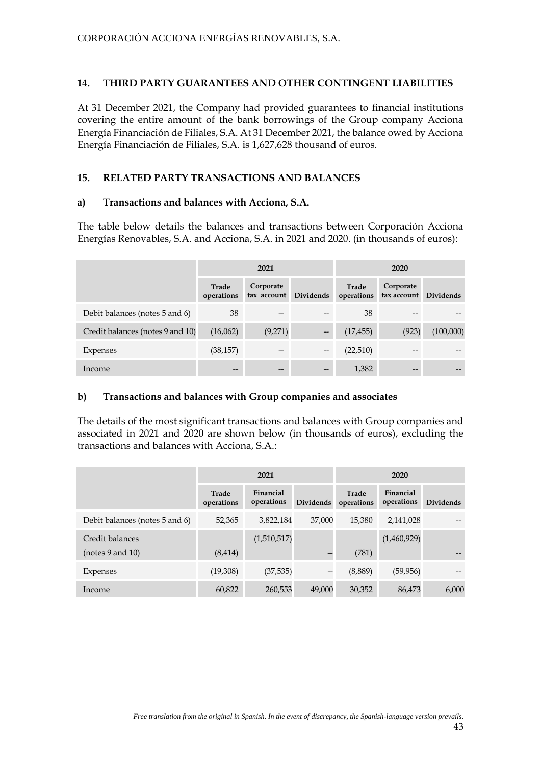#### **14. THIRD PARTY GUARANTEES AND OTHER CONTINGENT LIABILITIES**

At 31 December 2021, the Company had provided guarantees to financial institutions covering the entire amount of the bank borrowings of the Group company Acciona Energía Financiación de Filiales, S.A. At 31 December 2021, the balance owed by Acciona Energía Financiación de Filiales, S.A. is 1,627,628 thousand of euros.

# **15. RELATED PARTY TRANSACTIONS AND BALANCES**

#### **a) Transactions and balances with Acciona, S.A.**

The table below details the balances and transactions between Corporación Acciona Energías Renovables, S.A. and Acciona, S.A. in 2021 and 2020. (in thousands of euros):

|                                  |                     | 2021                     |                                       | 2020                       |                          |                  |  |  |
|----------------------------------|---------------------|--------------------------|---------------------------------------|----------------------------|--------------------------|------------------|--|--|
|                                  | Trade<br>operations | Corporate<br>tax account | <b>Dividends</b>                      | <b>Trade</b><br>operations | Corporate<br>tax account | <b>Dividends</b> |  |  |
| Debit balances (notes 5 and 6)   | 38                  | $- -$                    | $- -$                                 | 38                         | --                       |                  |  |  |
| Credit balances (notes 9 and 10) | (16,062)            | (9,271)                  | --                                    | (17, 455)                  | (923)                    | (100,000)        |  |  |
| Expenses                         | (38, 157)           | $- -$                    | $\hspace{0.05cm}$ – $\hspace{0.05cm}$ | (22, 510)                  | --                       |                  |  |  |
| Income                           | --                  | --                       | --                                    | 1,382                      | --                       |                  |  |  |

#### **b) Transactions and balances with Group companies and associates**

The details of the most significant transactions and balances with Group companies and associated in 2021 and 2020 are shown below (in thousands of euros), excluding the transactions and balances with Acciona, S.A.:

|                                        |                     | 2021                    |                          | 2020                |                         |                  |  |  |  |
|----------------------------------------|---------------------|-------------------------|--------------------------|---------------------|-------------------------|------------------|--|--|--|
|                                        | Trade<br>operations | Financial<br>operations | <b>Dividends</b>         | Trade<br>operations | Financial<br>operations | <b>Dividends</b> |  |  |  |
| Debit balances (notes 5 and 6)         | 52,365              | 3,822,184               | 37,000                   | 15,380              | 2,141,028               | --               |  |  |  |
| Credit balances<br>(notes 9 and $10$ ) | (8, 414)            | (1,510,517)             | $- -$                    | (781)               | (1,460,929)             |                  |  |  |  |
| Expenses                               | (19,308)            | (37, 535)               | $\overline{\phantom{a}}$ | (8,889)             | (59, 956)               | --               |  |  |  |
| Income                                 | 60,822              | 260,553                 | 49,000                   | 30,352              | 86,473                  | 6,000            |  |  |  |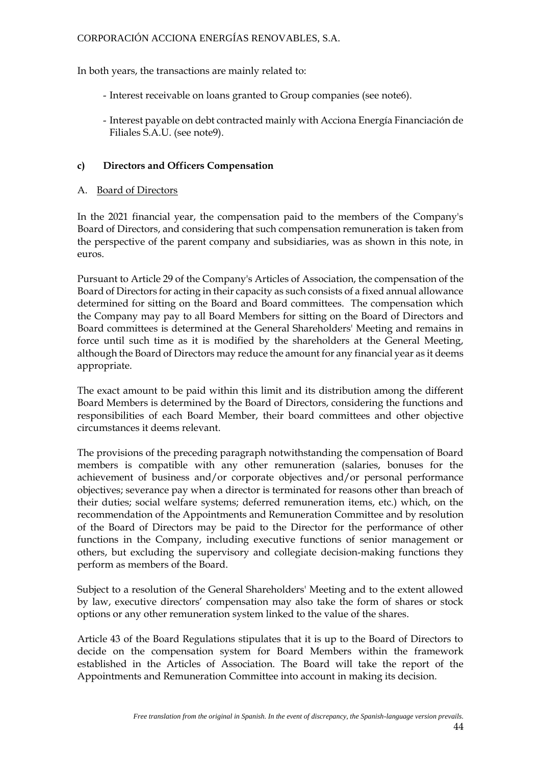In both years, the transactions are mainly related to:

- Interest receivable on loans granted to Group companies (see note6).
- Interest payable on debt contracted mainly with Acciona Energía Financiación de Filiales S.A.U. (see note9).

# **c) Directors and Officers Compensation**

#### A. Board of Directors

In the 2021 financial year, the compensation paid to the members of the Company's Board of Directors, and considering that such compensation remuneration is taken from the perspective of the parent company and subsidiaries, was as shown in this note, in euros.

Pursuant to Article 29 of the Company's Articles of Association, the compensation of the Board of Directors for acting in their capacity as such consists of a fixed annual allowance determined for sitting on the Board and Board committees. The compensation which the Company may pay to all Board Members for sitting on the Board of Directors and Board committees is determined at the General Shareholders' Meeting and remains in force until such time as it is modified by the shareholders at the General Meeting, although the Board of Directors may reduce the amount for any financial year as it deems appropriate.

The exact amount to be paid within this limit and its distribution among the different Board Members is determined by the Board of Directors, considering the functions and responsibilities of each Board Member, their board committees and other objective circumstances it deems relevant.

The provisions of the preceding paragraph notwithstanding the compensation of Board members is compatible with any other remuneration (salaries, bonuses for the achievement of business and/or corporate objectives and/or personal performance objectives; severance pay when a director is terminated for reasons other than breach of their duties; social welfare systems; deferred remuneration items, etc.) which, on the recommendation of the Appointments and Remuneration Committee and by resolution of the Board of Directors may be paid to the Director for the performance of other functions in the Company, including executive functions of senior management or others, but excluding the supervisory and collegiate decision-making functions they perform as members of the Board.

Subject to a resolution of the General Shareholders' Meeting and to the extent allowed by law, executive directors' compensation may also take the form of shares or stock options or any other remuneration system linked to the value of the shares.

Article 43 of the Board Regulations stipulates that it is up to the Board of Directors to decide on the compensation system for Board Members within the framework established in the Articles of Association. The Board will take the report of the Appointments and Remuneration Committee into account in making its decision.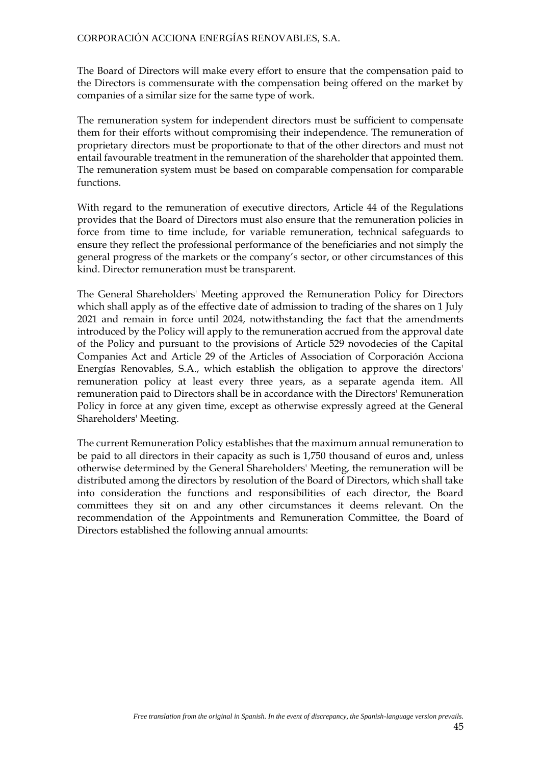The Board of Directors will make every effort to ensure that the compensation paid to the Directors is commensurate with the compensation being offered on the market by companies of a similar size for the same type of work.

The remuneration system for independent directors must be sufficient to compensate them for their efforts without compromising their independence. The remuneration of proprietary directors must be proportionate to that of the other directors and must not entail favourable treatment in the remuneration of the shareholder that appointed them. The remuneration system must be based on comparable compensation for comparable functions.

With regard to the remuneration of executive directors, Article 44 of the Regulations provides that the Board of Directors must also ensure that the remuneration policies in force from time to time include, for variable remuneration, technical safeguards to ensure they reflect the professional performance of the beneficiaries and not simply the general progress of the markets or the company's sector, or other circumstances of this kind. Director remuneration must be transparent.

The General Shareholders' Meeting approved the Remuneration Policy for Directors which shall apply as of the effective date of admission to trading of the shares on 1 July 2021 and remain in force until 2024, notwithstanding the fact that the amendments introduced by the Policy will apply to the remuneration accrued from the approval date of the Policy and pursuant to the provisions of Article 529 novodecies of the Capital Companies Act and Article 29 of the Articles of Association of Corporación Acciona Energías Renovables, S.A., which establish the obligation to approve the directors' remuneration policy at least every three years, as a separate agenda item. All remuneration paid to Directors shall be in accordance with the Directors' Remuneration Policy in force at any given time, except as otherwise expressly agreed at the General Shareholders' Meeting.

The current Remuneration Policy establishes that the maximum annual remuneration to be paid to all directors in their capacity as such is 1,750 thousand of euros and, unless otherwise determined by the General Shareholders' Meeting, the remuneration will be distributed among the directors by resolution of the Board of Directors, which shall take into consideration the functions and responsibilities of each director, the Board committees they sit on and any other circumstances it deems relevant. On the recommendation of the Appointments and Remuneration Committee, the Board of Directors established the following annual amounts: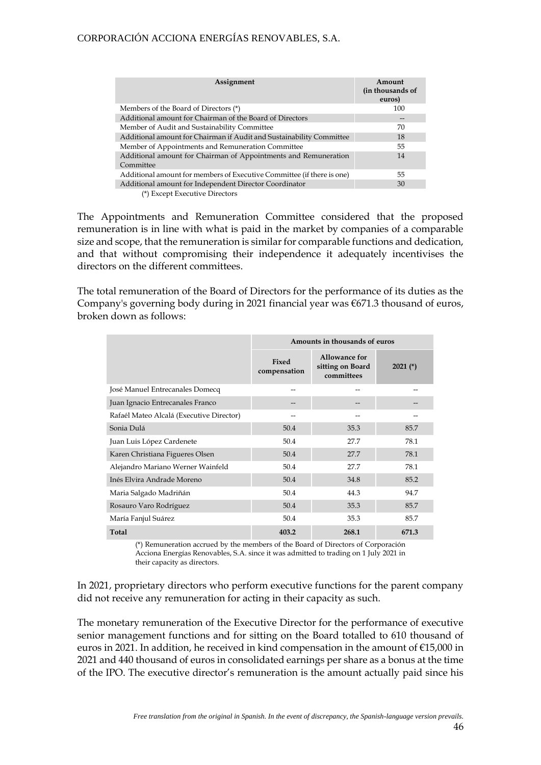| Assignment                                                                   | Amount<br>(in thousands of<br>euros) |
|------------------------------------------------------------------------------|--------------------------------------|
| Members of the Board of Directors (*)                                        | 100                                  |
| Additional amount for Chairman of the Board of Directors                     |                                      |
| Member of Audit and Sustainability Committee                                 | 70                                   |
| Additional amount for Chairman if Audit and Sustainability Committee         | 18                                   |
| Member of Appointments and Remuneration Committee                            | 55                                   |
| Additional amount for Chairman of Appointments and Remuneration<br>Committee | 14                                   |
| Additional amount for members of Executive Committee (if there is one)       | 55                                   |
| Additional amount for Independent Director Coordinator                       | 30                                   |
| (*) Except Executive Directors                                               |                                      |

The Appointments and Remuneration Committee considered that the proposed remuneration is in line with what is paid in the market by companies of a comparable size and scope, that the remuneration is similar for comparable functions and dedication, and that without compromising their independence it adequately incentivises the directors on the different committees.

The total remuneration of the Board of Directors for the performance of its duties as the Company's governing body during in 2021 financial year was €671.3 thousand of euros, broken down as follows:

|                                          | Amounts in thousands of euros |                                                 |            |  |  |  |  |  |
|------------------------------------------|-------------------------------|-------------------------------------------------|------------|--|--|--|--|--|
|                                          | Fixed<br>compensation         | Allowance for<br>sitting on Board<br>committees | $2021$ (*) |  |  |  |  |  |
| José Manuel Entrecanales Domecq          | $-$                           |                                                 |            |  |  |  |  |  |
| Juan Ignacio Entrecanales Franco         |                               |                                                 |            |  |  |  |  |  |
| Rafaél Mateo Alcalá (Executive Director) |                               |                                                 |            |  |  |  |  |  |
| Sonia Dulá                               | 50.4                          | 35.3                                            | 85.7       |  |  |  |  |  |
| Juan Luis López Cardenete                | 50.4                          | 27.7                                            | 78.1       |  |  |  |  |  |
| Karen Christiana Figueres Olsen          | 50.4                          | 27.7                                            | 78.1       |  |  |  |  |  |
| Alejandro Mariano Werner Wainfeld        | 50.4                          | 27.7                                            | 78.1       |  |  |  |  |  |
| Inés Elvira Andrade Moreno               | 50.4                          | 34.8                                            | 85.2       |  |  |  |  |  |
| Maria Salgado Madriñán                   | 50.4                          | 44.3                                            | 94.7       |  |  |  |  |  |
| Rosauro Varo Rodríguez                   | 50.4                          | 35.3                                            | 85.7       |  |  |  |  |  |
| María Fanjul Suárez                      | 50.4                          | 35.3                                            | 85.7       |  |  |  |  |  |
| Total                                    | 403.2                         | 268.1                                           | 671.3      |  |  |  |  |  |

(\*) Remuneration accrued by the members of the Board of Directors of Corporación Acciona Energías Renovables, S.A. since it was admitted to trading on 1 July 2021 in their capacity as directors.

In 2021, proprietary directors who perform executive functions for the parent company did not receive any remuneration for acting in their capacity as such.

The monetary remuneration of the Executive Director for the performance of executive senior management functions and for sitting on the Board totalled to 610 thousand of euros in 2021. In addition, he received in kind compensation in the amount of €15,000 in 2021 and 440 thousand of euros in consolidated earnings per share as a bonus at the time of the IPO. The executive director's remuneration is the amount actually paid since his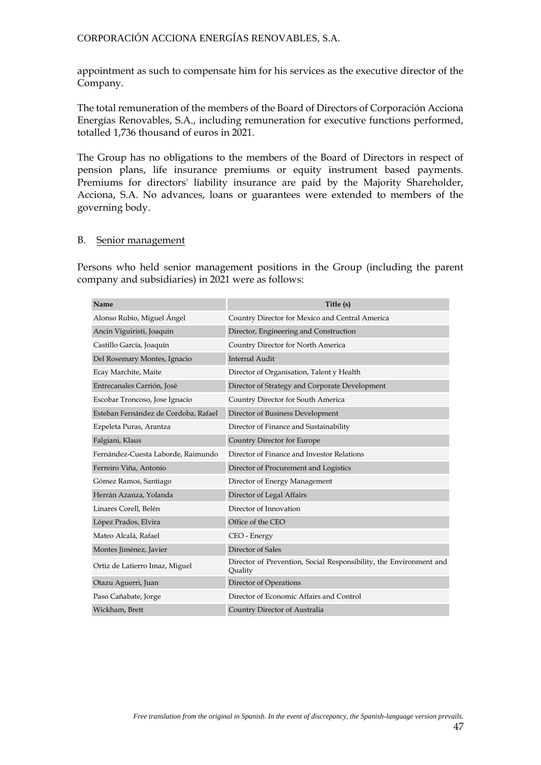appointment as such to compensate him for his services as the executive director of the Company.

The total remuneration of the members of the Board of Directors of Corporación Acciona Energías Renovables, S.A., including remuneration for executive functions performed, totalled 1,736 thousand of euros in 2021.

The Group has no obligations to the members of the Board of Directors in respect of pension plans, life insurance premiums or equity instrument based payments. Premiums for directors' liability insurance are paid by the Majority Shareholder, Acciona, S.A. No advances, loans or guarantees were extended to members of the governing body.

#### B. Senior management

Persons who held senior management positions in the Group (including the parent company and subsidiaries) in 2021 were as follows:

| Name                                 | Title (s)                                                                     |
|--------------------------------------|-------------------------------------------------------------------------------|
| Alonso Rubio, Miguel Ángel           | Country Director for Mexico and Central America                               |
| Ancin Viguiristi, Joaquin            | Director, Engineering and Construction                                        |
| Castillo García, Joaquín             | Country Director for North America                                            |
| Del Rosemary Montes, Ignacio         | Internal Audit                                                                |
| Ecay Marchite, Maite                 | Director of Organisation, Talent y Health                                     |
| Entrecanales Carrión, José           | Director of Strategy and Corporate Development                                |
| Escobar Troncoso, Jose Ignacio       | Country Director for South America                                            |
| Esteban Fernández de Cordoba, Rafael | Director of Business Development                                              |
| Ezpeleta Puras, Arantza              | Director of Finance and Sustainability                                        |
| Falgiani, Klaus                      | Country Director for Europe                                                   |
| Fernández-Cuesta Laborde, Raimundo   | Director of Finance and Investor Relations                                    |
| Ferreiro Viña, Antonio               | Director of Procurement and Logistics                                         |
| Gómez Ramos, Santiago                | Director of Energy Management                                                 |
| Herrán Azanza, Yolanda               | Director of Legal Affairs                                                     |
| Linares Corell, Belén                | Director of Innovation                                                        |
| López Prados, Elvira                 | Office of the CEO                                                             |
| Mateo Alcalá, Rafael                 | CEO - Energy                                                                  |
| Montes Jiménez, Javier               | Director of Sales                                                             |
| Ortiz de Latierro Imaz, Miguel       | Director of Prevention, Social Responsibility, the Environment and<br>Quality |
| Otazu Aguerri, Juan                  | Director of Operations                                                        |
| Paso Cañabate, Jorge                 | Director of Economic Affairs and Control                                      |
| Wickham, Brett                       | Country Director of Australia                                                 |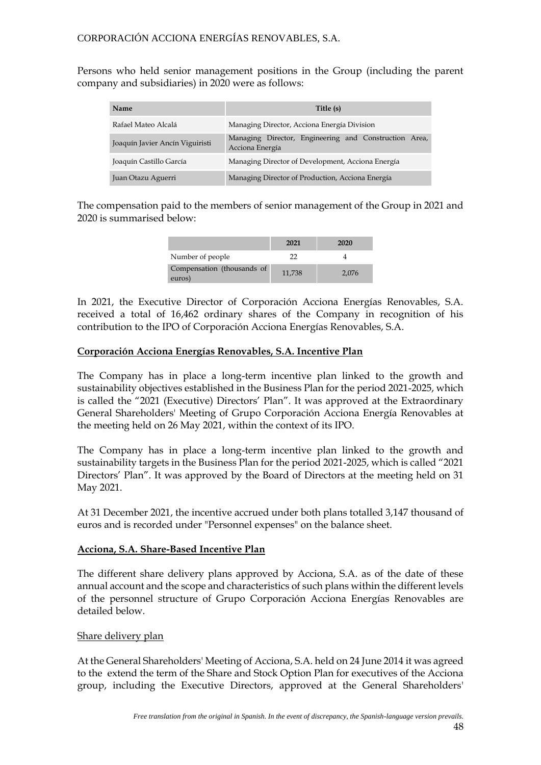Persons who held senior management positions in the Group (including the parent company and subsidiaries) in 2020 were as follows:

| <b>Name</b>                     | Title (s)                                                                |  |  |  |  |  |  |  |
|---------------------------------|--------------------------------------------------------------------------|--|--|--|--|--|--|--|
| Rafael Mateo Alcalá             | Managing Director, Acciona Energía Division                              |  |  |  |  |  |  |  |
| Joaquín Javier Ancín Viguiristi | Managing Director, Engineering and Construction Area,<br>Acciona Energía |  |  |  |  |  |  |  |
| Joaquín Castillo García         | Managing Director of Development, Acciona Energía                        |  |  |  |  |  |  |  |
| Juan Otazu Aguerri              | Managing Director of Production, Acciona Energía                         |  |  |  |  |  |  |  |

The compensation paid to the members of senior management of the Group in 2021 and 2020 is summarised below:

|                                      | 2021   | 2020  |
|--------------------------------------|--------|-------|
| Number of people                     | າາ     |       |
| Compensation (thousands of<br>euros) | 11.738 | 2.076 |

In 2021, the Executive Director of Corporación Acciona Energías Renovables, S.A. received a total of 16,462 ordinary shares of the Company in recognition of his contribution to the IPO of Corporación Acciona Energías Renovables, S.A.

#### **Corporación Acciona Energías Renovables, S.A. Incentive Plan**

The Company has in place a long-term incentive plan linked to the growth and sustainability objectives established in the Business Plan for the period 2021-2025, which is called the "2021 (Executive) Directors' Plan". It was approved at the Extraordinary General Shareholders' Meeting of Grupo Corporación Acciona Energía Renovables at the meeting held on 26 May 2021, within the context of its IPO.

The Company has in place a long-term incentive plan linked to the growth and sustainability targets in the Business Plan for the period 2021-2025, which is called "2021 Directors' Plan". It was approved by the Board of Directors at the meeting held on 31 May 2021.

At 31 December 2021, the incentive accrued under both plans totalled 3,147 thousand of euros and is recorded under "Personnel expenses" on the balance sheet.

#### **Acciona, S.A. Share-Based Incentive Plan**

The different share delivery plans approved by Acciona, S.A. as of the date of these annual account and the scope and characteristics of such plans within the different levels of the personnel structure of Grupo Corporación Acciona Energías Renovables are detailed below.

#### Share delivery plan

At the General Shareholders' Meeting of Acciona, S.A. held on 24 June 2014 it was agreed to the extend the term of the Share and Stock Option Plan for executives of the Acciona group, including the Executive Directors, approved at the General Shareholders'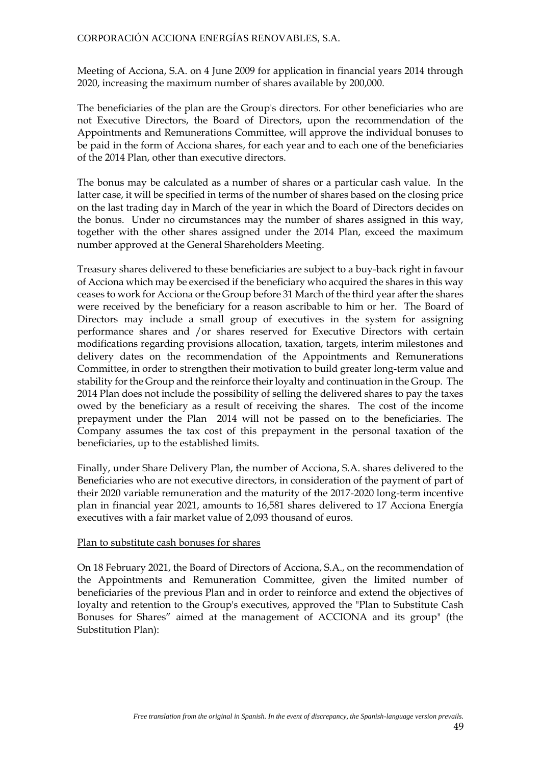Meeting of Acciona, S.A. on 4 June 2009 for application in financial years 2014 through 2020, increasing the maximum number of shares available by 200,000.

The beneficiaries of the plan are the Group's directors. For other beneficiaries who are not Executive Directors, the Board of Directors, upon the recommendation of the Appointments and Remunerations Committee, will approve the individual bonuses to be paid in the form of Acciona shares, for each year and to each one of the beneficiaries of the 2014 Plan, other than executive directors.

The bonus may be calculated as a number of shares or a particular cash value. In the latter case, it will be specified in terms of the number of shares based on the closing price on the last trading day in March of the year in which the Board of Directors decides on the bonus. Under no circumstances may the number of shares assigned in this way, together with the other shares assigned under the 2014 Plan, exceed the maximum number approved at the General Shareholders Meeting.

Treasury shares delivered to these beneficiaries are subject to a buy-back right in favour of Acciona which may be exercised if the beneficiary who acquired the shares in this way ceases to work for Acciona or the Group before 31 March of the third year after the shares were received by the beneficiary for a reason ascribable to him or her. The Board of Directors may include a small group of executives in the system for assigning performance shares and /or shares reserved for Executive Directors with certain modifications regarding provisions allocation, taxation, targets, interim milestones and delivery dates on the recommendation of the Appointments and Remunerations Committee, in order to strengthen their motivation to build greater long-term value and stability for the Group and the reinforce their loyalty and continuation in the Group. The 2014 Plan does not include the possibility of selling the delivered shares to pay the taxes owed by the beneficiary as a result of receiving the shares. The cost of the income prepayment under the Plan 2014 will not be passed on to the beneficiaries. The Company assumes the tax cost of this prepayment in the personal taxation of the beneficiaries, up to the established limits.

Finally, under Share Delivery Plan, the number of Acciona, S.A. shares delivered to the Beneficiaries who are not executive directors, in consideration of the payment of part of their 2020 variable remuneration and the maturity of the 2017-2020 long-term incentive plan in financial year 2021, amounts to 16,581 shares delivered to 17 Acciona Energía executives with a fair market value of 2,093 thousand of euros.

#### Plan to substitute cash bonuses for shares

On 18 February 2021, the Board of Directors of Acciona, S.A., on the recommendation of the Appointments and Remuneration Committee, given the limited number of beneficiaries of the previous Plan and in order to reinforce and extend the objectives of loyalty and retention to the Group's executives, approved the "Plan to Substitute Cash Bonuses for Shares" aimed at the management of ACCIONA and its group" (the Substitution Plan):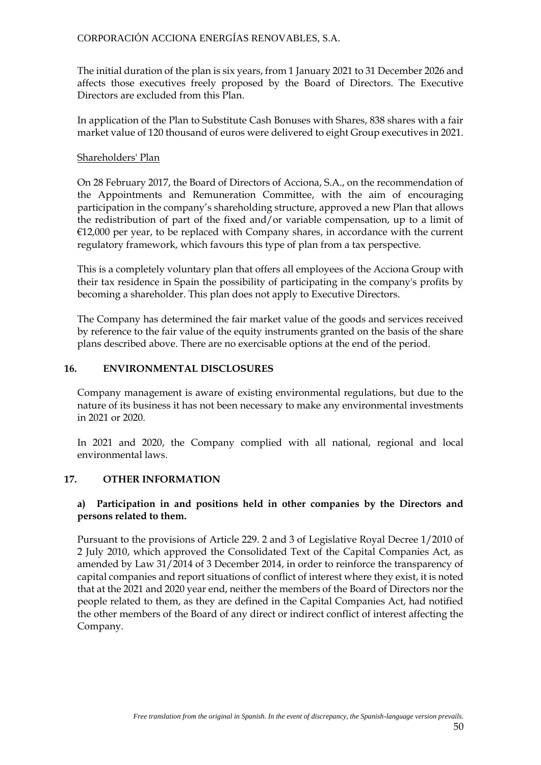The initial duration of the plan is six years, from 1 January 2021 to 31 December 2026 and affects those executives freely proposed by the Board of Directors. The Executive Directors are excluded from this Plan.

In application of the Plan to Substitute Cash Bonuses with Shares, 838 shares with a fair market value of 120 thousand of euros were delivered to eight Group executives in 2021.

# Shareholders' Plan

On 28 February 2017, the Board of Directors of Acciona, S.A., on the recommendation of the Appointments and Remuneration Committee, with the aim of encouraging participation in the company's shareholding structure, approved a new Plan that allows the redistribution of part of the fixed and/or variable compensation, up to a limit of  $€12,000$  per year, to be replaced with Company shares, in accordance with the current regulatory framework, which favours this type of plan from a tax perspective.

This is a completely voluntary plan that offers all employees of the Acciona Group with their tax residence in Spain the possibility of participating in the company's profits by becoming a shareholder. This plan does not apply to Executive Directors.

The Company has determined the fair market value of the goods and services received by reference to the fair value of the equity instruments granted on the basis of the share plans described above. There are no exercisable options at the end of the period.

# **16. ENVIRONMENTAL DISCLOSURES**

Company management is aware of existing environmental regulations, but due to the nature of its business it has not been necessary to make any environmental investments in 2021 or 2020.

In 2021 and 2020, the Company complied with all national, regional and local environmental laws.

#### **17. OTHER INFORMATION**

# **a) Participation in and positions held in other companies by the Directors and persons related to them.**

Pursuant to the provisions of Article 229. 2 and 3 of Legislative Royal Decree 1/2010 of 2 July 2010, which approved the Consolidated Text of the Capital Companies Act, as amended by Law 31/2014 of 3 December 2014, in order to reinforce the transparency of capital companies and report situations of conflict of interest where they exist, it is noted that at the 2021 and 2020 year end, neither the members of the Board of Directors nor the people related to them, as they are defined in the Capital Companies Act, had notified the other members of the Board of any direct or indirect conflict of interest affecting the Company.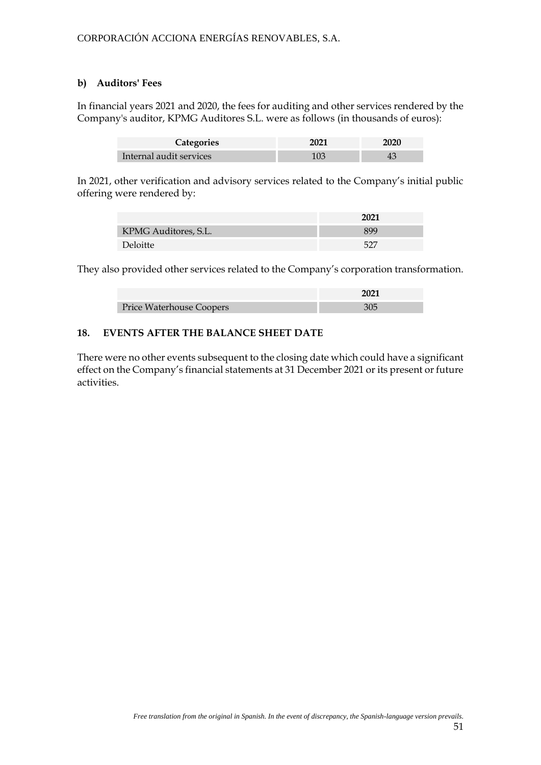# **b) Auditors' Fees**

In financial years 2021 and 2020, the fees for auditing and other services rendered by the Company's auditor, KPMG Auditores S.L. were as follows (in thousands of euros):

| <b>Categories</b>       | 2021 | 2020 |
|-------------------------|------|------|
| Internal audit services |      |      |

In 2021, other verification and advisory services related to the Company's initial public offering were rendered by:

|                      | 2021       |
|----------------------|------------|
| KPMG Auditores, S.L. | gge        |
| <b>Deloitte</b>      | <b>507</b> |

They also provided other services related to the Company's corporation transformation.

|                                 | 2021 |
|---------------------------------|------|
| <b>Price Waterhouse Coopers</b> |      |

# **18. EVENTS AFTER THE BALANCE SHEET DATE**

There were no other events subsequent to the closing date which could have a significant effect on the Company's financial statements at 31 December 2021 or its present or future activities.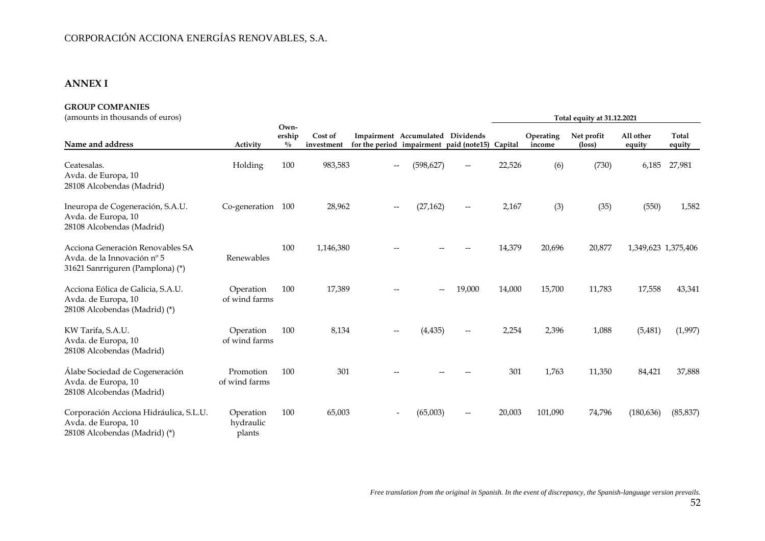# **ANNEX I**

#### **GROUP COMPANIES**

| (amounts in thousands of euros)                                                                     |                                  |                                 |                       |    |                                                                                     |                                    |        | Total equity at 31.12.2021 |                               |                     |                        |  |
|-----------------------------------------------------------------------------------------------------|----------------------------------|---------------------------------|-----------------------|----|-------------------------------------------------------------------------------------|------------------------------------|--------|----------------------------|-------------------------------|---------------------|------------------------|--|
| Name and address                                                                                    | Activity                         | Own-<br>ership<br>$\frac{0}{0}$ | Cost of<br>investment |    | Impairment Accumulated Dividends<br>for the period impairment paid (note15) Capital |                                    |        | Operating<br>income        | Net profit<br>$(\text{loss})$ | All other<br>equity | <b>Total</b><br>equity |  |
| Ceatesalas.<br>Avda. de Europa, 10<br>28108 Alcobendas (Madrid)                                     | Holding                          | 100                             | 983,583               |    | (598, 627)                                                                          | $\overline{\phantom{a}}$           | 22,526 | (6)                        | (730)                         | 6,185               | 27,981                 |  |
| Ineuropa de Cogeneración, S.A.U.<br>Avda. de Europa, 10<br>28108 Alcobendas (Madrid)                | Co-generation 100                |                                 | 28,962                | -- | (27, 162)                                                                           | $\hspace{0.05cm}--\hspace{0.05cm}$ | 2,167  | (3)                        | (35)                          | (550)               | 1,582                  |  |
| Acciona Generación Renovables SA<br>Avda, de la Innovación nº 5<br>31621 Sanrriguren (Pamplona) (*) | Renewables                       | 100                             | 1,146,380             |    |                                                                                     |                                    | 14,379 | 20,696                     | 20,877                        | 1,349,623 1,375,406 |                        |  |
| Acciona Eólica de Galicia, S.A.U.<br>Avda. de Europa, 10<br>28108 Alcobendas (Madrid) (*)           | Operation<br>of wind farms       | 100                             | 17,389                |    | $\overline{\phantom{m}}$                                                            | 19,000                             | 14,000 | 15,700                     | 11,783                        | 17,558              | 43,341                 |  |
| KW Tarifa, S.A.U.<br>Avda. de Europa, 10<br>28108 Alcobendas (Madrid)                               | Operation<br>of wind farms       | 100                             | 8,134                 |    | (4, 435)                                                                            | --                                 | 2,254  | 2,396                      | 1,088                         | (5, 481)            | (1,997)                |  |
| Álabe Sociedad de Cogeneración<br>Avda. de Europa, 10<br>28108 Alcobendas (Madrid)                  | Promotion<br>of wind farms       | 100                             | 301                   |    |                                                                                     |                                    | 301    | 1,763                      | 11,350                        | 84,421              | 37,888                 |  |
| Corporación Acciona Hidráulica, S.L.U.<br>Avda. de Europa, 10<br>28108 Alcobendas (Madrid) (*)      | Operation<br>hydraulic<br>plants | 100                             | 65,003                |    | (65,003)                                                                            | $\hspace{0.05cm}--\hspace{0.05cm}$ | 20,003 | 101,090                    | 74,796                        | (180, 636)          | (85, 837)              |  |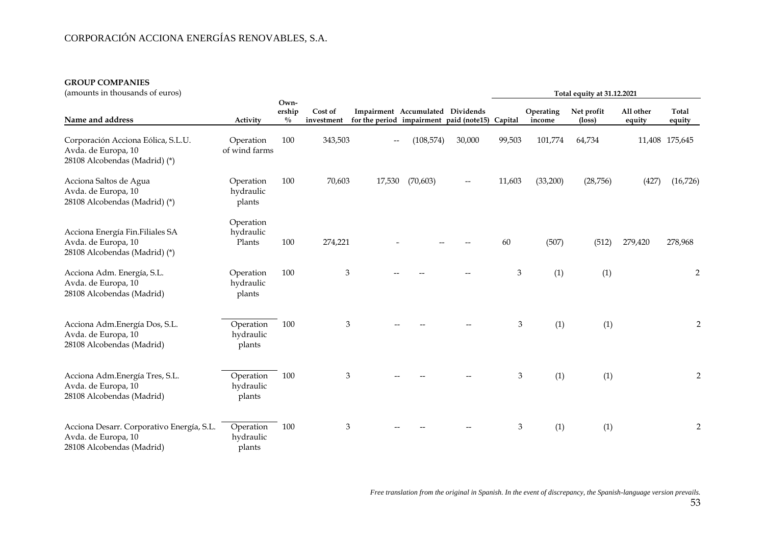#### **GROUP COMPANIES**

| (amounts in thousands of euros)                                                               |                                  |                                 |                       |                                         |                                  |                          |                           | Total equity at 31.12.2021 |                               |                     |                 |  |  |
|-----------------------------------------------------------------------------------------------|----------------------------------|---------------------------------|-----------------------|-----------------------------------------|----------------------------------|--------------------------|---------------------------|----------------------------|-------------------------------|---------------------|-----------------|--|--|
| Name and address                                                                              | Activity                         | Own-<br>ership<br>$\frac{0}{0}$ | Cost of<br>investment | for the period impairment paid (note15) | Impairment Accumulated Dividends |                          | Capital                   | Operating<br>income        | Net profit<br>$(\text{loss})$ | All other<br>equity | Total<br>equity |  |  |
| Corporación Acciona Eólica, S.L.U.<br>Avda. de Europa, 10<br>28108 Alcobendas (Madrid) (*)    | Operation<br>of wind farms       | 100                             | 343,503               |                                         | (108, 574)                       | 30,000                   | 99,503                    | 101,774                    | 64,734                        |                     | 11,408 175,645  |  |  |
| Acciona Saltos de Agua<br>Avda. de Europa, 10<br>28108 Alcobendas (Madrid) (*)                | Operation<br>hydraulic<br>plants | 100                             | 70,603                | 17,530                                  | (70, 603)                        | $\overline{\phantom{a}}$ | 11,603                    | (33,200)                   | (28, 756)                     | (427)               | (16, 726)       |  |  |
| Acciona Energía Fin.Filiales SA<br>Avda. de Europa, 10<br>28108 Alcobendas (Madrid) (*)       | Operation<br>hydraulic<br>Plants | 100                             | 274,221               |                                         |                                  |                          | 60                        | (507)                      | (512)                         | 279,420             | 278,968         |  |  |
| Acciona Adm. Energía, S.L.<br>Avda. de Europa, 10<br>28108 Alcobendas (Madrid)                | Operation<br>hydraulic<br>plants | 100                             | $\mathfrak{Z}$        |                                         |                                  |                          | $\ensuremath{\mathbf{3}}$ | (1)                        | (1)                           |                     | $\overline{2}$  |  |  |
| Acciona Adm.Energía Dos, S.L.<br>Avda. de Europa, 10<br>28108 Alcobendas (Madrid)             | Operation<br>hydraulic<br>plants | 100                             | 3                     |                                         |                                  |                          | $\ensuremath{\mathbf{3}}$ | (1)                        | (1)                           |                     | $\overline{2}$  |  |  |
| Acciona Adm.Energía Tres, S.L.<br>Avda. de Europa, 10<br>28108 Alcobendas (Madrid)            | Operation<br>hydraulic<br>plants | 100                             | $\mathfrak{Z}$        |                                         |                                  |                          | $\mathfrak{Z}$            | (1)                        | (1)                           |                     | 2               |  |  |
| Acciona Desarr. Corporativo Energía, S.L.<br>Avda. de Europa, 10<br>28108 Alcobendas (Madrid) | Operation<br>hydraulic<br>plants | 100                             | 3                     |                                         |                                  |                          | 3                         | (1)                        | (1)                           |                     | $\overline{2}$  |  |  |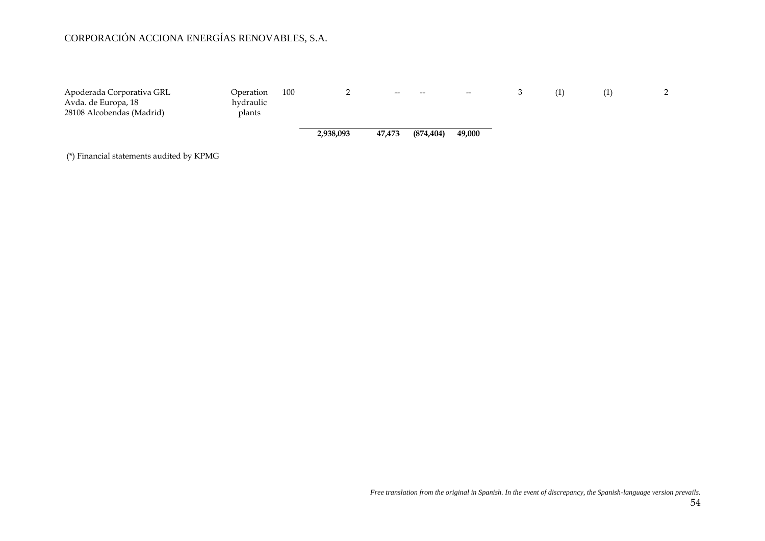| Apoderada Corporativa GRL<br>Avda. de Europa, 18<br>28108 Alcobendas (Madrid) | Operation<br>hydraulic<br>plants | 100 |           | $- -$  | $- -$      | $--$   | [1] |  |
|-------------------------------------------------------------------------------|----------------------------------|-----|-----------|--------|------------|--------|-----|--|
|                                                                               |                                  |     | 2,938,093 | 47,473 | (874, 404) | 49,000 |     |  |

(\*) Financial statements audited by KPMG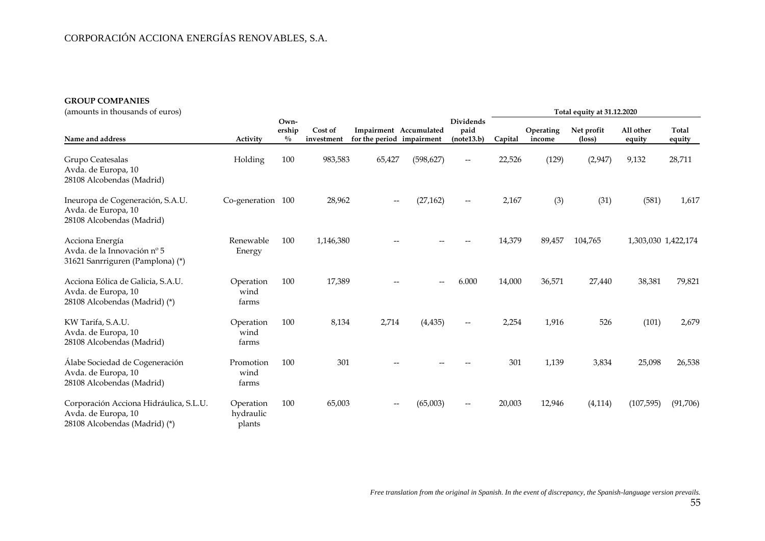#### **GROUP COMPANIES**

(amounts in thousands of euros) **Total equity at 31.12.2020**

| $($ unto unto in thoubundo of curoo                                                            |                                  |                                 |                       |                           |                        |                                        | 10 au 04 an 04.14.14.16 |                     |                               |                     |                     |
|------------------------------------------------------------------------------------------------|----------------------------------|---------------------------------|-----------------------|---------------------------|------------------------|----------------------------------------|-------------------------|---------------------|-------------------------------|---------------------|---------------------|
| Name and address                                                                               | Activity                         | Own-<br>ership<br>$\frac{0}{0}$ | Cost of<br>investment | for the period impairment | Impairment Accumulated | <b>Dividends</b><br>paid<br>(note13.b) | Capital                 | Operating<br>income | Net profit<br>$(\text{loss})$ | All other<br>equity | Total<br>equity     |
| Grupo Ceatesalas<br>Avda. de Europa, 10<br>28108 Alcobendas (Madrid)                           | Holding                          | 100                             | 983,583               | 65,427                    | (598, 627)             | $\overline{\phantom{m}}$               | 22,526                  | (129)               | (2,947)                       | 9,132               | 28,711              |
| Ineuropa de Cogeneración, S.A.U.<br>Avda. de Europa, 10<br>28108 Alcobendas (Madrid)           | Co-generation 100                |                                 | 28,962                |                           | (27, 162)              | $\overline{\phantom{m}}$               | 2,167                   | (3)                 | (31)                          | (581)               | 1,617               |
| Acciona Energía<br>Avda. de la Innovación nº 5<br>31621 Sanrriguren (Pamplona) (*)             | Renewable<br>Energy              | 100                             | 1,146,380             |                           |                        |                                        | 14,379                  | 89,457              | 104,765                       |                     | 1,303,030 1,422,174 |
| Acciona Eólica de Galicia, S.A.U.<br>Avda. de Europa, 10<br>28108 Alcobendas (Madrid) (*)      | Operation<br>wind<br>farms       | 100                             | 17,389                |                           |                        | 6.000                                  | 14,000                  | 36,571              | 27,440                        | 38,381              | 79,821              |
| KW Tarifa, S.A.U.<br>Avda. de Europa, 10<br>28108 Alcobendas (Madrid)                          | Operation<br>wind<br>farms       | 100                             | 8,134                 | 2,714                     | (4, 435)               | $\overline{\phantom{a}}$               | 2,254                   | 1,916               | 526                           | (101)               | 2,679               |
| Álabe Sociedad de Cogeneración<br>Avda. de Europa, 10<br>28108 Alcobendas (Madrid)             | Promotion<br>wind<br>farms       | 100                             | 301                   |                           |                        |                                        | 301                     | 1,139               | 3,834                         | 25,098              | 26,538              |
| Corporación Acciona Hidráulica, S.L.U.<br>Avda. de Europa, 10<br>28108 Alcobendas (Madrid) (*) | Operation<br>hydraulic<br>plants | 100                             | 65,003                |                           | (65,003)               | --                                     | 20,003                  | 12,946              | (4, 114)                      | (107, 595)          | (91,706)            |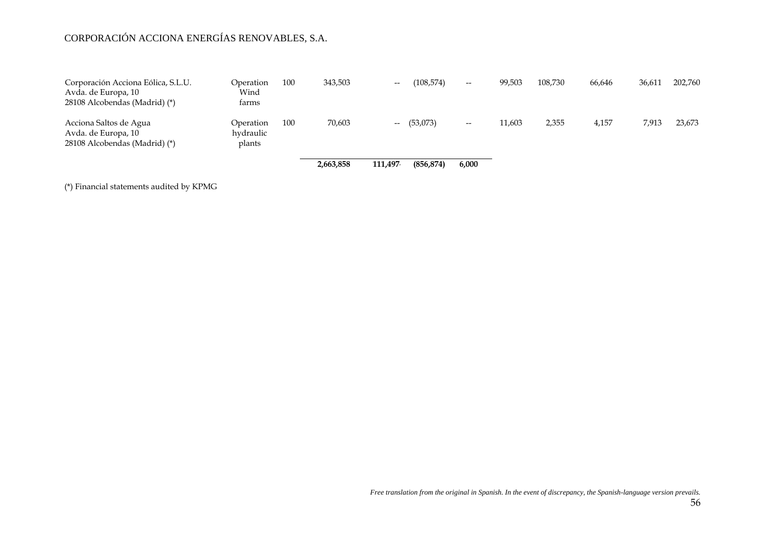| Corporación Acciona Eólica, S.L.U.<br>Avda. de Europa, 10<br>28108 Alcobendas (Madrid) (*) | Operation<br>Wind<br>farms       | 100 | 343,503   | $\overline{\phantom{a}}$ | (108, 574) | $\overline{\phantom{a}}$      | 99,503 | 108,730 | 66,646 | 36,611 | 202,760 |
|--------------------------------------------------------------------------------------------|----------------------------------|-----|-----------|--------------------------|------------|-------------------------------|--------|---------|--------|--------|---------|
| Acciona Saltos de Agua<br>Avda. de Europa, 10<br>28108 Alcobendas (Madrid) (*)             | Operation<br>hydraulic<br>plants | 100 | 70,603    | --                       | (53,073)   | $\hspace{0.05cm} \textbf{--}$ | 11,603 | 2,355   | 4,157  | 7,913  | 23,673  |
|                                                                                            |                                  |     | 2,663,858 | 111,497                  | (856, 874) | 6,000                         |        |         |        |        |         |

(\*) Financial statements audited by KPMG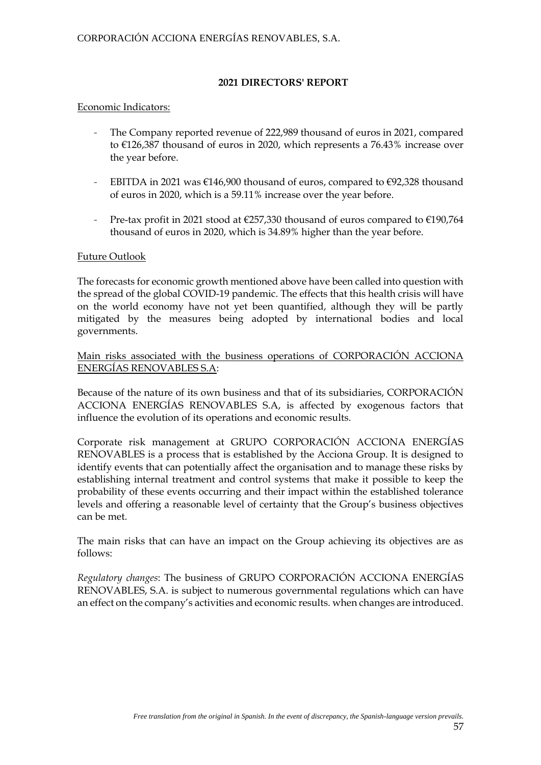#### **2021 DIRECTORS' REPORT**

#### Economic Indicators:

- The Company reported revenue of 222,989 thousand of euros in 2021, compared to €126,387 thousand of euros in 2020, which represents a 76.43% increase over the year before.
- EBITDA in 2021 was  $\epsilon$ 146,900 thousand of euros, compared to  $\epsilon$ 92,328 thousand of euros in 2020, which is a 59.11% increase over the year before.
- Pre-tax profit in 2021 stood at  $\epsilon$ 257,330 thousand of euros compared to  $\epsilon$ 190,764 thousand of euros in 2020, which is 34.89% higher than the year before.

#### Future Outlook

The forecasts for economic growth mentioned above have been called into question with the spread of the global COVID-19 pandemic. The effects that this health crisis will have on the world economy have not yet been quantified, although they will be partly mitigated by the measures being adopted by international bodies and local governments.

### Main risks associated with the business operations of CORPORACIÓN ACCIONA ENERGÍAS RENOVABLES S.A:

Because of the nature of its own business and that of its subsidiaries, CORPORACIÓN ACCIONA ENERGÍAS RENOVABLES S.A, is affected by exogenous factors that influence the evolution of its operations and economic results.

Corporate risk management at GRUPO CORPORACIÓN ACCIONA ENERGÍAS RENOVABLES is a process that is established by the Acciona Group. It is designed to identify events that can potentially affect the organisation and to manage these risks by establishing internal treatment and control systems that make it possible to keep the probability of these events occurring and their impact within the established tolerance levels and offering a reasonable level of certainty that the Group's business objectives can be met.

The main risks that can have an impact on the Group achieving its objectives are as follows:

*Regulatory changes*: The business of GRUPO CORPORACIÓN ACCIONA ENERGÍAS RENOVABLES, S.A. is subject to numerous governmental regulations which can have an effect on the company's activities and economic results. when changes are introduced.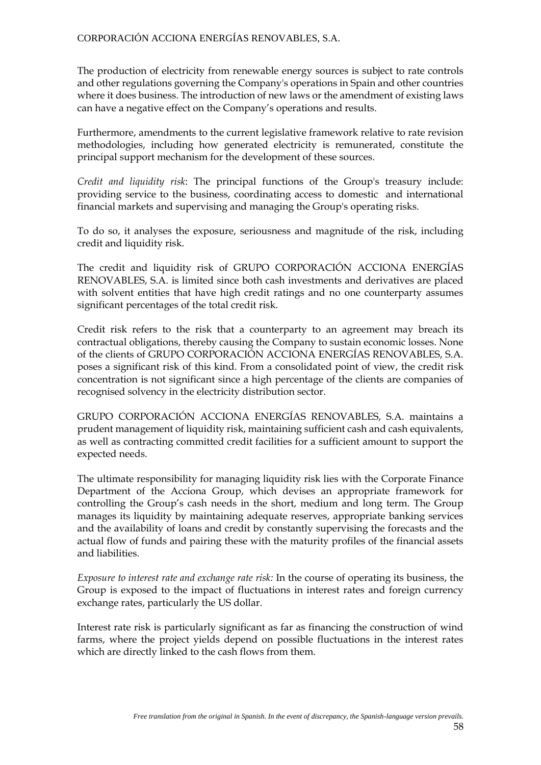The production of electricity from renewable energy sources is subject to rate controls and other regulations governing the Company's operations in Spain and other countries where it does business. The introduction of new laws or the amendment of existing laws can have a negative effect on the Company's operations and results.

Furthermore, amendments to the current legislative framework relative to rate revision methodologies, including how generated electricity is remunerated, constitute the principal support mechanism for the development of these sources.

*Credit and liquidity risk*: The principal functions of the Group's treasury include: providing service to the business, coordinating access to domestic and international financial markets and supervising and managing the Group's operating risks.

To do so, it analyses the exposure, seriousness and magnitude of the risk, including credit and liquidity risk.

The credit and liquidity risk of GRUPO CORPORACIÓN ACCIONA ENERGÍAS RENOVABLES, S.A. is limited since both cash investments and derivatives are placed with solvent entities that have high credit ratings and no one counterparty assumes significant percentages of the total credit risk.

Credit risk refers to the risk that a counterparty to an agreement may breach its contractual obligations, thereby causing the Company to sustain economic losses. None of the clients of GRUPO CORPORACIÓN ACCIONA ENERGÍAS RENOVABLES, S.A. poses a significant risk of this kind. From a consolidated point of view, the credit risk concentration is not significant since a high percentage of the clients are companies of recognised solvency in the electricity distribution sector.

GRUPO CORPORACIÓN ACCIONA ENERGÍAS RENOVABLES, S.A. maintains a prudent management of liquidity risk, maintaining sufficient cash and cash equivalents, as well as contracting committed credit facilities for a sufficient amount to support the expected needs.

The ultimate responsibility for managing liquidity risk lies with the Corporate Finance Department of the Acciona Group, which devises an appropriate framework for controlling the Group's cash needs in the short, medium and long term. The Group manages its liquidity by maintaining adequate reserves, appropriate banking services and the availability of loans and credit by constantly supervising the forecasts and the actual flow of funds and pairing these with the maturity profiles of the financial assets and liabilities.

*Exposure to interest rate and exchange rate risk:* In the course of operating its business, the Group is exposed to the impact of fluctuations in interest rates and foreign currency exchange rates, particularly the US dollar.

Interest rate risk is particularly significant as far as financing the construction of wind farms, where the project yields depend on possible fluctuations in the interest rates which are directly linked to the cash flows from them.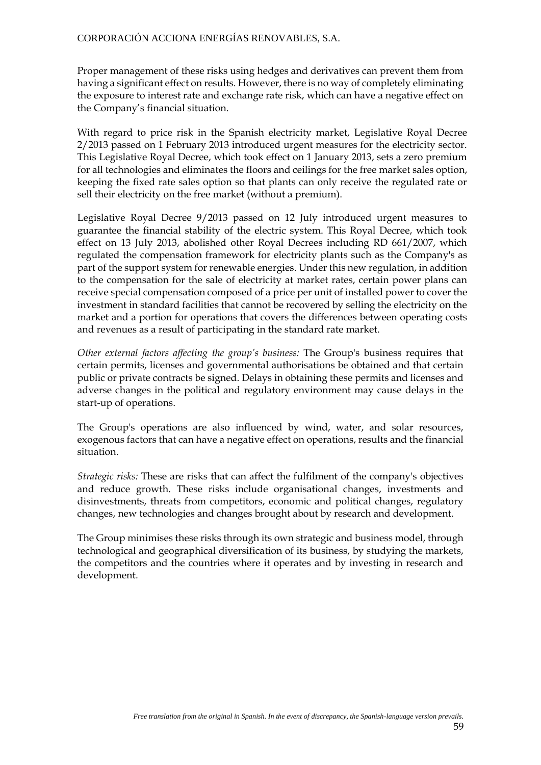Proper management of these risks using hedges and derivatives can prevent them from having a significant effect on results. However, there is no way of completely eliminating the exposure to interest rate and exchange rate risk, which can have a negative effect on the Company's financial situation.

With regard to price risk in the Spanish electricity market, Legislative Royal Decree 2/2013 passed on 1 February 2013 introduced urgent measures for the electricity sector. This Legislative Royal Decree, which took effect on 1 January 2013, sets a zero premium for all technologies and eliminates the floors and ceilings for the free market sales option, keeping the fixed rate sales option so that plants can only receive the regulated rate or sell their electricity on the free market (without a premium).

Legislative Royal Decree 9/2013 passed on 12 July introduced urgent measures to guarantee the financial stability of the electric system. This Royal Decree, which took effect on 13 July 2013, abolished other Royal Decrees including RD 661/2007, which regulated the compensation framework for electricity plants such as the Company's as part of the support system for renewable energies. Under this new regulation, in addition to the compensation for the sale of electricity at market rates, certain power plans can receive special compensation composed of a price per unit of installed power to cover the investment in standard facilities that cannot be recovered by selling the electricity on the market and a portion for operations that covers the differences between operating costs and revenues as a result of participating in the standard rate market.

*Other external factors affecting the group's business:* The Group's business requires that certain permits, licenses and governmental authorisations be obtained and that certain public or private contracts be signed. Delays in obtaining these permits and licenses and adverse changes in the political and regulatory environment may cause delays in the start-up of operations.

The Group's operations are also influenced by wind, water, and solar resources, exogenous factors that can have a negative effect on operations, results and the financial situation.

*Strategic risks:* These are risks that can affect the fulfilment of the company's objectives and reduce growth. These risks include organisational changes, investments and disinvestments, threats from competitors, economic and political changes, regulatory changes, new technologies and changes brought about by research and development.

The Group minimises these risks through its own strategic and business model, through technological and geographical diversification of its business, by studying the markets, the competitors and the countries where it operates and by investing in research and development.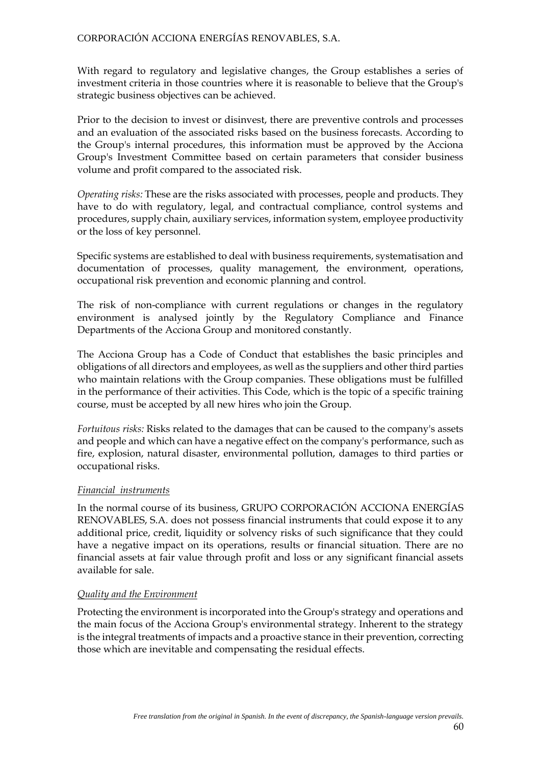With regard to regulatory and legislative changes, the Group establishes a series of investment criteria in those countries where it is reasonable to believe that the Group's strategic business objectives can be achieved.

Prior to the decision to invest or disinvest, there are preventive controls and processes and an evaluation of the associated risks based on the business forecasts. According to the Group's internal procedures, this information must be approved by the Acciona Group's Investment Committee based on certain parameters that consider business volume and profit compared to the associated risk.

*Operating risks:* These are the risks associated with processes, people and products. They have to do with regulatory, legal, and contractual compliance, control systems and procedures, supply chain, auxiliary services, information system, employee productivity or the loss of key personnel.

Specific systems are established to deal with business requirements, systematisation and documentation of processes, quality management, the environment, operations, occupational risk prevention and economic planning and control.

The risk of non-compliance with current regulations or changes in the regulatory environment is analysed jointly by the Regulatory Compliance and Finance Departments of the Acciona Group and monitored constantly.

The Acciona Group has a Code of Conduct that establishes the basic principles and obligations of all directors and employees, as well as the suppliers and other third parties who maintain relations with the Group companies. These obligations must be fulfilled in the performance of their activities. This Code, which is the topic of a specific training course, must be accepted by all new hires who join the Group.

*Fortuitous risks:* Risks related to the damages that can be caused to the company's assets and people and which can have a negative effect on the company's performance, such as fire, explosion, natural disaster, environmental pollution, damages to third parties or occupational risks.

#### *Financial instruments*

In the normal course of its business, GRUPO CORPORACIÓN ACCIONA ENERGÍAS RENOVABLES, S.A. does not possess financial instruments that could expose it to any additional price, credit, liquidity or solvency risks of such significance that they could have a negative impact on its operations, results or financial situation. There are no financial assets at fair value through profit and loss or any significant financial assets available for sale.

#### *Quality and the Environment*

Protecting the environment is incorporated into the Group's strategy and operations and the main focus of the Acciona Group's environmental strategy. Inherent to the strategy is the integral treatments of impacts and a proactive stance in their prevention, correcting those which are inevitable and compensating the residual effects.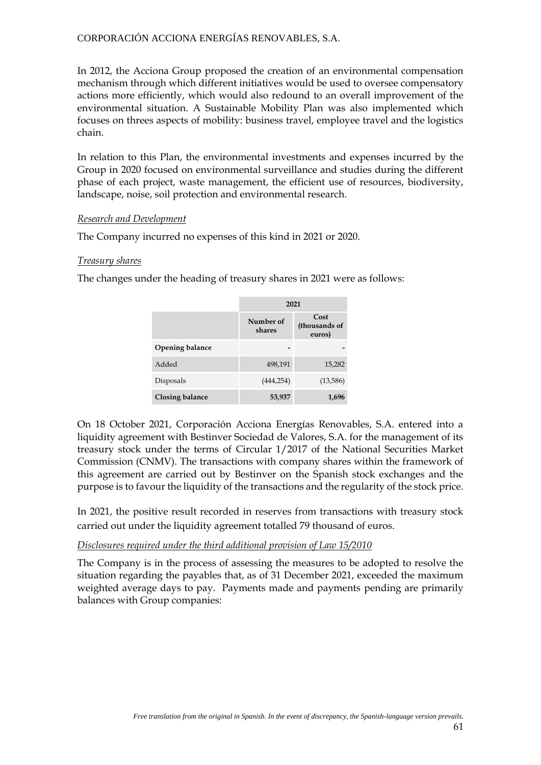In 2012, the Acciona Group proposed the creation of an environmental compensation mechanism through which different initiatives would be used to oversee compensatory actions more efficiently, which would also redound to an overall improvement of the environmental situation. A Sustainable Mobility Plan was also implemented which focuses on threes aspects of mobility: business travel, employee travel and the logistics chain.

In relation to this Plan, the environmental investments and expenses incurred by the Group in 2020 focused on environmental surveillance and studies during the different phase of each project, waste management, the efficient use of resources, biodiversity, landscape, noise, soil protection and environmental research.

#### *Research and Development*

The Company incurred no expenses of this kind in 2021 or 2020.

#### *Treasury shares*

The changes under the heading of treasury shares in 2021 were as follows:

|                 | 2021                |                                 |  |  |  |  |
|-----------------|---------------------|---------------------------------|--|--|--|--|
|                 | Number of<br>shares | Cost<br>(thousands of<br>euros) |  |  |  |  |
| Opening balance |                     |                                 |  |  |  |  |
| Added           | 498,191             | 15,282                          |  |  |  |  |
| Disposals       | (444, 254)          | (13,586)                        |  |  |  |  |
| Closing balance | 53,937              | 1,696                           |  |  |  |  |

On 18 October 2021, Corporación Acciona Energías Renovables, S.A. entered into a liquidity agreement with Bestinver Sociedad de Valores, S.A. for the management of its treasury stock under the terms of Circular 1/2017 of the National Securities Market Commission (CNMV). The transactions with company shares within the framework of this agreement are carried out by Bestinver on the Spanish stock exchanges and the purpose is to favour the liquidity of the transactions and the regularity of the stock price.

In 2021, the positive result recorded in reserves from transactions with treasury stock carried out under the liquidity agreement totalled 79 thousand of euros.

#### *Disclosures required under the third additional provision of Law 15/2010*

The Company is in the process of assessing the measures to be adopted to resolve the situation regarding the payables that, as of 31 December 2021, exceeded the maximum weighted average days to pay. Payments made and payments pending are primarily balances with Group companies: